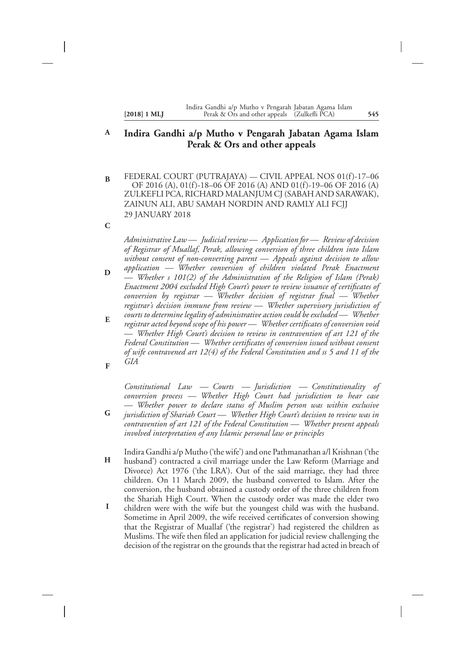#### **[2018] 1 MLJ 545** Perak & Ors and other appeals (Zulkefli PCA) Indira Gandhi a/p Mutho v Pengarah Jabatan Agama Islam

#### **Indira Gandhi a/p Mutho v Pengarah Jabatan Agama Islam Perak & Ors and other appeals A**

- FEDERAL COURT (PUTRAJAYA) CIVIL APPEAL NOS 01(f)-17–06 OF 2016 (A), 01(f)-18–06 OF 2016 (A) AND 01(f)-19–06 OF 2016 (A) ZULKEFLI PCA, RICHARD MALANJUM CJ (SABAH AND SARAWAK), ZAINUN ALI, ABU SAMAH NORDIN AND RAMLY ALI FCJJ 29 JANUARY 2018 **B**
- **C**

*Administrative Law — Judicial review — Application for — Review of decision of Registrar of Muallaf, Perak, allowing conversion of three children into Islam without consent of non-converting parent — Appeals against decision to allow*

*application — Whether conversion of children violated Perak Enactment — Whether s 101(2) of the Administration of the Religion of Islam (Perak) Enactment 2004 excluded High Court's power to review issuance of certificates of conversion by registrar — Whether decision of registrar final — Whether registrar's decision immune from review — Whether supervisory jurisdiction of* **D**

*courts to determine legality of administrative action could be excluded — Whether registrar acted beyond scope of his power — Whether certificates of conversion void — Whether High Court's decision to review in contravention of art 121 of the Federal Constitution — Whether certificates of conversion issued without consent of wife contravened art 12(4) of the Federal Constitution and ss 5 and 11 of the GIA* **E F**

*Constitutional Law — Courts — Jurisdiction — Constitutionality of conversion process — Whether High Court had jurisdiction to hear case — Whether power to declare status of Muslim person was within exclusive*

- *jurisdiction of Shariah Court Whether High Court's decision to review was in contravention of art 121 of the Federal Constitution — Whether present appeals involved interpretation of any Islamic personal law or principles* **G**
- Indira Gandhi a/p Mutho ('the wife') and one Pathmanathan a/l Krishnan ('the husband') contracted a civil marriage under the Law Reform (Marriage and Divorce) Act 1976 ('the LRA'). Out of the said marriage, they had three children. On 11 March 2009, the husband converted to Islam. After the conversion, the husband obtained a custody order of the three children from the Shariah High Court. When the custody order was made the elder two **H**
- children were with the wife but the youngest child was with the husband. Sometime in April 2009, the wife received certificates of conversion showing that the Registrar of Muallaf ('the registrar') had registered the children as Muslims. The wife then filed an application for judicial review challenging the decision of the registrar on the grounds that the registrar had acted in breach of **I**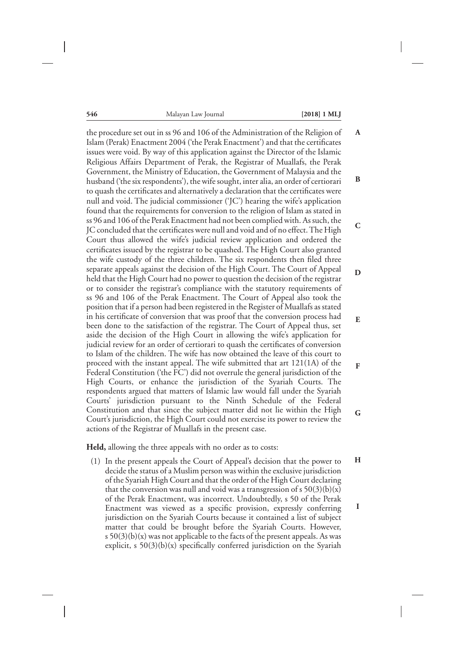| $[2018]$ 1 l |  |
|--------------|--|
|--------------|--|

**H**

**I**

the procedure set out in ss 96 and 106 of the Administration of the Religion of Islam (Perak) Enactment 2004 ('the Perak Enactment') and that the certificates issues were void. By way of this application against the Director of the Islamic Religious Affairs Department of Perak, the Registrar of Muallafs, the Perak Government, the Ministry of Education, the Government of Malaysia and the husband ('the six respondents'), the wife sought, inter alia, an order of certiorari to quash the certificates and alternatively a declaration that the certificates were null and void. The judicial commissioner ('JC') hearing the wife's application found that the requirements for conversion to the religion of Islam as stated in ss 96 and 106 of the Perak Enactment had not been complied with. As such, the JC concluded that the certificates were null and void and of no effect.The High Court thus allowed the wife's judicial review application and ordered the certificates issued by the registrar to be quashed. The High Court also granted the wife custody of the three children. The six respondents then filed three separate appeals against the decision of the High Court. The Court of Appeal held that the High Court had no power to question the decision of the registrar or to consider the registrar's compliance with the statutory requirements of ss 96 and 106 of the Perak Enactment. The Court of Appeal also took the position that if a person had been registered in the Register of Muallafs as stated in his certificate of conversion that was proof that the conversion process had been done to the satisfaction of the registrar. The Court of Appeal thus, set aside the decision of the High Court in allowing the wife's application for judicial review for an order of certiorari to quash the certificates of conversion to Islam of the children. The wife has now obtained the leave of this court to proceed with the instant appeal. The wife submitted that art 121(1A) of the Federal Constitution ('the FC') did not overrule the general jurisdiction of the High Courts, or enhance the jurisdiction of the Syariah Courts. The respondents argued that matters of Islamic law would fall under the Syariah Courts' jurisdiction pursuant to the Ninth Schedule of the Federal Constitution and that since the subject matter did not lie within the High Court's jurisdiction, the High Court could not exercise its power to review the actions of the Registrar of Muallafs in the present case. **A B C D E F G**

**Held,** allowing the three appeals with no order as to costs:

(1) In the present appeals the Court of Appeal's decision that the power to decide the status of a Muslim person was within the exclusive jurisdiction of the Syariah High Court and that the order of the High Court declaring that the conversion was null and void was a transgression of s  $50(3)(b)(x)$ of the Perak Enactment, was incorrect. Undoubtedly, s 50 of the Perak Enactment was viewed as a specific provision, expressly conferring jurisdiction on the Syariah Courts because it contained a list of subject matter that could be brought before the Syariah Courts. However, s  $50(3)(b)(x)$  was not applicable to the facts of the present appeals. As was explicit,  $s \frac{50(3)(b)}{x}$  specifically conferred jurisdiction on the Syariah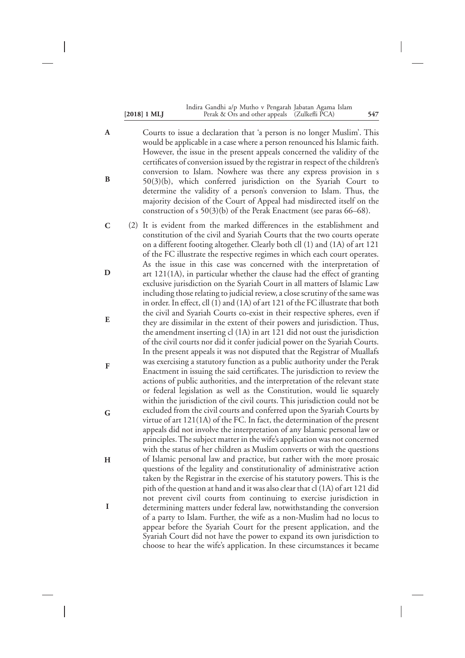|                | Indira Gandhi a/p Mutho v Pengarah Jabatan Agama Islam |     |
|----------------|--------------------------------------------------------|-----|
| $[2018]$ 1 MLJ | Perak & Ors and other appeals (Zulkefli PCA)           | 547 |

- Courts to issue a declaration that 'a person is no longer Muslim'. This would be applicable in a case where a person renounced his Islamic faith. However, the issue in the present appeals concerned the validity of the certificates of conversion issued by the registrar in respect of the children's conversion to Islam. Nowhere was there any express provision in s 50(3)(b), which conferred jurisdiction on the Syariah Court to determine the validity of a person's conversion to Islam. Thus, the majority decision of the Court of Appeal had misdirected itself on the construction of s 50(3)(b) of the Perak Enactment (see paras 66–68). **A B**
- (2) It is evident from the marked differences in the establishment and constitution of the civil and Syariah Courts that the two courts operate on a different footing altogether. Clearly both cll (1) and (1A) of art 121 of the FC illustrate the respective regimes in which each court operates. As the issue in this case was concerned with the interpretation of art 121(1A), in particular whether the clause had the effect of granting exclusive jurisdiction on the Syariah Court in all matters of Islamic Law including those relating to judicial review, a close scrutiny of the same was in order. In effect, cll (1) and (1A) of art 121 of the FC illustrate that both the civil and Syariah Courts co-exist in their respective spheres, even if they are dissimilar in the extent of their powers and jurisdiction. Thus, the amendment inserting cl (1A) in art 121 did not oust the jurisdiction of the civil courts nor did it confer judicial power on the Syariah Courts. In the present appeals it was not disputed that the Registrar of Muallafs was exercising a statutory function as a public authority under the Perak Enactment in issuing the said certificates. The jurisdiction to review the actions of public authorities, and the interpretation of the relevant state or federal legislation as well as the Constitution, would lie squarely within the jurisdiction of the civil courts. This jurisdiction could not be excluded from the civil courts and conferred upon the Syariah Courts by virtue of art 121(1A) of the FC. In fact, the determination of the present appeals did not involve the interpretation of any Islamic personal law or principles. The subject matter in the wife's application was not concerned with the status of her children as Muslim converts or with the questions of Islamic personal law and practice, but rather with the more prosaic questions of the legality and constitutionality of administrative action taken by the Registrar in the exercise of his statutory powers. This is the pith of the question at hand and it was also clear that cl (1A) of art 121 did not prevent civil courts from continuing to exercise jurisdiction in determining matters under federal law, notwithstanding the conversion of a party to Islam. Further, the wife as a non-Muslim had no locus to appear before the Syariah Court for the present application, and the Syariah Court did not have the power to expand its own jurisdiction to choose to hear the wife's application. In these circumstances it became **C D E F G H I**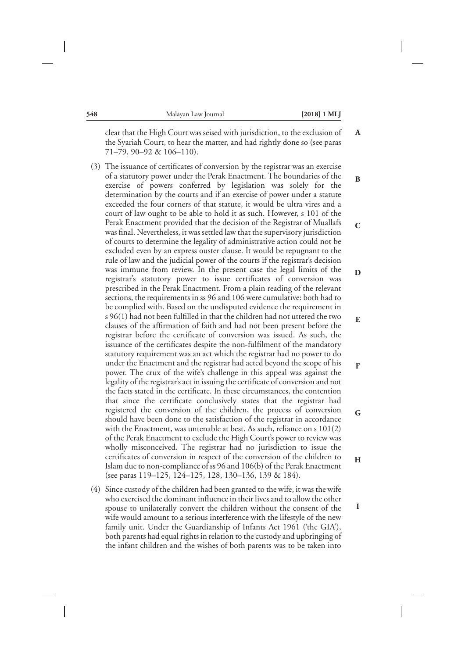**B**

**C**

**D**

**E**

**F**

**G**

**H**

**I**

clear that the High Court was seised with jurisdiction, to the exclusion of the Syariah Court, to hear the matter, and had rightly done so (see paras 71–79, 90–92 & 106–110). **A**

- (3) The issuance of certificates of conversion by the registrar was an exercise of a statutory power under the Perak Enactment. The boundaries of the exercise of powers conferred by legislation was solely for the determination by the courts and if an exercise of power under a statute exceeded the four corners of that statute, it would be ultra vires and a court of law ought to be able to hold it as such. However, s 101 of the Perak Enactment provided that the decision of the Registrar of Muallafs was final. Nevertheless, it was settled law that the supervisory jurisdiction of courts to determine the legality of administrative action could not be excluded even by an express ouster clause. It would be repugnant to the rule of law and the judicial power of the courts if the registrar's decision was immune from review. In the present case the legal limits of the registrar's statutory power to issue certificates of conversion was prescribed in the Perak Enactment. From a plain reading of the relevant sections, the requirements in ss 96 and 106 were cumulative: both had to be complied with. Based on the undisputed evidence the requirement in s 96(1) had not been fulfilled in that the children had not uttered the two clauses of the affirmation of faith and had not been present before the registrar before the certificate of conversion was issued. As such, the issuance of the certificates despite the non-fulfilment of the mandatory statutory requirement was an act which the registrar had no power to do under the Enactment and the registrar had acted beyond the scope of his power. The crux of the wife's challenge in this appeal was against the legality of the registrar's act in issuing the certificate of conversion and not the facts stated in the certificate. In these circumstances, the contention that since the certificate conclusively states that the registrar had registered the conversion of the children, the process of conversion should have been done to the satisfaction of the registrar in accordance with the Enactment, was untenable at best. As such, reliance on s 101(2) of the Perak Enactment to exclude the High Court's power to review was wholly misconceived. The registrar had no jurisdiction to issue the certificates of conversion in respect of the conversion of the children to Islam due to non-compliance of ss 96 and 106(b) of the Perak Enactment (see paras 119–125, 124–125, 128, 130–136, 139 & 184).
- (4) Since custody of the children had been granted to the wife, it was the wife who exercised the dominant influence in their lives and to allow the other spouse to unilaterally convert the children without the consent of the wife would amount to a serious interference with the lifestyle of the new family unit. Under the Guardianship of Infants Act 1961 ('the GIA'), both parents had equal rights in relation to the custody and upbringing of the infant children and the wishes of both parents was to be taken into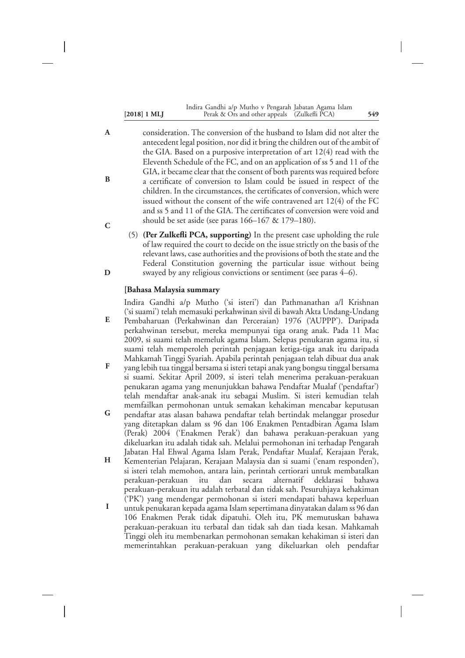| $[2018] 1 \text{ ML}$ | Indira Gandhi a/p Mutho v Pengarah Jabatan Agama Islam<br>Perak & Ors and other appeals (Zulkefli PCA) | 549 |
|-----------------------|--------------------------------------------------------------------------------------------------------|-----|
|                       |                                                                                                        |     |

- consideration. The conversion of the husband to Islam did not alter the antecedent legal position, nor did it bring the children out of the ambit of the GIA. Based on a purposive interpretation of art 12(4) read with the Eleventh Schedule of the FC, and on an application of ss 5 and 11 of the GIA, it became clear that the consent of both parents was required before a certificate of conversion to Islam could be issued in respect of the children. In the circumstances, the certificates of conversion, which were issued without the consent of the wife contravened art 12(4) of the FC and ss 5 and 11 of the GIA. The certificates of conversion were void and should be set aside (see paras 166–167 & 179–180). **A B C**
	- (5) **(Per Zulkefli PCA, supporting)** In the present case upholding the rule of law required the court to decide on the issue strictly on the basis of the relevant laws, case authorities and the provisions of both the state and the Federal Constitution governing the particular issue without being swayed by any religious convictions or sentiment (see paras 4–6).

#### **[Bahasa Malaysia summary**

**D**

Indira Gandhi a/p Mutho ('si isteri') dan Pathmanathan a/l Krishnan ('si suami') telah memasuki perkahwinan sivil di bawah Akta Undang-Undang Pembaharuan (Perkahwinan dan Perceraian) 1976 ('AUPPP'). Daripada perkahwinan tersebut, mereka mempunyai tiga orang anak. Pada 11 Mac 2009, si suami telah memeluk agama Islam. Selepas penukaran agama itu, si suami telah memperoleh perintah penjagaan ketiga-tiga anak itu daripada Mahkamah Tinggi Syariah. Apabila perintah penjagaan telah dibuat dua anak **E**

- yang lebih tua tinggal bersama si isteri tetapi anak yang bongsu tinggal bersama si suami. Sekitar April 2009, si isteri telah menerima perakuan-perakuan penukaran agama yang menunjukkan bahawa Pendaftar Mualaf ('pendaftar') telah mendaftar anak-anak itu sebagai Muslim. Si isteri kemudian telah memfailkan permohonan untuk semakan kehakiman mencabar keputusan **F**
- pendaftar atas alasan bahawa pendaftar telah bertindak melanggar prosedur yang ditetapkan dalam ss 96 dan 106 Enakmen Pentadbiran Agama Islam (Perak) 2004 ('Enakmen Perak') dan bahawa perakuan-perakuan yang dikeluarkan itu adalah tidak sah. Melalui permohonan ini terhadap Pengarah Jabatan Hal Ehwal Agama Islam Perak, Pendaftar Mualaf, Kerajaan Perak, **G**
- Kementerian Pelajaran, Kerajaan Malaysia dan si suami ('enam responden'), si isteri telah memohon, antara lain, perintah certiorari untuk membatalkan perakuan-perakuan itu dan secara alternatif deklarasi bahawa perakuan-perakuan itu adalah terbatal dan tidak sah. Pesuruhjaya kehakiman ('PK') yang mendengar permohonan si isteri mendapati bahawa keperluan **H**
- untuk penukaran kepada agama Islam sepertimana dinyatakan dalam ss 96 dan 106 Enakmen Perak tidak dipatuhi. Oleh itu, PK memutuskan bahawa perakuan-perakuan itu terbatal dan tidak sah dan tiada kesan. Mahkamah Tinggi oleh itu membenarkan permohonan semakan kehakiman si isteri dan memerintahkan perakuan-perakuan yang dikeluarkan oleh pendaftar **I**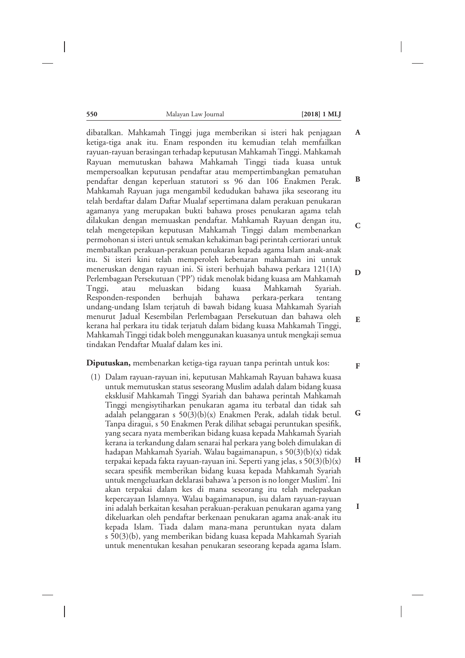dibatalkan. Mahkamah Tinggi juga memberikan si isteri hak penjagaan ketiga-tiga anak itu. Enam responden itu kemudian telah memfailkan rayuan-rayuan berasingan terhadap keputusan Mahkamah Tinggi. Mahkamah Rayuan memutuskan bahawa Mahkamah Tinggi tiada kuasa untuk mempersoalkan keputusan pendaftar atau mempertimbangkan pematuhan pendaftar dengan keperluan statutori ss 96 dan 106 Enakmen Perak. Mahkamah Rayuan juga mengambil kedudukan bahawa jika seseorang itu telah berdaftar dalam Daftar Mualaf sepertimana dalam perakuan penukaran agamanya yang merupakan bukti bahawa proses penukaran agama telah dilakukan dengan memuaskan pendaftar. Mahkamah Rayuan dengan itu, telah mengetepikan keputusan Mahkamah Tinggi dalam membenarkan permohonan si isteri untuk semakan kehakiman bagi perintah certiorari untuk membatalkan perakuan-perakuan penukaran kepada agama Islam anak-anak itu. Si isteri kini telah memperoleh kebenaran mahkamah ini untuk meneruskan dengan rayuan ini. Si isteri berhujah bahawa perkara 121(1A) Perlembagaan Persekutuan ('PP') tidak menolak bidang kuasa am Mahkamah Tnggi, atau meluaskan bidang kuasa Mahkamah Syariah. Responden-responden berhujah bahawa perkara-perkara tentang undang-undang Islam terjatuh di bawah bidang kuasa Mahkamah Syariah menurut Jadual Kesembilan Perlembagaan Persekutuan dan bahawa oleh kerana hal perkara itu tidak terjatuh dalam bidang kuasa Mahkamah Tinggi, Mahkamah Tinggi tidak boleh menggunakan kuasanya untuk mengkaji semua tindakan Pendaftar Mualaf dalam kes ini.

#### **Diputuskan,** membenarkan ketiga-tiga rayuan tanpa perintah untuk kos:

(1) Dalam rayuan-rayuan ini, keputusan Mahkamah Rayuan bahawa kuasa untuk memutuskan status seseorang Muslim adalah dalam bidang kuasa eksklusif Mahkamah Tinggi Syariah dan bahawa perintah Mahkamah Tinggi mengisytiharkan penukaran agama itu terbatal dan tidak sah adalah pelanggaran s 50(3)(b)(x) Enakmen Perak, adalah tidak betul. Tanpa diragui, s 50 Enakmen Perak dilihat sebagai peruntukan spesifik, yang secara nyata memberikan bidang kuasa kepada Mahkamah Syariah kerana ia terkandung dalam senarai hal perkara yang boleh dimulakan di hadapan Mahkamah Syariah. Walau bagaimanapun, s 50(3)(b)(x) tidak terpakai kepada fakta rayuan-rayuan ini. Seperti yang jelas, s 50(3)(b)(x) secara spesifik memberikan bidang kuasa kepada Mahkamah Syariah untuk mengeluarkan deklarasi bahawa 'a person is no longer Muslim'. Ini akan terpakai dalam kes di mana seseorang itu telah melepaskan kepercayaan Islamnya. Walau bagaimanapun, isu dalam rayuan-rayuan ini adalah berkaitan kesahan perakuan-perakuan penukaran agama yang dikeluarkan oleh pendaftar berkenaan penukaran agama anak-anak itu kepada Islam. Tiada dalam mana-mana peruntukan nyata dalam s 50(3)(b), yang memberikan bidang kuasa kepada Mahkamah Syariah untuk menentukan kesahan penukaran seseorang kepada agama Islam.

**E**

**F**

**G**

**H**

**I**

**A**

**B**

**C**

**D**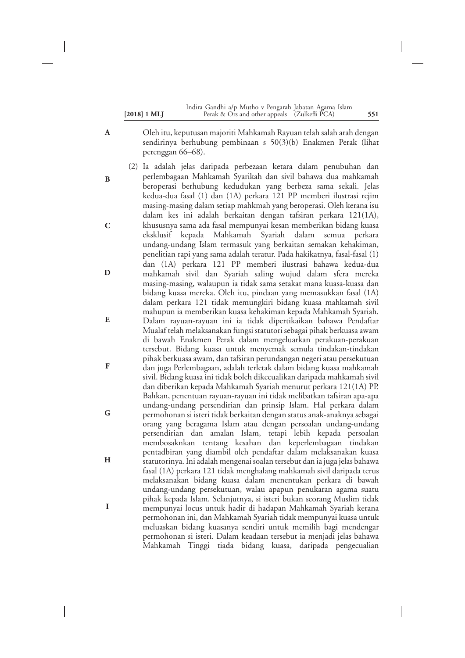|                | Indira Gandhi a/p Mutho v Pengarah Jabatan Agama Islam |     |
|----------------|--------------------------------------------------------|-----|
| $[2018]$ 1 MLJ | Perak & Ors and other appeals (Zulkefli PCA)           | 551 |

- Oleh itu, keputusan majoriti Mahkamah Rayuan telah salah arah dengan sendirinya berhubung pembinaan s 50(3)(b) Enakmen Perak (lihat perenggan 66–68).
- (2) Ia adalah jelas daripada perbezaan ketara dalam penubuhan dan perlembagaan Mahkamah Syarikah dan sivil bahawa dua mahkamah beroperasi berhubung kedudukan yang berbeza sama sekali. Jelas kedua-dua fasal (1) dan (1A) perkara 121 PP memberi ilustrasi rejim masing-masing dalam setiap mahkmah yang beroperasi. Oleh kerana isu dalam kes ini adalah berkaitan dengan tafsiran perkara 121(1A), khususnya sama ada fasal mempunyai kesan memberikan bidang kuasa eksklusif kepada Mahkamah Syariah dalam semua perkara undang-undang Islam termasuk yang berkaitan semakan kehakiman, penelitian rapi yang sama adalah teratur. Pada hakikatnya, fasal-fasal (1) dan (1A) perkara 121 PP memberi ilustrasi bahawa kedua-dua mahkamah sivil dan Syariah saling wujud dalam sfera mereka masing-masing, walaupun ia tidak sama setakat mana kuasa-kuasa dan bidang kuasa mereka. Oleh itu, pindaan yang memasukkan fasal (1A) dalam perkara 121 tidak memungkiri bidang kuasa mahkamah sivil mahupun ia memberikan kuasa kehakiman kepada Mahkamah Syariah. Dalam rayuan-rayuan ini ia tidak dipertikaikan bahawa Pendaftar Mualaf telah melaksanakan fungsi statutori sebagai pihak berkuasa awam di bawah Enakmen Perak dalam mengeluarkan perakuan-perakuan tersebut. Bidang kuasa untuk menyemak semula tindakan-tindakan pihak berkuasa awam, dan tafsiran perundangan negeri atau persekutuan dan juga Perlembagaan, adalah terletak dalam bidang kuasa mahkamah sivil. Bidang kuasa ini tidak boleh dikecualikan daripada mahkamah sivil dan diberikan kepada Mahkamah Syariah menurut perkara 121(1A) PP. Bahkan, penentuan rayuan-rayuan ini tidak melibatkan tafsiran apa-apa undang-undang persendirian dan prinsip Islam. Hal perkara dalam permohonan si isteri tidak berkaitan dengan status anak-anaknya sebagai orang yang beragama Islam atau dengan persoalan undang-undang persendirian dan amalan Islam, tetapi lebih kepada persoalan membosaknkan tentang kesahan dan keperlembagaan tindakan pentadbiran yang diambil oleh pendaftar dalam melaksanakan kuasa statutorinya. Ini adalah mengenai soalan tersebut dan ia juga jelas bahawa fasal (1A) perkara 121 tidak menghalang mahkamah sivil daripada terus melaksanakan bidang kuasa dalam menentukan perkara di bawah undang-undang persekutuan, walau apapun penukaran agama suatu pihak kepada Islam. Selanjutnya, si isteri bukan seorang Muslim tidak mempunyai locus untuk hadir di hadapan Mahkamah Syariah kerana permohonan ini, dan Mahkamah Syariah tidak mempunyai kuasa untuk meluaskan bidang kuasanya sendiri untuk memilih bagi mendengar permohonan si isteri. Dalam keadaan tersebut ia menjadi jelas bahawa Mahkamah Tinggi tiada bidang kuasa, daripada pengecualian **B C D E F G H I**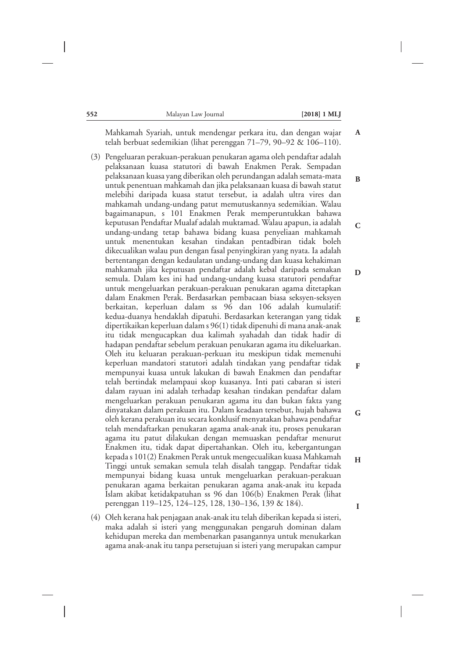**B**

**C**

**D**

**E**

**F**

**G**

**H**

**I**

Mahkamah Syariah, untuk mendengar perkara itu, dan dengan wajar telah berbuat sedemikian (lihat perenggan 71–79, 90–92 & 106–110).

- (3) Pengeluaran perakuan-perakuan penukaran agama oleh pendaftar adalah pelaksanaan kuasa statutori di bawah Enakmen Perak. Sempadan pelaksanaan kuasa yang diberikan oleh perundangan adalah semata-mata untuk penentuan mahkamah dan jika pelaksanaan kuasa di bawah statut melebihi daripada kuasa statut tersebut, ia adalah ultra vires dan mahkamah undang-undang patut memutuskannya sedemikian. Walau bagaimanapun, s 101 Enakmen Perak memperuntukkan bahawa keputusan Pendaftar Mualaf adalah muktamad. Walau apapun, ia adalah undang-undang tetap bahawa bidang kuasa penyeliaan mahkamah untuk menentukan kesahan tindakan pentadbiran tidak boleh dikecualikan walau pun dengan fasal penyingkiran yang nyata. Ia adalah bertentangan dengan kedaulatan undang-undang dan kuasa kehakiman mahkamah jika keputusan pendaftar adalah kebal daripada semakan semula. Dalam kes ini had undang-undang kuasa statutori pendaftar untuk mengeluarkan perakuan-perakuan penukaran agama ditetapkan dalam Enakmen Perak. Berdasarkan pembacaan biasa seksyen-seksyen berkaitan, keperluan dalam ss 96 dan 106 adalah kumulatif: kedua-duanya hendaklah dipatuhi. Berdasarkan keterangan yang tidak dipertikaikan keperluan dalam s 96(1) tidak dipenuhi di mana anak-anak itu tidak mengucapkan dua kalimah syahadah dan tidak hadir di hadapan pendaftar sebelum perakuan penukaran agama itu dikeluarkan. Oleh itu keluaran perakuan-perkuan itu meskipun tidak memenuhi keperluan mandatori statutori adalah tindakan yang pendaftar tidak mempunyai kuasa untuk lakukan di bawah Enakmen dan pendaftar telah bertindak melampaui skop kuasanya. Inti pati cabaran si isteri dalam rayuan ini adalah terhadap kesahan tindakan pendaftar dalam mengeluarkan perakuan penukaran agama itu dan bukan fakta yang dinyatakan dalam perakuan itu. Dalam keadaan tersebut, hujah bahawa oleh kerana perakuan itu secara konklusif menyatakan bahawa pendaftar telah mendaftarkan penukaran agama anak-anak itu, proses penukaran agama itu patut dilakukan dengan memuaskan pendaftar menurut Enakmen itu, tidak dapat dipertahankan. Oleh itu, kebergantungan kepada s 101(2) Enakmen Perak untuk mengecualikan kuasa Mahkamah Tinggi untuk semakan semula telah disalah tanggap. Pendaftar tidak mempunyai bidang kuasa untuk mengeluarkan perakuan-perakuan penukaran agama berkaitan penukaran agama anak-anak itu kepada Islam akibat ketidakpatuhan ss 96 dan 106(b) Enakmen Perak (lihat perenggan 119–125, 124–125, 128, 130–136, 139 & 184).
- (4) Oleh kerana hak penjagaan anak-anak itu telah diberikan kepada si isteri, maka adalah si isteri yang menggunakan pengaruh dominan dalam kehidupan mereka dan membenarkan pasangannya untuk menukarkan agama anak-anak itu tanpa persetujuan si isteri yang merupakan campur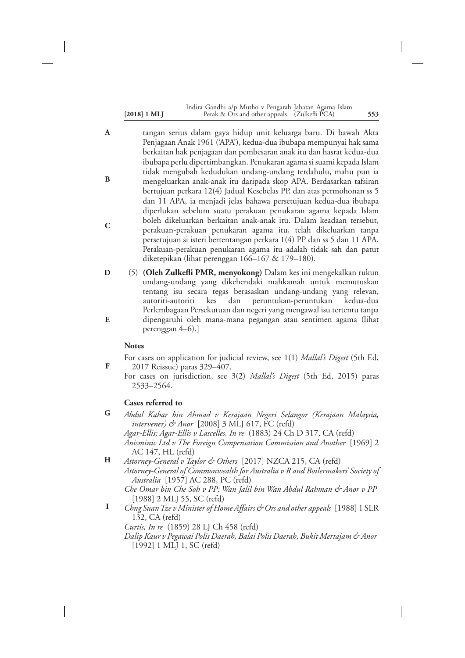|                | Indira Gandhi a/p Mutho v Pengarah Jabatan Agama Islam |     |
|----------------|--------------------------------------------------------|-----|
| $[2018]$ 1 MLJ | Perak & Ors and other appeals (Zulkefli PCA)           | 553 |

- tangan serius dalam gaya hidup unit keluarga baru. Di bawah Akta Penjagaan Anak 1961 ('APA'), kedua-dua ibubapa mempunyai hak sama berkaitan hak penjagaan dan pembesaran anak itu dan hasrat kedua-dua ibubapa perlu dipertimbangkan. Penukaran agama si suami kepada Islam tidak mengubah kedudukan undang-undang terdahulu, mahu pun ia mengeluarkan anak-anak itu daripada skop APA. Berdasarkan tafsiran bertujuan perkara 12(4) Jadual Kesebelas PP, dan atas permohonan ss 5 dan 11 APA, ia menjadi jelas bahawa persetujuan kedua-dua ibubapa diperlukan sebelum suatu perakuan penukaran agama kepada Islam boleh dikeluarkan berkaitan anak-anak itu. Dalam keadaan tersebut, perakuan-perakuan penukaran agama itu, telah dikeluarkan tanpa persetujuan si isteri bertentangan perkara 1(4) PP dan ss 5 dan 11 APA. Perakuan-perakuan penukaran agama itu adalah tidak sah dan patut diketepikan (lihat perenggan 166–167 & 179–180). **A B C**
- (5) **(Oleh Zulkefli PMR, menyokong)** Dalam kes ini mengekalkan rukun undang-undang yang dikehendaki mahkamah untuk memutuskan tentang isu secara tegas berasaskan undang-undang yang relevan, autoriti-autoriti kes dan peruntukan-peruntukan kedua-dua Perlembagaan Persekutuan dan negeri yang mengawal isu tertentu tanpa dipengaruhi oleh mana-mana pegangan atau sentimen agama (lihat perenggan 4–6).] **D E**

#### **Notes**

**F**

- For cases on application for judicial review, see 1(1) *Mallal's Digest* (5th Ed, 2017 Reissue) paras 329–407.
- For cases on jurisdiction, see 3(2) *Mallal's Digest* (5th Ed, 2015) paras 2533–2564.

#### **Cases referred to**

*Abdul Kahar bin Ahmad v Kerajaan Negeri Selangor (Kerajaan Malaysia, intervener) & Anor* [2008] 3 MLJ 617, FC (refd) **G**

*Agar-Ellis; Agar-Ellis v Lascelles, In re* (1883) 24 Ch D 317, CA (refd) *Anisminic Ltd v The Foreign Compensation Commission and Another* [1969] 2 AC 147, HL (refd)

*Attorney-General v Taylor & Others* [2017] NZCA 215, CA (refd) *Attorney-General of Commonwealth for Australia v R and Boilermakers' Society of Australia* [1957] AC 288, PC (refd) **H**

*Che Omar bin Che Soh v PP; Wan Jalil bin Wan Abdul Rahman & Anor v PP* [1988] 2 MLJ 55, SC (refd)

*Chng SuanTze v Minister of Home Affairs & Ors and other appeals* [1988] 1 SLR 132, CA (refd) **I**

*Curtis, In re* (1859) 28 LJ Ch 458 (refd)

*Dalip Kaur v Pegawai Polis Daerah, Balai Polis Daerah, Bukit Mertajam & Anor* [1992] 1 MLJ 1, SC (refd)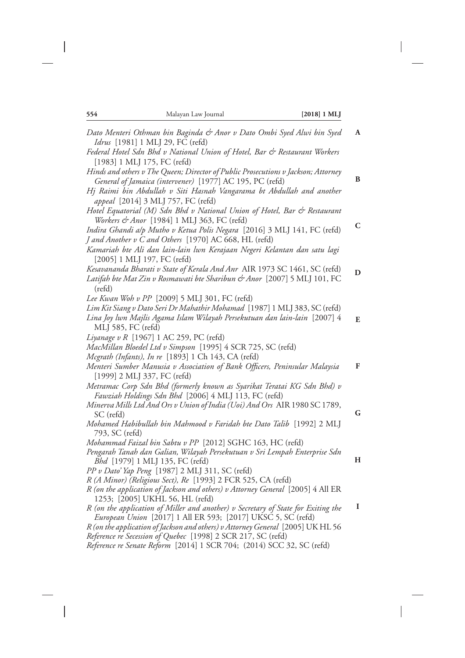$\overline{\phantom{a}}$ 

 $\overline{\phantom{a}}$ 

| Dato Menteri Othman bin Baginda & Anor v Dato Ombi Syed Alwi bin Syed<br>Idrus [1981] 1 MLJ 29, FC (refd)                                                                                                                                                                                          | A |
|----------------------------------------------------------------------------------------------------------------------------------------------------------------------------------------------------------------------------------------------------------------------------------------------------|---|
| Federal Hotel Sdn Bhd v National Union of Hotel, Bar & Restaurant Workers<br>[1983] 1 MLJ 175, FC (refd)                                                                                                                                                                                           |   |
| Hinds and others v The Queen; Director of Public Prosecutions v Jackson; Attorney<br>General of Jamaica (intervener) [1977] AC 195, PC (refd)<br>Hj Raimi bin Abdullah v Siti Hasnah Vangarama bt Abdullah and another<br>appeal [2014] 3 MLJ 757, FC (refd)                                       | B |
| Hotel Equatorial (M) Sdn Bhd v National Union of Hotel, Bar & Restaurant<br>Workers & Anor [1984] 1 MLJ 363, FC (refd)<br>Indira Ghandi alp Mutho v Ketua Polis Negara [2016] 3 MLJ 141, FC (refd)<br>J and Another v C and Others [1970] AC 668, HL (refd)                                        | C |
| Kamariah bte Ali dan lain-lain lwn Kerajaan Negeri Kelantan dan satu lagi<br>[2005] 1 MLJ 197, FC (refd)<br>Kesavananda Bharati v State of Kerala And Anr AIR 1973 SC 1461, SC (refd)                                                                                                              | D |
| Latifah bte Mat Zin v Rosmawati bte Sharibun & Anor [2007] 5 MLJ 101, FC<br>$(\text{refd})$<br>Lee Kwan Woh v PP [2009] 5 MLJ 301, FC (refd)                                                                                                                                                       |   |
| Lim Kit Siang v Dato Seri Dr Mahathir Mohamad [1987] 1 MLJ 383, SC (refd)<br>Lina Joy lwn Majlis Agama Islam Wilayah Persekutuan dan lain-lain [2007] 4<br>MLJ 585, FC (refd)                                                                                                                      | E |
| Liyanage v R [1967] 1 AC 259, PC (refd)<br>MacMillan Bloedel Ltd v Simpson [1995] 4 SCR 725, SC (refd)                                                                                                                                                                                             |   |
| Mcgrath (Infants), In re [1893] 1 Ch 143, CA (refd)<br>Menteri Sumber Manusia v Association of Bank Officers, Peninsular Malaysia<br>[1999] 2 MLJ 337, FC (refd)                                                                                                                                   | F |
| Metramac Corp Sdn Bhd (formerly known as Syarikat Teratai KG Sdn Bhd) v<br>Fawziah Holdings Sdn Bhd [2006] 4 MLJ 113, FC (refd)<br>Minerva Mills Ltd And Ors v Union of India (Uoi) And Ors AIR 1980 SC 1789,<br>SC (refd)<br>Mohamed Habibullah bin Mahmood v Faridah bte Dato Talib [1992] 2 MLJ | G |
| 793, SC (refd)<br>Mohammad Faizal bin Sabtu v PP [2012] SGHC 163, HC (refd)<br>Pengarah Tanah dan Galian, Wilayah Persekutuan v Sri Lempah Enterprise Sdn                                                                                                                                          | H |
| <i>Bhd</i> [1979] 1 MLJ 135, FC (refd)<br>PP v Dato' Yap Peng [1987] 2 MLJ 311, SC (refd)<br>R (A Minor) (Religious Sect), Re [1993] 2 FCR 525, CA (refd)<br>R (on the application of Jackson and others) v Attorney General [2005] 4 All ER                                                       |   |
| 1253; [2005] UKHL 56, HL (refd)<br>R (on the application of Miller and another) v Secretary of State for Exiting the<br>European Union [2017] 1 All ER 593; [2017] UKSC 5, SC (refd)<br>R (on the application of Jackson and others) v Attorney General [2005] UK HL 56                            | 1 |
| Reference re Secession of Quebec [1998] 2 SCR 217, SC (refd)<br>Reference re Senate Reform [2014] 1 SCR 704; (2014) SCC 32, SC (refd)                                                                                                                                                              |   |

 $\overline{\phantom{a}}$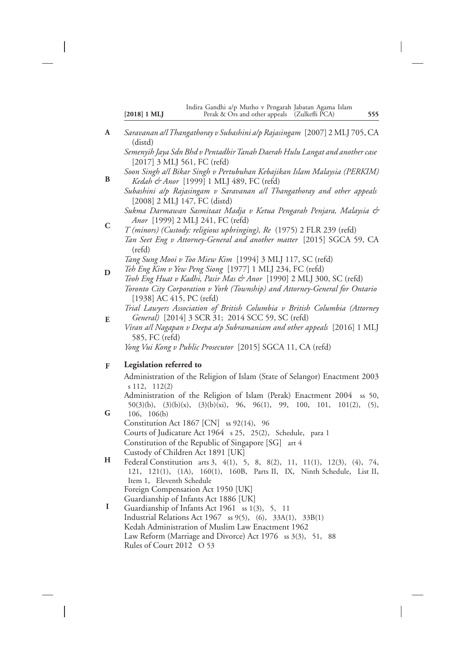- *Saravanan a/lThangathoray v Subashini a/p Rajasingam* [2007] 2 MLJ 705, CA (distd) *Semenyih Jaya Sdn Bhd v Pentadbir Tanah Daerah Hulu Langat and another case* [2017] 3 MLJ 561, FC (refd) *Soon Singh a/l Bikar Singh v Pertubuhan Kebajikan Islam Malaysia (PERKIM) Kedah & Anor* [1999] 1 MLJ 489, FC (refd) *Subashini a/p Rajasingam v Saravanan a/l Thangathoray and other appeals* [2008] 2 MLJ 147, FC (distd) *Sukma Darmawan Sasmitaat Madja v Ketua Pengarah Penjara, Malaysia & Anor* [1999] 2 MLJ 241, FC (refd) *T (minors) (Custody: religious upbringing), Re* (1975) 2 FLR 239 (refd) *Tan Seet Eng v Attorney-General and another matter* [2015] SGCA 59, CA (refd) *Tang Sung Mooi v Too Miew Kim* [1994] 3 MLJ 117, SC (refd) *Teh Eng Kim v Yew Peng Siong* [1977] 1 MLJ 234, FC (refd) *Teoh Eng Huat v Kadhi, Pasir Mas & Anor* [1990] 2 MLJ 300, SC (refd) *Toronto City Corporation v York (Township) and Attorney-General for Ontario* [1938] AC 415, PC (refd) *Trial Lawyers Association of British Columbia v British Columbia (Attorney* **A B C D**
- *General)* [2014] 3 SCR 31; 2014 SCC 59, SC (refd) *Viran a/l Nagapan v Deepa a/p Subramaniam and other appeals* [2016] 1 MLJ 585, FC (refd) *Yong Vui Kong v Public Prosecutor* [2015] SGCA 11, CA (refd) **E**

#### **Legislation referred to F**

Administration of the Religion of Islam (State of Selangor) Enactment 2003 s 112, 112(2) Administration of the Religion of Islam (Perak) Enactment 2004 ss 50, 50(3)(b), (3)(b)(x), (3)(b)(xi), 96, 96(1), 99, 100, 101, 101(2), (5), 106, 106(b) Constitution Act 1867 [CN] ss 92(14), 96 Courts of Judicature Act 1964 s 25, 25(2), Schedule, para 1 Constitution of the Republic of Singapore [SG] art 4 Custody of Children Act 1891 [UK] Federal Constitution arts 3, 4(1), 5, 8, 8(2), 11, 11(1), 12(3), (4), 74, 121, 121(1), (1A), 160(1), 160B, Parts II, IX, Ninth Schedule, List II, **G H**

- Item 1, Eleventh Schedule Foreign Compensation Act 1950 [UK] Guardianship of Infants Act 1886 [UK]
- Guardianship of Infants Act 1961 ss 1(3), 5, 11 Industrial Relations Act 1967 ss 9(5), (6), 33A(1), 33B(1) Kedah Administration of Muslim Law Enactment 1962 Law Reform (Marriage and Divorce) Act 1976 ss 3(3), 51, 88 Rules of Court 2012 O 53 **I**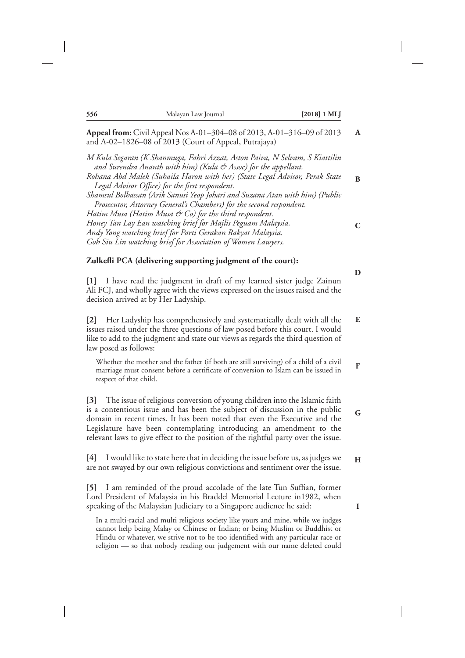| 556                            | Malayan Law Journal                                                                                                                                                                                                                                                                                                                                                                                                                                                                                                                                                                                                                                                                              | $[2018]$ 1 MLJ |
|--------------------------------|--------------------------------------------------------------------------------------------------------------------------------------------------------------------------------------------------------------------------------------------------------------------------------------------------------------------------------------------------------------------------------------------------------------------------------------------------------------------------------------------------------------------------------------------------------------------------------------------------------------------------------------------------------------------------------------------------|----------------|
|                                | Appeal from: Civil Appeal Nos A-01-304-08 of 2013, A-01-316-09 of 2013<br>and A-02-1826-08 of 2013 (Court of Appeal, Putrajaya)                                                                                                                                                                                                                                                                                                                                                                                                                                                                                                                                                                  |                |
|                                | M Kula Segaran (K Shanmuga, Fahri Azzat, Aston Paiva, N Selvam, S Kiattilin<br>and Surendra Ananth with him) (Kula & Assoc) for the appellant.<br>Rohana Abd Malek (Suhaila Haron with her) (State Legal Advisor, Perak State<br>Legal Advisor Office) for the first respondent.<br>Shamsul Bolhassan (Arik Sanusi Yeop Johari and Suzana Atan with him) (Public<br>Prosecutor, Attorney General's Chambers) for the second respondent.<br>Hatim Musa (Hatim Musa & Co) for the third respondent.<br>Honey Tan Lay Ean watching brief for Majlis Peguam Malaysia.<br>Andy Yong watching brief for Parti Gerakan Rakyat Malaysia.<br>Goh Siu Lin watching brief for Association of Women Lawyers. |                |
|                                | Zulkefli PCA (delivering supporting judgment of the court):                                                                                                                                                                                                                                                                                                                                                                                                                                                                                                                                                                                                                                      |                |
|                                | [1] I have read the judgment in draft of my learned sister judge Zainun<br>Ali FCJ, and wholly agree with the views expressed on the issues raised and the<br>decision arrived at by Her Ladyship.                                                                                                                                                                                                                                                                                                                                                                                                                                                                                               |                |
| $[2]$<br>law posed as follows: | Her Ladyship has comprehensively and systematically dealt with all the<br>issues raised under the three questions of law posed before this court. I would<br>like to add to the judgment and state our views as regards the third question of                                                                                                                                                                                                                                                                                                                                                                                                                                                    |                |
| respect of that child.         | Whether the mother and the father (if both are still surviving) of a child of a civil<br>marriage must consent before a certificate of conversion to Islam can be issued in                                                                                                                                                                                                                                                                                                                                                                                                                                                                                                                      |                |
| [3]                            | The issue of religious conversion of young children into the Islamic faith<br>is a contentious issue and has been the subject of discussion in the public<br>domain in recent times. It has been noted that even the Executive and the<br>Legislature have been contemplating introducing an amendment to the<br>relevant laws to give effect to the position of the rightful party over the issue.                                                                                                                                                                                                                                                                                              |                |
| [4]                            | I would like to state here that in deciding the issue before us, as judges we<br>are not swayed by our own religious convictions and sentiment over the issue.                                                                                                                                                                                                                                                                                                                                                                                                                                                                                                                                   |                |
| $\left[5\right]$               | I am reminded of the proud accolade of the late Tun Suffian, former<br>Lord President of Malaysia in his Braddel Memorial Lecture in 1982, when<br>speaking of the Malaysian Judiciary to a Singapore audience he said:<br>In a multi-racial and multi religious society like yours and mine, while we judges<br>cannot help being Malay or Chinese or Indian; or being Muslim or Buddhist or<br>Hindu or whatever, we strive not to be too identified with any particular race or<br>religion — so that nobody reading our judgement with our name deleted could                                                                                                                                |                |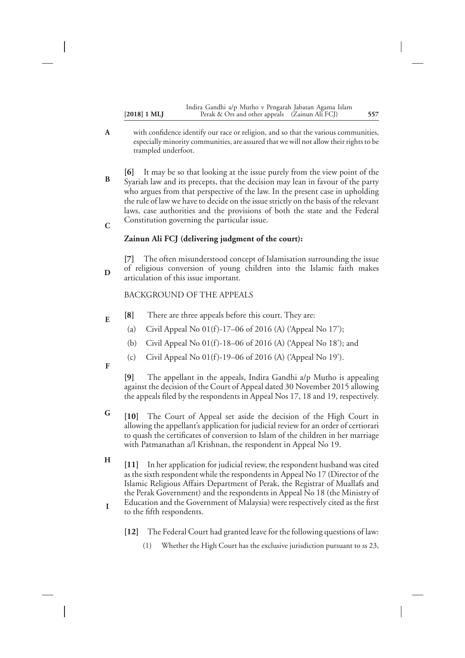|                | Indira Gandhi a/p Mutho v Pengarah Jabatan Agama Islam |     |
|----------------|--------------------------------------------------------|-----|
| $[2018]$ 1 MLJ | Perak & Ors and other appeals (Zainun Ali FCJ)         | 557 |

- with confidence identify our race or religion, and so that the various communities, especially minority communities, are assured that we will not allow their rights to be trampled underfoot. **A**
- **[6]** It may be so that looking at the issue purely from the view point of the Syariah law and its precepts, that the decision may lean in favour of the party who argues from that perspective of the law. In the present case in upholding the rule of law we have to decide on the issue strictly on the basis of the relevant laws, case authorities and the provisions of both the state and the Federal Constitution governing the particular issue. **B C**

#### **Zainun Ali FCJ (delivering judgment of the court):**

**[7]** The often misunderstood concept of Islamisation surrounding the issue of religious conversion of young children into the Islamic faith makes articulation of this issue important.

#### BACKGROUND OF THE APPEALS

- **[8]** There are three appeals before this court. They are: **E**
	- (a) Civil Appeal No  $01(f)$ -17–06 of 2016 (A) ('Appeal No 17');
	- (b) Civil Appeal No 01(f)-18–06 of 2016 (A) ('Appeal No 18'); and
	- (c) Civil Appeal No  $01(f)$ -19–06 of 2016 (A) ('Appeal No 19').

**F**

**D**

**[9]** The appellant in the appeals, Indira Gandhi a/p Mutho is appealing against the decision of the Court of Appeal dated 30 November 2015 allowing the appeals filed by the respondents in Appeal Nos 17, 18 and 19, respectively.

- **[10]** The Court of Appeal set aside the decision of the High Court in allowing the appellant's application for judicial review for an order of certiorari to quash the certificates of conversion to Islam of the children in her marriage with Patmanathan a/l Krishnan, the respondent in Appeal No 19. **G**
- **[11]** In her application for judicial review, the respondent husband was cited as the sixth respondent while the respondents in Appeal No 17 (Director of the Islamic Religious Affairs Department of Perak, the Registrar of Muallafs and the Perak Government) and the respondents in Appeal No 18 (the Ministry of Education and the Government of Malaysia) were respectively cited as the first to the fifth respondents. **H I**
	- **[12]** The Federal Court had granted leave for the following questions of law:
		- (1) Whether the High Court has the exclusive jurisdiction pursuant to ss 23,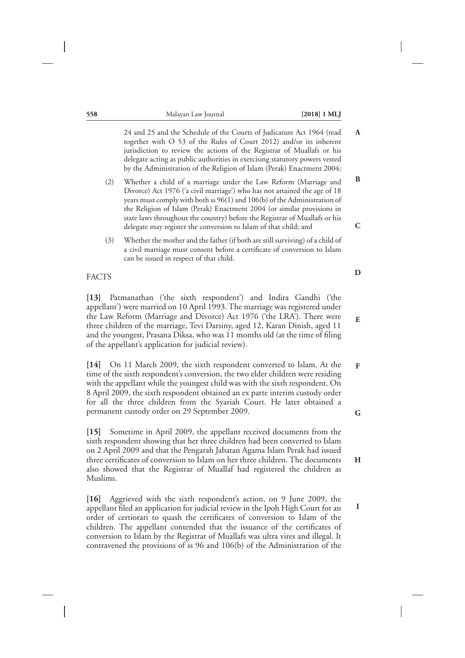| 558               |     | Malayan Law Journal<br>$[2018]$ 1 MLJ                                                                                                                                                                                                                                                                                                                                                                                                                 |               |
|-------------------|-----|-------------------------------------------------------------------------------------------------------------------------------------------------------------------------------------------------------------------------------------------------------------------------------------------------------------------------------------------------------------------------------------------------------------------------------------------------------|---------------|
|                   |     | 24 and 25 and the Schedule of the Courts of Judicature Act 1964 (read<br>together with O 53 of the Rules of Court 2012) and/or its inherent<br>jurisdiction to review the actions of the Registrar of Muallafs or his<br>delegate acting as public authorities in exercising statutory powers vested<br>by the Administration of the Religion of Islam (Perak) Enactment 2004;                                                                        | $\mathbf{A}$  |
|                   | (2) | Whether a child of a marriage under the Law Reform (Marriage and<br>Divorce) Act 1976 ('a civil marriage') who has not attained the age of 18<br>years must comply with both ss 96(1) and 106(b) of the Administration of<br>the Religion of Islam (Perak) Enactment 2004 (or similar provisions in<br>state laws throughout the country) before the Registrar of Muallafs or his<br>delegate may register the conversion to Islam of that child; and | $\bf{B}$<br>C |
|                   | (3) | Whether the mother and the father (if both are still surviving) of a child of<br>a civil marriage must consent before a certificate of conversion to Islam<br>can be issued in respect of that child.                                                                                                                                                                                                                                                 |               |
| <b>FACTS</b>      |     |                                                                                                                                                                                                                                                                                                                                                                                                                                                       | D             |
| $\left[13\right]$ |     | Patmanathan ('the sixth respondent') and Indira Gandhi ('the<br>appellant') were married on 10 April 1993. The marriage was registered under<br>the Law Reform (Marriage and Divorce) Act 1976 ('the LRA'). There were<br>three children of the marriage, Tevi Darsiny, aged 12, Karan Dinish, aged 11<br>and the youngest, Prasana Diksa, who was 11 months old (at the time of filing                                                               | ${\bf E}$     |

**[14]** On 11 March 2009, the sixth respondent converted to Islam. At the time of the sixth respondent's conversion, the two elder children were residing with the appellant while the youngest child was with the sixth respondent. On 8 April 2009, the sixth respondent obtained an ex parte interim custody order for all the three children from the Syariah Court. He later obtained a permanent custody order on 29 September 2009.

of the appellant's application for judicial review).

**[15]** Sometime in April 2009, the appellant received documents from the sixth respondent showing that her three children had been converted to Islam on 2 April 2009 and that the Pengarah Jabatan Agama Islam Perak had issued three certificates of conversion to Islam on her three children. The documents also showed that the Registrar of Muallaf had registered the children as Muslims.

**[16]** Aggrieved with the sixth respondent's action, on 9 June 2009, the appellant filed an application for judicial review in the Ipoh High Court for an order of certiorari to quash the certificates of conversion to Islam of the children. The appellant contended that the issuance of the certificates of conversion to Islam by the Registrar of Muallafs was ultra vires and illegal. It contravened the provisions of ss 96 and 106(b) of the Administration of the

**F**

**G**

**H**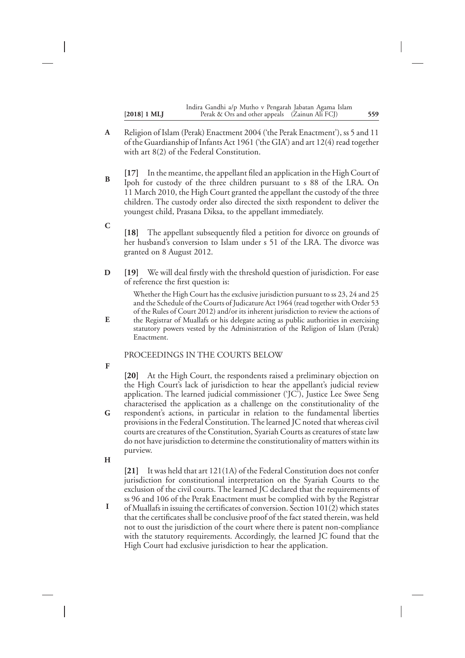| $[2018]$ 1 MLJ | Indira Gandhi a/p Mutho v Pengarah Jabatan Agama Islam<br>Perak & Ors and other appeals (Zainun Ali FCJ) | 559 |
|----------------|----------------------------------------------------------------------------------------------------------|-----|
|                |                                                                                                          |     |

- Religion of Islam (Perak) Enactment 2004 ('the Perak Enactment'), ss 5 and 11 of the Guardianship of Infants Act 1961 ('the GIA') and art 12(4) read together with art 8(2) of the Federal Constitution. **A**
- **[17]** In the meantime, the appellant filed an application in the High Court of Ipoh for custody of the three children pursuant to s 88 of the LRA. On 11 March 2010, the High Court granted the appellant the custody of the three children. The custody order also directed the sixth respondent to deliver the youngest child, Prasana Diksa, to the appellant immediately. **B**
- **[18]** The appellant subsequently filed a petition for divorce on grounds of her husband's conversion to Islam under s 51 of the LRA. The divorce was granted on 8 August 2012. **C**
- **[19]** We will deal firstly with the threshold question of jurisdiction. For ease of reference the first question is: **D**

Whether the High Court has the exclusive jurisdiction pursuant to ss 23, 24 and 25 and the Schedule of the Courts of Judicature Act 1964 (read together with Order 53 of the Rules of Court 2012) and/or its inherent jurisdiction to review the actions of the Registrar of Muallafs or his delegate acting as public authorities in exercising

statutory powers vested by the Administration of the Religion of Islam (Perak) Enactment.

### PROCEEDINGS IN THE COURTS BELOW

**F**

**E**

**[20]** At the High Court, the respondents raised a preliminary objection on the High Court's lack of jurisdiction to hear the appellant's judicial review application. The learned judicial commissioner ('JC'), Justice Lee Swee Seng characterised the application as a challenge on the constitutionality of the

- respondent's actions, in particular in relation to the fundamental liberties provisions in the Federal Constitution. The learned JC noted that whereas civil courts are creatures of the Constitution, Syariah Courts as creatures of state law do not have jurisdiction to determine the constitutionality of matters within its purview. **G**
- **H**

**[21]** It was held that art 121(1A) of the Federal Constitution does not confer jurisdiction for constitutional interpretation on the Syariah Courts to the exclusion of the civil courts. The learned JC declared that the requirements of ss 96 and 106 of the Perak Enactment must be complied with by the Registrar

of Muallafs in issuing the certificates of conversion. Section 101(2) which states that the certificates shall be conclusive proof of the fact stated therein, was held not to oust the jurisdiction of the court where there is patent non-compliance with the statutory requirements. Accordingly, the learned JC found that the High Court had exclusive jurisdiction to hear the application. **I**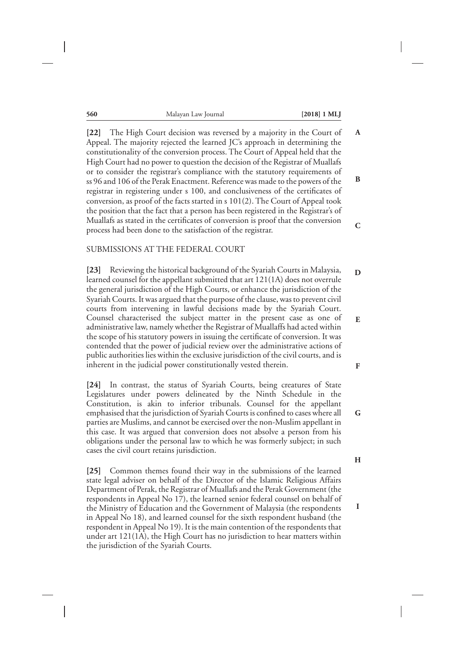| 560 | Malayan Law Journal | $[2018] 1 \text{ ML}$ |
|-----|---------------------|-----------------------|
|-----|---------------------|-----------------------|

**[22]** The High Court decision was reversed by a majority in the Court of Appeal. The majority rejected the learned JC's approach in determining the constitutionality of the conversion process. The Court of Appeal held that the High Court had no power to question the decision of the Registrar of Muallafs or to consider the registrar's compliance with the statutory requirements of ss 96 and 106 of the Perak Enactment. Reference was made to the powers of the registrar in registering under s 100, and conclusiveness of the certificates of conversion, as proof of the facts started in s 101(2). The Court of Appeal took the position that the fact that a person has been registered in the Registrar's of Muallafs as stated in the certificates of conversion is proof that the conversion process had been done to the satisfaction of the registrar. **A B C**

#### SUBMISSIONS AT THE FEDERAL COURT

**[23]** Reviewing the historical background of the Syariah Courts in Malaysia, learned counsel for the appellant submitted that art 121(1A) does not overrule the general jurisdiction of the High Courts, or enhance the jurisdiction of the Syariah Courts. It was argued that the purpose of the clause, was to prevent civil courts from intervening in lawful decisions made by the Syariah Court. Counsel characterised the subject matter in the present case as one of administrative law, namely whether the Registrar of Muallaffs had acted within the scope of his statutory powers in issuing the certificate of conversion. It was contended that the power of judicial review over the administrative actions of public authorities lies within the exclusive jurisdiction of the civil courts, and is inherent in the judicial power constitutionally vested therein.

**[24]** In contrast, the status of Syariah Courts, being creatures of State Legislatures under powers delineated by the Ninth Schedule in the Constitution, is akin to inferior tribunals. Counsel for the appellant emphasised that the jurisdiction of Syariah Courts is confined to cases where all parties are Muslims, and cannot be exercised over the non-Muslim appellant in this case. It was argued that conversion does not absolve a person from his obligations under the personal law to which he was formerly subject; in such cases the civil court retains jurisdiction.

**[25]** Common themes found their way in the submissions of the learned state legal adviser on behalf of the Director of the Islamic Religious Affairs Department of Perak, the Registrar of Muallafs and the Perak Government (the respondents in Appeal No 17), the learned senior federal counsel on behalf of the Ministry of Education and the Government of Malaysia (the respondents in Appeal No 18), and learned counsel for the sixth respondent husband (the respondent in Appeal No 19). It is the main contention of the respondents that under art 121(1A), the High Court has no jurisdiction to hear matters within the jurisdiction of the Syariah Courts.

**G**

**H**

**I**

**D**

**E**

**F**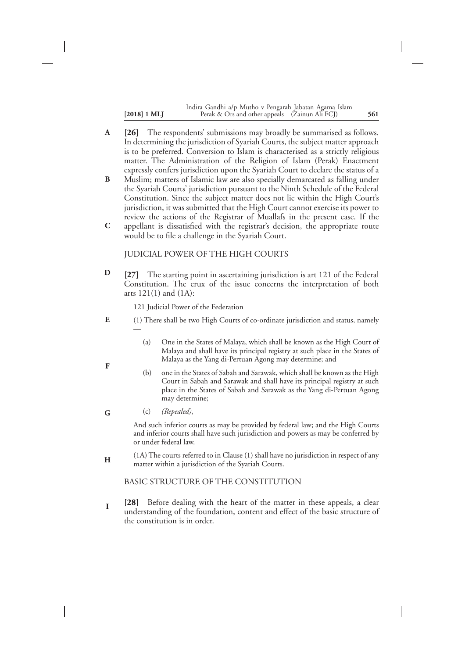| $[2018] 1 \text{ ML}$ | Indira Gandhi a/p Mutho v Pengarah Jabatan Agama Islam<br>Perak & Ors and other appeals (Zainun Ali FCJ) | 561 |
|-----------------------|----------------------------------------------------------------------------------------------------------|-----|
|                       |                                                                                                          |     |

- **[26]** The respondents' submissions may broadly be summarised as follows. In determining the jurisdiction of Syariah Courts, the subject matter approach is to be preferred. Conversion to Islam is characterised as a strictly religious matter. The Administration of the Religion of Islam (Perak) Enactment expressly confers jurisdiction upon the Syariah Court to declare the status of a **A**
- Muslim; matters of Islamic law are also specially demarcated as falling under the Syariah Courts' jurisdiction pursuant to the Ninth Schedule of the Federal Constitution. Since the subject matter does not lie within the High Court's jurisdiction, it was submitted that the High Court cannot exercise its power to review the actions of the Registrar of Muallafs in the present case. If the **B C**
- appellant is dissatisfied with the registrar's decision, the appropriate route would be to file a challenge in the Syariah Court.

#### JUDICIAL POWER OF THE HIGH COURTS

**[27]** The starting point in ascertaining jurisdiction is art 121 of the Federal Constitution. The crux of the issue concerns the interpretation of both arts 121(1) and (1A): **D**

121 Judicial Power of the Federation

- (1) There shall be two High Courts of co-ordinate jurisdiction and status, namely — **E**
	- (a) One in the States of Malaya, which shall be known as the High Court of Malaya and shall have its principal registry at such place in the States of Malaya as the Yang di-Pertuan Agong may determine; and
	- (b) one in the States of Sabah and Sarawak, which shall be known as the High Court in Sabah and Sarawak and shall have its principal registry at such place in the States of Sabah and Sarawak as the Yang di-Pertuan Agong may determine;
	- (c) *(Repealed)*,

**F**

**G**

And such inferior courts as may be provided by federal law; and the High Courts and inferior courts shall have such jurisdiction and powers as may be conferred by or under federal law.

(1A) The courts referred to in Clause (1) shall have no jurisdiction in respect of any matter within a jurisdiction of the Syariah Courts. **H**

BASIC STRUCTURE OF THE CONSTITUTION

**[28]** Before dealing with the heart of the matter in these appeals, a clear understanding of the foundation, content and effect of the basic structure of the constitution is in order. **I**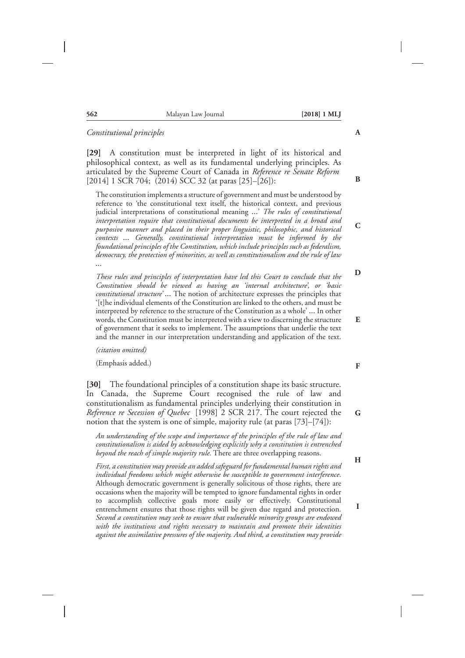| 562 | Malayan Law Journal | $[2018]$ 1 MLJ |
|-----|---------------------|----------------|
|-----|---------------------|----------------|

#### *Constitutional principles*

**[29]** A constitution must be interpreted in light of its historical and philosophical context, as well as its fundamental underlying principles. As articulated by the Supreme Court of Canada in *Reference re Senate Reform* [2014] 1 SCR 704; (2014) SCC 32 (at paras [25]–[26]):

The constitution implements a structure of government and must be understood by reference to 'the constitutional text itself, the historical context, and previous judicial interpretations of constitutional meaning …' *The rules of constitutional interpretation require that constitutional documents be interpreted in a broad and purposive manner and placed in their proper linguistic, philosophic, and historical contexts … Generally, constitutional interpretation must be informed by the foundational principles of the Constitution, which include principles such as federalism, democracy, the protection of minorities, as well as constitutionalism and the rule of law …*

*These rules and principles of interpretation have led this Court to conclude that the Constitution should be viewed as having an 'internal architecture', or 'basic constitutional structure' …* The notion of architecture expresses the principles that '[t]he individual elements of the Constitution are linked to the others, and must be interpreted by reference to the structure of the Constitution as a whole' … In other words, the Constitution must be interpreted with a view to discerning the structure of government that it seeks to implement. The assumptions that underlie the text and the manner in our interpretation understanding and application of the text.

*(citation omitted)*

(Emphasis added.)

**[30]** The foundational principles of a constitution shape its basic structure. In Canada, the Supreme Court recognised the rule of law and constitutionalism as fundamental principles underlying their constitution in *Reference re Secession of Quebec* [1998] 2 SCR 217. The court rejected the notion that the system is one of simple, majority rule (at paras [73]–[74]):

*An understanding of the scope and importance of the principles of the rule of law and constitutionalism is aided by acknowledging explicitly why a constitution is entrenched beyond the reach of simple majority rule.* There are three overlapping reasons.

*First, a constitution may provide an added safeguard for fundamental human rights and individual freedoms which might otherwise be susceptible to government interference*. Although democratic government is generally solicitous of those rights, there are occasions when the majority will be tempted to ignore fundamental rights in order to accomplish collective goals more easily or effectively. Constitutional entrenchment ensures that those rights will be given due regard and protection. *Second a constitution may seek to ensure that vulnerable minority groups are endowed with the institutions and rights necessary to maintain and promote their identities against the assimilative pressures of the majority. And third, a constitution may provide*

**D**

**F**

**G**

**E**

**H**

**I**

**A**

**B**

**C**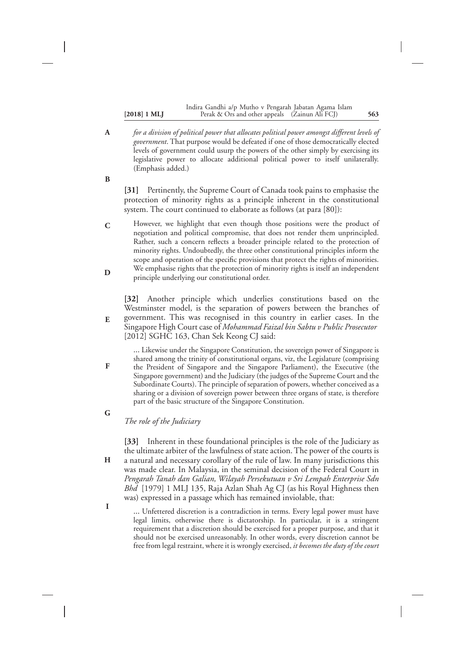#### **[2018] 1 MLJ 563** Perak & Ors and other appeals (Zainun Ali FCJ) Indira Gandhi a/p Mutho v Pengarah Jabatan Agama Islam

*for a division of political power that allocates political power amongst different levels of government*. That purpose would be defeated if one of those democratically elected levels of government could usurp the powers of the other simply by exercising its legislative power to allocate additional political power to itself unilaterally. (Emphasis added.) **A**

**B**

**[31]** Pertinently, the Supreme Court of Canada took pains to emphasise the protection of minority rights as a principle inherent in the constitutional system. The court continued to elaborate as follows (at para [80]):

However, we highlight that even though those positions were the product of negotiation and political compromise, that does not render them unprincipled. Rather, such a concern reflects a broader principle related to the protection of minority rights. Undoubtedly, the three other constitutional principles inform the scope and operation of the specific provisions that protect the rights of minorities. We emphasise rights that the protection of minority rights is itself an independent principle underlying our constitutional order. **C D**

**[32]** Another principle which underlies constitutions based on the Westminster model, is the separation of powers between the branches of government. This was recognised in this country in earlier cases. In the Singapore High Court case of *Mohammad Faizal bin Sabtu v Public Prosecutor* [2012] SGHC 163, Chan Sek Keong CJ said:

… Likewise under the Singapore Constitution, the sovereign power of Singapore is shared among the trinity of constitutional organs, viz, the Legislature (comprising the President of Singapore and the Singapore Parliament), the Executive (the Singapore government) and the Judiciary (the judges of the Supreme Court and the Subordinate Courts). The principle of separation of powers, whether conceived as a sharing or a division of sovereign power between three organs of state, is therefore part of the basic structure of the Singapore Constitution.

**G**

**H**

**I**

**E**

**F**

## *The role of the Judiciary*

**[33]** Inherent in these foundational principles is the role of the Judiciary as the ultimate arbiter of the lawfulness of state action. The power of the courts is a natural and necessary corollary of the rule of law. In many jurisdictions this was made clear. In Malaysia, in the seminal decision of the Federal Court in *Pengarah Tanah dan Galian, Wilayah Persekutuan v Sri Lempah Enterprise Sdn Bhd* [1979] 1 MLJ 135, Raja Azlan Shah Ag CJ (as his Royal Highness then was) expressed in a passage which has remained inviolable, that:

… Unfettered discretion is a contradiction in terms. Every legal power must have legal limits, otherwise there is dictatorship. In particular, it is a stringent requirement that a discretion should be exercised for a proper purpose, and that it should not be exercised unreasonably. In other words, every discretion cannot be free from legal restraint, where it is wrongly exercised, *it becomes the duty of the court*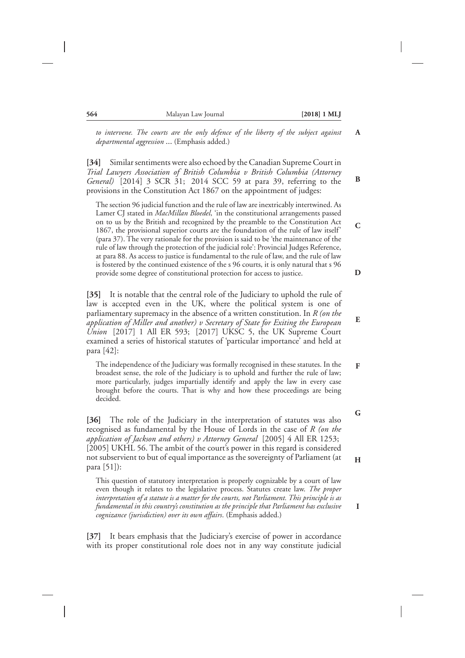*to intervene. The courts are the only defence of the liberty of the subject against departmental aggression* … (Emphasis added.)

**[34]** Similar sentiments were also echoed by the Canadian Supreme Court in *Trial Lawyers Association of British Columbia v British Columbia (Attorney General)* [2014] 3 SCR 31; 2014 SCC 59 at para 39, referring to the provisions in the Constitution Act 1867 on the appointment of judges:

The section 96 judicial function and the rule of law are inextricably intertwined. As Lamer CJ stated in *MacMillan Bloedel*, 'in the constitutional arrangements passed on to us by the British and recognized by the preamble to the Constitution Act 1867, the provisional superior courts are the foundation of the rule of law itself' (para 37). The very rationale for the provision is said to be 'the maintenance of the rule of law through the protection of the judicial role': Provincial Judges Reference, at para 88. As access to justice is fundamental to the rule of law, and the rule of law is fostered by the continued existence of the s 96 courts, it is only natural that s 96 provide some degree of constitutional protection for access to justice.

**[35]** It is notable that the central role of the Judiciary to uphold the rule of law is accepted even in the UK, where the political system is one of parliamentary supremacy in the absence of a written constitution. In *R (on the application of Miller and another) v Secretary of State for Exiting the European Union* [2017] 1 All ER 593; [2017] UKSC 5, the UK Supreme Court examined a series of historical statutes of 'particular importance' and held at para [42]:

The independence of the Judiciary was formally recognised in these statutes. In the broadest sense, the role of the Judiciary is to uphold and further the rule of law; more particularly, judges impartially identify and apply the law in every case brought before the courts. That is why and how these proceedings are being decided.

**[36]** The role of the Judiciary in the interpretation of statutes was also recognised as fundamental by the House of Lords in the case of *R (on the application of Jackson and others) v Attorney General* [2005] 4 All ER 1253; [2005] UKHL 56. The ambit of the court's power in this regard is considered not subservient to but of equal importance as the sovereignty of Parliament (at para [51]):

This question of statutory interpretation is properly cognizable by a court of law even though it relates to the legislative process. Statutes create law. *The proper interpretation of a statute is a matter for the courts, not Parliament. This principle is as fundamental in this country's constitution as the principle that Parliament has exclusive cognizance (jurisdiction) over its own affairs*. (Emphasis added.)

**[37]** It bears emphasis that the Judiciary's exercise of power in accordance with its proper constitutional role does not in any way constitute judicial **D**

**E**

**F**

**A**

**B**

**C**

**G**

**H**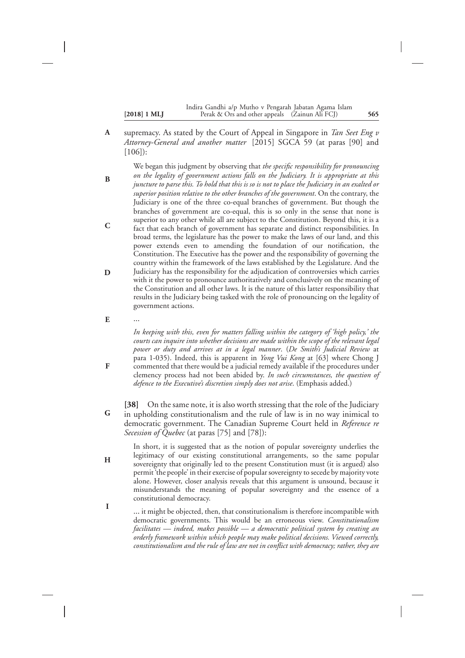supremacy. As stated by the Court of Appeal in Singapore in *Tan Seet Eng v Attorney-General and another matter* [2015] SGCA 59 (at paras [90] and [106]): **A**

We began this judgment by observing that *the specific responsibility for pronouncing on the legality of government actions falls on the Judiciary. It is appropriate at this juncture to parse this. To hold that this is so is not to place the Judiciary in an exalted or superior position relative to the other branches of the government*. On the contrary, the Judiciary is one of the three co-equal branches of government. But though the branches of government are co-equal, this is so only in the sense that none is superior to any other while all are subject to the Constitution. Beyond this, it is a fact that each branch of government has separate and distinct responsibilities. In broad terms, the legislature has the power to make the laws of our land, and this power extends even to amending the foundation of our notification, the Constitution. The Executive has the power and the responsibility of governing the country within the framework of the laws established by the Legislature. And the Judiciary has the responsibility for the adjudication of controversies which carries with it the power to pronounce authoritatively and conclusively on the meaning of the Constitution and all other laws. It is the nature of this latter responsibility that results in the Judiciary being tasked with the role of pronouncing on the legality of government actions. **B C D**

… **E**

**F**

**H**

**I**

*In keeping with this, even for matters falling within the category of 'high policy,' the courts can inquire into whether decisions are made within the scope of the relevant legal power or duty and arrives at in a legal manner*. (*De Smith's Judicial Review* at para 1-035). Indeed, this is apparent in *Yong Vui Kong* at [63] where Chong J commented that there would be a judicial remedy available if the procedures under clemency process had not been abided by. *In such circumstances, the question of defence to the Executive's discretion simply does not arise*. (Emphasis added.)

**[38]** On the same note, it is also worth stressing that the role of the Judiciary in upholding constitutionalism and the rule of law is in no way inimical to democratic government. The Canadian Supreme Court held in *Reference re Secession of Quebec* (at paras [75] and [78]): **G**

In short, it is suggested that as the notion of popular sovereignty underlies the legitimacy of our existing constitutional arrangements, so the same popular sovereignty that originally led to the present Constitution must (it is argued) also permit 'the people' in their exercise of popular sovereignty to secede by majority vote alone. However, closer analysis reveals that this argument is unsound, because it misunderstands the meaning of popular sovereignty and the essence of a constitutional democracy.

… it might be objected, then, that constitutionalism is therefore incompatible with democratic governments. This would be an erroneous view. *Constitutionalism facilitates — indeed, makes possible — a democratic political system by creating an orderly framework within which people may make political decisions. Viewed correctly, constitutionalism and the rule of law are not in conflict with democracy; rather, they are*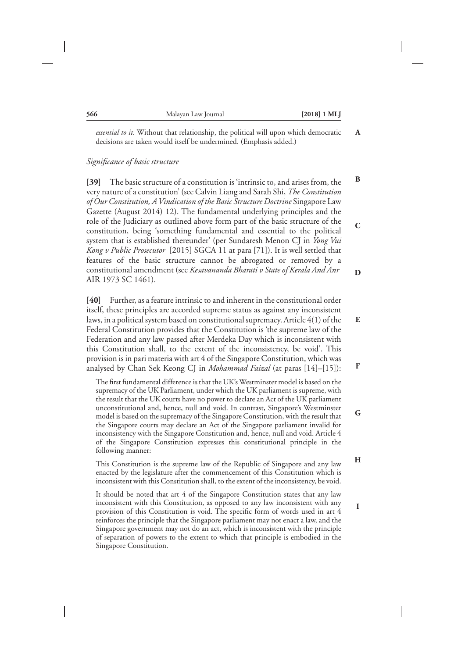**E**

**F**

**G**

**H**

**I**

*essential to it*. Without that relationship, the political will upon which democratic decisions are taken would itself be undermined. (Emphasis added.)

#### *Significance of basic structure*

**[39]** The basic structure of a constitution is 'intrinsic to, and arises from, the very nature of a constitution' (see Calvin Liang and Sarah Shi, *The Constitution of Our Constitution, A Vindication of the Basic Structure Doctrine* Singapore Law Gazette (August 2014) 12). The fundamental underlying principles and the role of the Judiciary as outlined above form part of the basic structure of the constitution, being 'something fundamental and essential to the political system that is established thereunder' (per Sundaresh Menon CJ in *Yong Vui Kong v Public Prosecutor* [2015] SGCA 11 at para [71]). It is well settled that features of the basic structure cannot be abrogated or removed by a constitutional amendment (see *Kesavananda Bharati v State of Kerala And Anr* AIR 1973 SC 1461). **B C D**

**[40]** Further, as a feature intrinsic to and inherent in the constitutional order itself, these principles are accorded supreme status as against any inconsistent laws, in a political system based on constitutional supremacy. Article 4(1) of the Federal Constitution provides that the Constitution is 'the supreme law of the Federation and any law passed after Merdeka Day which is inconsistent with this Constitution shall, to the extent of the inconsistency, be void'. This provision is in pari materia with art 4 of the Singapore Constitution, which was analysed by Chan Sek Keong CJ in *Mohammad Faizal* (at paras [14]–[15]):

The first fundamental difference is that the UK's Westminster model is based on the supremacy of the UK Parliament, under which the UK parliament is supreme, with the result that the UK courts have no power to declare an Act of the UK parliament unconstitutional and, hence, null and void. In contrast, Singapore's Westminster model is based on the supremacy of the Singapore Constitution, with the result that the Singapore courts may declare an Act of the Singapore parliament invalid for inconsistency with the Singapore Constitution and, hence, null and void. Article 4 of the Singapore Constitution expresses this constitutional principle in the following manner:

This Constitution is the supreme law of the Republic of Singapore and any law enacted by the legislature after the commencement of this Constitution which is inconsistent with this Constitution shall, to the extent of the inconsistency, be void.

It should be noted that art 4 of the Singapore Constitution states that any law inconsistent with this Constitution, as opposed to any law inconsistent with any provision of this Constitution is void. The specific form of words used in art 4 reinforces the principle that the Singapore parliament may not enact a law, and the Singapore government may not do an act, which is inconsistent with the principle of separation of powers to the extent to which that principle is embodied in the Singapore Constitution.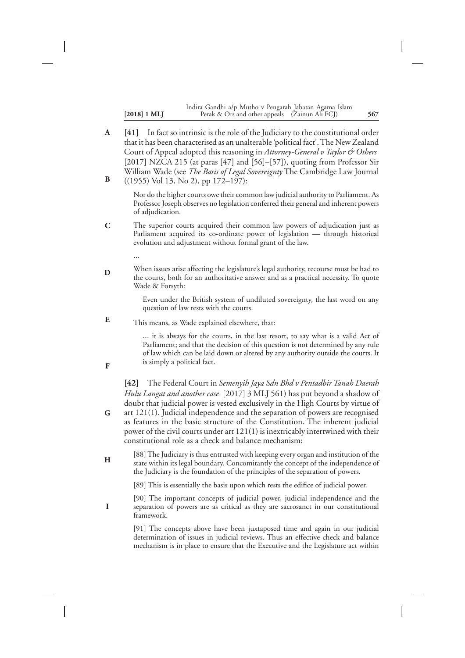|                       | Indira Gandhi a/p Mutho v Pengarah Jabatan Agama Islam |     |
|-----------------------|--------------------------------------------------------|-----|
| $[2018] 1 \text{ ML}$ | Perak & Ors and other appeals (Zainun Ali FCJ)         | 567 |

**[41]** In fact so intrinsic is the role of the Judiciary to the constitutional order that it has been characterised as an unalterable 'political fact'.The New Zealand Court of Appeal adopted this reasoning in *Attorney-General v Taylor & Others* [2017] NZCA 215 (at paras [47] and [56]–[57]), quoting from Professor Sir William Wade (see *The Basis of Legal Sovereignty* The Cambridge Law Journal ((1955) Vol 13, No 2), pp 172–197): **A B**

> Nor do the higher courts owe their common law judicial authority to Parliament. As Professor Joseph observes no legislation conferred their general and inherent powers of adjudication.

The superior courts acquired their common law powers of adjudication just as Parliament acquired its co-ordinate power of legislation — through historical evolution and adjustment without formal grant of the law. **C**

…

**F**

**G**

**I**

When issues arise affecting the legislature's legal authority, recourse must be had to the courts, both for an authoritative answer and as a practical necessity. To quote Wade & Forsyth: **D**

> Even under the British system of undiluted sovereignty, the last word on any question of law rests with the courts.

This means, as Wade explained elsewhere, that: **E**

> … it is always for the courts, in the last resort, to say what is a valid Act of Parliament; and that the decision of this question is not determined by any rule of law which can be laid down or altered by any authority outside the courts. It is simply a political fact.

**[42]** The Federal Court in *Semenyih Jaya Sdn Bhd v Pentadbir Tanah Daerah Hulu Langat and another case* [2017] 3 MLJ 561) has put beyond a shadow of doubt that judicial power is vested exclusively in the High Courts by virtue of art 121(1). Judicial independence and the separation of powers are recognised as features in the basic structure of the Constitution. The inherent judicial power of the civil courts under art 121(1) is inextricably intertwined with their constitutional role as a check and balance mechanism:

[88] The Judiciary is thus entrusted with keeping every organ and institution of the state within its legal boundary. Concomitantly the concept of the independence of the Judiciary is the foundation of the principles of the separation of powers. **H**

[89] This is essentially the basis upon which rests the edifice of judicial power.

[90] The important concepts of judicial power, judicial independence and the separation of powers are as critical as they are sacrosanct in our constitutional framework.

[91] The concepts above have been juxtaposed time and again in our judicial determination of issues in judicial reviews. Thus an effective check and balance mechanism is in place to ensure that the Executive and the Legislature act within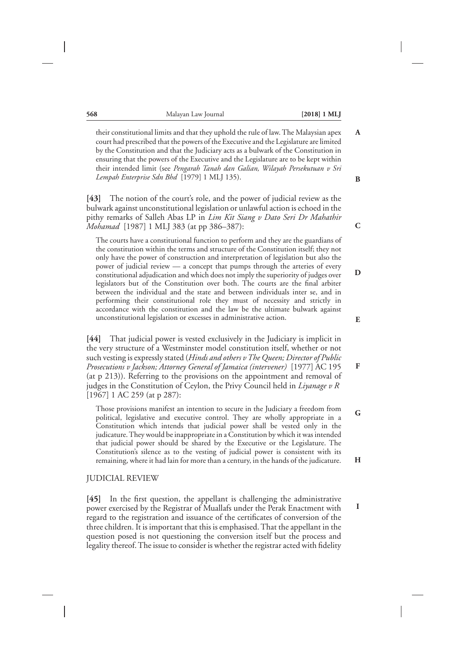their constitutional limits and that they uphold the rule of law. The Malaysian apex court had prescribed that the powers of the Executive and the Legislature are limited by the Constitution and that the Judiciary acts as a bulwark of the Constitution in ensuring that the powers of the Executive and the Legislature are to be kept within their intended limit (see *Pengarah Tanah dan Galian, Wilayah Persekutuan v Sri Lempah Enterprise Sdn Bhd* [1979] 1 MLJ 135).

**[43]** The notion of the court's role, and the power of judicial review as the bulwark against unconstitutional legislation or unlawful action is echoed in the pithy remarks of Salleh Abas LP in *Lim Kit Siang v Dato Seri Dr Mahathir Mohamad* [1987] 1 MLJ 383 (at pp 386–387):

The courts have a constitutional function to perform and they are the guardians of the constitution within the terms and structure of the Constitution itself; they not only have the power of construction and interpretation of legislation but also the power of judicial review — a concept that pumps through the arteries of every constitutional adjudication and which does not imply the superiority of judges over legislators but of the Constitution over both. The courts are the final arbiter between the individual and the state and between individuals inter se, and in performing their constitutional role they must of necessity and strictly in accordance with the constitution and the law be the ultimate bulwark against unconstitutional legislation or excesses in administrative action.

**[44]** That judicial power is vested exclusively in the Judiciary is implicit in the very structure of a Westminster model constitution itself, whether or not such vesting is expressly stated (*Hinds and others v The Queen; Director of Public Prosecutions v Jackson; Attorney General of Jamaica (intervener)* [1977] AC 195 (at p 213)). Referring to the provisions on the appointment and removal of judges in the Constitution of Ceylon, the Privy Council held in *Liyanage v R* [1967] 1 AC 259 (at p 287):

Those provisions manifest an intention to secure in the Judiciary a freedom from political, legislative and executive control. They are wholly appropriate in a Constitution which intends that judicial power shall be vested only in the judicature. They would be inappropriate in a Constitution by which it was intended that judicial power should be shared by the Executive or the Legislature. The Constitution's silence as to the vesting of judicial power is consistent with its remaining, where it had lain for more than a century, in the hands of the judicature.

#### JUDICIAL REVIEW

**[45]** In the first question, the appellant is challenging the administrative power exercised by the Registrar of Muallafs under the Perak Enactment with regard to the registration and issuance of the certificates of conversion of the three children. It is important that this is emphasised. That the appellant in the question posed is not questioning the conversion itself but the process and legality thereof. The issue to consider is whether the registrar acted with fidelity **B**

**A**

**C**

**D**

**E**

**F**

**H**

**G**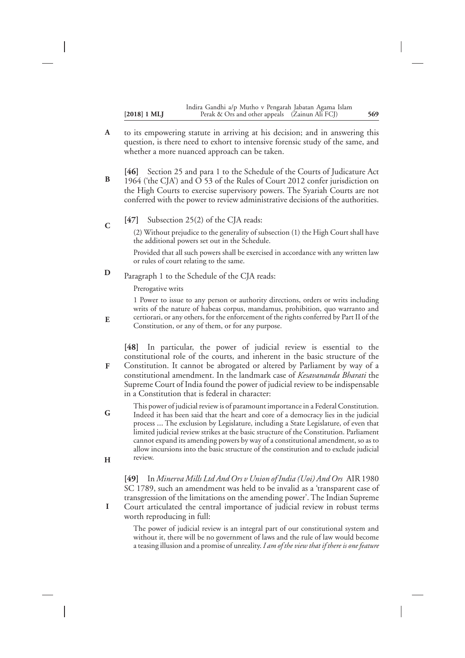to its empowering statute in arriving at his decision; and in answering this question, is there need to exhort to intensive forensic study of the same, and whether a more nuanced approach can be taken. **A**

**[46]** Section 25 and para 1 to the Schedule of the Courts of Judicature Act 1964 ('the CJA') and  $\overline{O}$  53 of the Rules of Court 2012 confer jurisdiction on the High Courts to exercise supervisory powers. The Syariah Courts are not conferred with the power to review administrative decisions of the authorities. **B**

**[47]** Subsection 25(2) of the CJA reads: **C**

> (2) Without prejudice to the generality of subsection (1) the High Court shall have the additional powers set out in the Schedule.

> Provided that all such powers shall be exercised in accordance with any written law or rules of court relating to the same.

Paragraph 1 to the Schedule of the CJA reads: **D**

Prerogative writs

**E**

**I**

1 Power to issue to any person or authority directions, orders or writs including writs of the nature of habeas corpus, mandamus, prohibition, quo warranto and certiorari, or any others, for the enforcement of the rights conferred by Part II of the Constitution, or any of them, or for any purpose.

**[48]** In particular, the power of judicial review is essential to the constitutional role of the courts, and inherent in the basic structure of the Constitution. It cannot be abrogated or altered by Parliament by way of a constitutional amendment. In the landmark case of *Kesavananda Bharati* the Supreme Court of India found the power of judicial review to be indispensable in a Constitution that is federal in character: **F**

This power of judicial review is of paramount importance in a Federal Constitution. Indeed it has been said that the heart and core of a democracy lies in the judicial process … The exclusion by Legislature, including a State Legislature, of even that limited judicial review strikes at the basic structure of the Constitution. Parliament cannot expand its amending powers by way of a constitutional amendment, so as to allow incursions into the basic structure of the constitution and to exclude judicial review. **G H**

**[49]** In *Minerva Mills Ltd And Ors v Union of India (Uoi) And Ors* AIR 1980 SC 1789, such an amendment was held to be invalid as a 'transparent case of transgression of the limitations on the amending power'. The Indian Supreme Court articulated the central importance of judicial review in robust terms worth reproducing in full:

The power of judicial review is an integral part of our constitutional system and without it, there will be no government of laws and the rule of law would become a teasing illusion and a promise of unreality. *I am of the view that if there is one feature*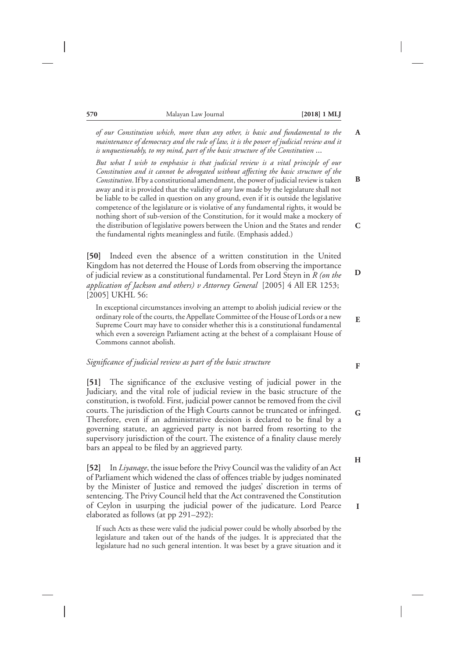**B**

**C**

**D**

**E**

*of our Constitution which, more than any other, is basic and fundamental to the maintenance of democracy and the rule of law, it is the power of judicial review and it is unquestionably, to my mind, part of the basic structure of the Constitution* …

*But what I wish to emphasise is that judicial review is a vital principle of our Constitution and it cannot be abrogated without affecting the basic structure of the Constitution*. If by a constitutional amendment, the power of judicial review is taken away and it is provided that the validity of any law made by the legislature shall not be liable to be called in question on any ground, even if it is outside the legislative competence of the legislature or is violative of any fundamental rights, it would be nothing short of sub-version of the Constitution, for it would make a mockery of the distribution of legislative powers between the Union and the States and render the fundamental rights meaningless and futile. (Emphasis added.)

**[50]** Indeed even the absence of a written constitution in the United Kingdom has not deterred the House of Lords from observing the importance of judicial review as a constitutional fundamental. Per Lord Steyn in *R (on the application of Jackson and others) v Attorney General* [2005] 4 All ER 1253; [2005] UKHL 56:

In exceptional circumstances involving an attempt to abolish judicial review or the ordinary role of the courts, the Appellate Committee of the House of Lords or a new Supreme Court may have to consider whether this is a constitutional fundamental which even a sovereign Parliament acting at the behest of a complaisant House of Commons cannot abolish.

#### *Significance of judicial review as part of the basic structure*

**[51]** The significance of the exclusive vesting of judicial power in the Judiciary, and the vital role of judicial review in the basic structure of the constitution, is twofold. First, judicial power cannot be removed from the civil courts. The jurisdiction of the High Courts cannot be truncated or infringed. Therefore, even if an administrative decision is declared to be final by a governing statute, an aggrieved party is not barred from resorting to the supervisory jurisdiction of the court. The existence of a finality clause merely bars an appeal to be filed by an aggrieved party.

**[52]** In *Liyanage*, the issue before the Privy Council was the validity of an Act of Parliament which widened the class of offences triable by judges nominated by the Minister of Justice and removed the judges' discretion in terms of sentencing. The Privy Council held that the Act contravened the Constitution of Ceylon in usurping the judicial power of the judicature. Lord Pearce elaborated as follows (at pp 291–292):

If such Acts as these were valid the judicial power could be wholly absorbed by the legislature and taken out of the hands of the judges. It is appreciated that the legislature had no such general intention. It was beset by a grave situation and it **F**

**G**

**H**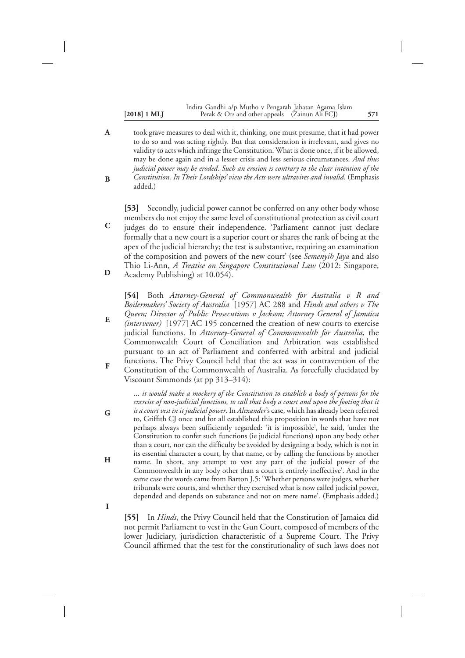**C**

**D**

**G**

**H**

**I**

#### **[2018] 1 MLJ 571** Perak & Ors and other appeals (Zainun Ali FCJ) Indira Gandhi a/p Mutho v Pengarah Jabatan Agama Islam

took grave measures to deal with it, thinking, one must presume, that it had power to do so and was acting rightly. But that consideration is irrelevant, and gives no validity to acts which infringe the Constitution. What is done once, if it be allowed, may be done again and in a lesser crisis and less serious circumstances. *And thus judicial power may be eroded. Such an erosion is contrary to the clear intention of the Constitution. In Their Lordships' view the Acts were ultravires and invalid*. (Emphasis added.) **A B**

**[53]** Secondly, judicial power cannot be conferred on any other body whose members do not enjoy the same level of constitutional protection as civil court judges do to ensure their independence. 'Parliament cannot just declare formally that a new court is a superior court or shares the rank of being at the apex of the judicial hierarchy; the test is substantive, requiring an examination of the composition and powers of the new court' (see *Semenyih Jaya* and also Thio Li-Ann, *A Treatise on Singapore Constitutional Law* (2012: Singapore, Academy Publishing) at 10.054).

**[54]** Both *Attorney-General of Commonwealth for Australia v R and Boilermakers' Society of Australia* [1957] AC 288 and *Hinds and others v The Queen; Director of Public Prosecutions v Jackson; Attorney General of Jamaica*

- *(intervener)* [1977] AC 195 concerned the creation of new courts to exercise judicial functions. In *Attorney-General of Commonwealth for Australia*, the Commonwealth Court of Conciliation and Arbitration was established pursuant to an act of Parliament and conferred with arbitral and judicial functions. The Privy Council held that the act was in contravention of the **E**
- Constitution of the Commonwealth of Australia. As forcefully elucidated by Viscount Simmonds (at pp 313–314): **F**

… *it would make a mockery of the Constitution to establish a body of persons for the exercise of non-judicial functions, to call that body a court and upon the footing that it is a court vest in it judicial power*. In *Alexander*'s case, which has already been referred to, Griffith CJ once and for all established this proposition in words that have not perhaps always been sufficiently regarded: 'it is impossible', he said, 'under the Constitution to confer such functions (ie judicial functions) upon any body other than a court, nor can the difficulty be avoided by designing a body, which is not in its essential character a court, by that name, or by calling the functions by another name. In short, any attempt to vest any part of the judicial power of the Commonwealth in any body other than a court is entirely ineffective'. And in the same case the words came from Barton J.5: 'Whether persons were judges, whether tribunals were courts, and whether they exercised what is now called judicial power, depended and depends on substance and not on mere name'. (Emphasis added.)

**[55]** In *Hinds*, the Privy Council held that the Constitution of Jamaica did not permit Parliament to vest in the Gun Court, composed of members of the lower Judiciary, jurisdiction characteristic of a Supreme Court. The Privy Council affirmed that the test for the constitutionality of such laws does not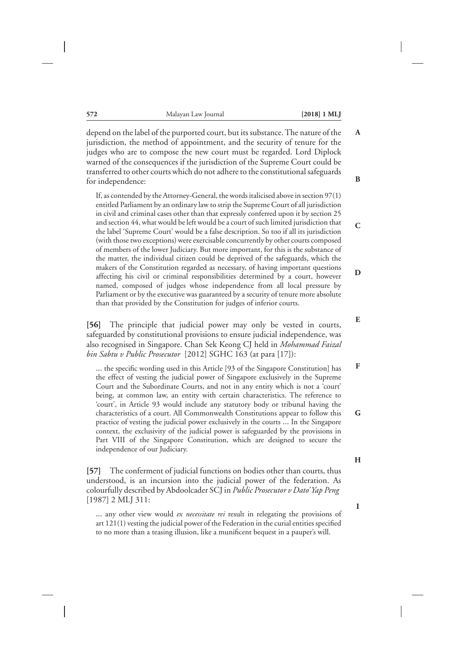depend on the label of the purported court, but its substance. The nature of the jurisdiction, the method of appointment, and the security of tenure for the judges who are to compose the new court must be regarded. Lord Diplock warned of the consequences if the jurisdiction of the Supreme Court could be transferred to other courts which do not adhere to the constitutional safeguards for independence:

If, as contended by the Attorney-General, the words italicised above in section 97(1) entitled Parliament by an ordinary law to strip the Supreme Court of all jurisdiction in civil and criminal cases other than that expressly conferred upon it by section 25 and section 44, what would be left would be a court of such limited jurisdiction that the label 'Supreme Court' would be a false description. So too if all its jurisdiction (with those two exceptions) were exercisable concurrently by other courts composed of members of the lower Judiciary. But more important, for this is the substance of the matter, the individual citizen could be deprived of the safeguards, which the makers of the Constitution regarded as necessary, of having important questions affecting his civil or criminal responsibilities determined by a court, however named, composed of judges whose independence from all local pressure by Parliament or by the executive was guaranteed by a security of tenure more absolute than that provided by the Constitution for judges of inferior courts.

**[56]** The principle that judicial power may only be vested in courts, safeguarded by constitutional provisions to ensure judicial independence, was also recognised in Singapore. Chan Sek Keong CJ held in *Mohammad Faizal bin Sabtu v Public Prosecutor* [2012] SGHC 163 (at para [17]):

… the specific wording used in this Article [93 of the Singapore Constitution] has the effect of vesting the judicial power of Singapore exclusively in the Supreme Court and the Subordinate Courts, and not in any entity which is not a 'court' being, at common law, an entity with certain characteristics. The reference to 'court', in Article 93 would include any statutory body or tribunal having the characteristics of a court. All Commonwealth Constitutions appear to follow this practice of vesting the judicial power exclusively in the courts … In the Singapore context, the exclusivity of the judicial power is safeguarded by the provisions in Part VIII of the Singapore Constitution, which are designed to secure the independence of our Judiciary.

**[57]** The conferment of judicial functions on bodies other than courts, thus understood, is an incursion into the judicial power of the federation. As colourfully described by Abdoolcader SCJ in *Public Prosecutor v Dato' Yap Peng* [1987] 2 MLJ 311:

… any other view would *ex necessitate rei* result in relegating the provisions of art 121(1) vesting the judicial power of the Federation in the curial entities specified to no more than a teasing illusion, like a munificent bequest in a pauper's will.

**H**

**B**

**A**

**C**

**E**

**F**

**G**

**D**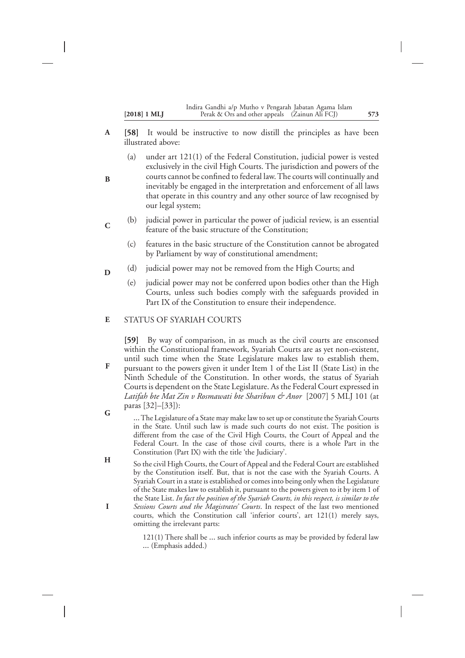|                | Indira Gandhi a/p Mutho v Pengarah Jabatan Agama Islam |     |
|----------------|--------------------------------------------------------|-----|
| $[2018]$ 1 MLJ | Perak & Ors and other appeals (Zainun Ali FCJ)         | 573 |

- **[58]** It would be instructive to now distill the principles as have been illustrated above: **A**
	- (a) under art 121(1) of the Federal Constitution, judicial power is vested exclusively in the civil High Courts. The jurisdiction and powers of the courts cannot be confined to federal law. The courts will continually and inevitably be engaged in the interpretation and enforcement of all laws that operate in this country and any other source of law recognised by our legal system;
- (b) judicial power in particular the power of judicial review, is an essential feature of the basic structure of the Constitution; **C**
	- (c) features in the basic structure of the Constitution cannot be abrogated by Parliament by way of constitutional amendment;
	- (d) judicial power may not be removed from the High Courts; and
		- (e) judicial power may not be conferred upon bodies other than the High Courts, unless such bodies comply with the safeguards provided in Part IX of the Constitution to ensure their independence.

#### STATUS OF SYARIAH COURTS **E**

**B**

**D**

**F**

**G**

**[59]** By way of comparison, in as much as the civil courts are ensconsed within the Constitutional framework, Syariah Courts are as yet non-existent, until such time when the State Legislature makes law to establish them, pursuant to the powers given it under Item 1 of the List II (State List) in the Ninth Schedule of the Constitution. In other words, the status of Syariah Courts is dependent on the State Legislature. As the Federal Court expressed in *Latifah bte Mat Zin v Rosmawati bte Sharibun & Anor* [2007] 5 MLJ 101 (at paras [32]–[33]):

- …The Legislature of a State may make law to set up or constitute the Syariah Courts in the State. Until such law is made such courts do not exist. The position is different from the case of the Civil High Courts, the Court of Appeal and the Federal Court. In the case of those civil courts, there is a whole Part in the Constitution (Part IX) with the title 'the Judiciary'.
- So the civil High Courts, the Court of Appeal and the Federal Court are established by the Constitution itself. But, that is not the case with the Syariah Courts. A Syariah Court in a state is established or comes into being only when the Legislature of the State makes law to establish it, pursuant to the powers given to it by item 1 of the State List. *In fact the position of the Syariah Courts, in this respect, is similar to the Sessions Courts and the Magistrates' Courts*. In respect of the last two mentioned courts, which the Constitution call 'inferior courts', art 121(1) merely says, omitting the irrelevant parts: **H I**

121(1) There shall be … such inferior courts as may be provided by federal law … (Emphasis added.)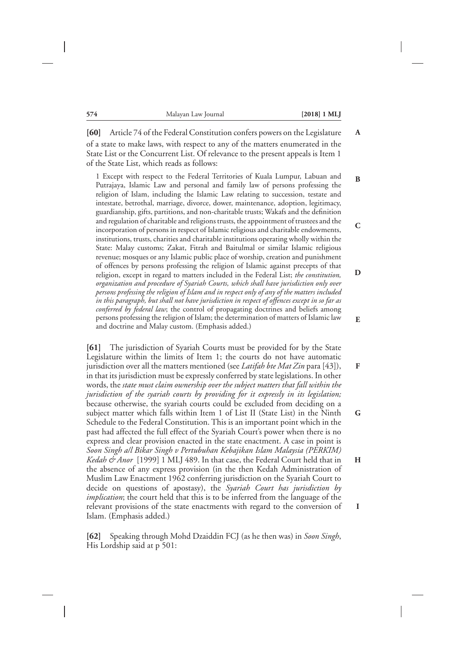**B**

**C**

**D**

**E**

**F**

**G**

**H**

**I**

**[60]** Article 74 of the Federal Constitution confers powers on the Legislature of a state to make laws, with respect to any of the matters enumerated in the State List or the Concurrent List. Of relevance to the present appeals is Item 1 of the State List, which reads as follows:

1 Except with respect to the Federal Territories of Kuala Lumpur, Labuan and Putrajaya, Islamic Law and personal and family law of persons professing the religion of Islam, including the Islamic Law relating to succession, testate and intestate, betrothal, marriage, divorce, dower, maintenance, adoption, legitimacy, guardianship, gifts, partitions, and non-charitable trusts; Wakafs and the definition and regulation of charitable and religions trusts, the appointment of trustees and the incorporation of persons in respect of Islamic religious and charitable endowments, institutions, trusts, charities and charitable institutions operating wholly within the State: Malay customs; Zakat, Fitrah and Baitulmal or similar Islamic religious revenue; mosques or any Islamic public place of worship, creation and punishment of offences by persons professing the religion of Islamic against precepts of that religion, except in regard to matters included in the Federal List; *the constitution, organization and procedure of Syariah Courts, which shall have jurisdiction only over persons professing the religion of Islam and in respect only of any of the matters included in this paragraph, but shall not have jurisdiction in respect of offences except in so far as conferred by federal law*; the control of propagating doctrines and beliefs among persons professing the religion of Islam; the determination of matters of Islamic law and doctrine and Malay custom. (Emphasis added.)

**[61]** The jurisdiction of Syariah Courts must be provided for by the State Legislature within the limits of Item 1; the courts do not have automatic jurisdiction over all the matters mentioned (see *Latifah bte Mat Zin* para [43]), in that its jurisdiction must be expressly conferred by state legislations. In other words, the *state must claim ownership over the subject matters that fall within the jurisdiction of the syariah courts by providing for it expressly in its legislation;* because otherwise, the syariah courts could be excluded from deciding on a subject matter which falls within Item 1 of List II (State List) in the Ninth Schedule to the Federal Constitution. This is an important point which in the past had affected the full effect of the Syariah Court's power when there is no express and clear provision enacted in the state enactment. A case in point is *Soon Singh a/l Bikar Singh v Pertubuhan Kebajikan Islam Malaysia (PERKIM) Kedah & Anor* [1999] 1 MLJ 489. In that case, the Federal Court held that in the absence of any express provision (in the then Kedah Administration of Muslim Law Enactment 1962 conferring jurisdiction on the Syariah Court to decide on questions of apostasy), the *Syariah Court has jurisdiction by implication*; the court held that this is to be inferred from the language of the relevant provisions of the state enactments with regard to the conversion of Islam. (Emphasis added.)

**[62]** Speaking through Mohd Dzaiddin FCJ (as he then was) in *Soon Singh*, His Lordship said at p 501: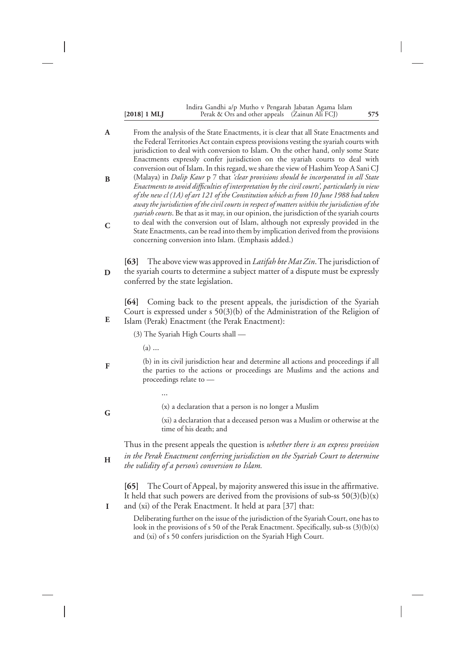|                | Indira Gandhi a/p Mutho v Pengarah Jabatan Agama Islam |     |
|----------------|--------------------------------------------------------|-----|
| $[2018]$ 1 MLJ | Perak & Ors and other appeals (Zainun Ali FCJ)         | 575 |

From the analysis of the State Enactments, it is clear that all State Enactments and the Federal Territories Act contain express provisions vesting the syariah courts with jurisdiction to deal with conversion to Islam. On the other hand, only some State Enactments expressly confer jurisdiction on the syariah courts to deal with conversion out of Islam. In this regard, we share the view of Hashim Yeop A Sani CJ (Malaya) in *Dalip Kaur* p 7 that *'clear provisions should be incorporated in all State Enactments to avoid difficulties of interpretation by the civil courts', particularly in view of the new cl (1A) of art 121 of the Constitution which as from 10 June 1988 had taken away the jurisdiction of the civil courts in respect of matters within the jurisdiction of the syariah courts*. Be that as it may, in our opinion, the jurisdiction of the syariah courts to deal with the conversion out of Islam, although not expressly provided in the State Enactments, can be read into them by implication derived from the provisions concerning conversion into Islam. (Emphasis added.) **A B C**

**[63]** The above view was approved in *Latifah bte Mat Zin*.The jurisdiction of the syariah courts to determine a subject matter of a dispute must be expressly conferred by the state legislation. **D**

**[64]** Coming back to the present appeals, the jurisdiction of the Syariah Court is expressed under s 50(3)(b) of the Administration of the Religion of Islam (Perak) Enactment (the Perak Enactment):

(3) The Syariah High Courts shall —

(a) …

…

**F**

**G**

**H**

**I**

**E**

(b) in its civil jurisdiction hear and determine all actions and proceedings if all the parties to the actions or proceedings are Muslims and the actions and proceedings relate to —

(x) a declaration that a person is no longer a Muslim

(xi) a declaration that a deceased person was a Muslim or otherwise at the time of his death; and

Thus in the present appeals the question is *whether there is an express provision in the Perak Enactment conferring jurisdiction on the Syariah Court to determine the validity of a person's conversion to Islam.*

**[65]** The Court of Appeal, by majority answered this issue in the affirmative. It held that such powers are derived from the provisions of sub-ss  $50(3)(b)(x)$ and (xi) of the Perak Enactment. It held at para [37] that:

Deliberating further on the issue of the jurisdiction of the Syariah Court, one has to look in the provisions of s 50 of the Perak Enactment. Specifically, sub-ss  $(3)(b)(x)$ and (xi) of s 50 confers jurisdiction on the Syariah High Court.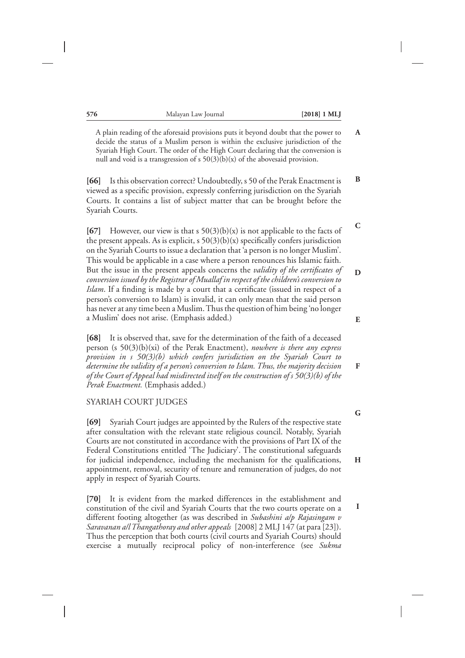A plain reading of the aforesaid provisions puts it beyond doubt that the power to decide the status of a Muslim person is within the exclusive jurisdiction of the Syariah High Court. The order of the High Court declaring that the conversion is null and void is a transgression of s  $50(3)(b)(x)$  of the abovesaid provision.

**[66]** Is this observation correct? Undoubtedly, s 50 of the Perak Enactment is viewed as a specific provision, expressly conferring jurisdiction on the Syariah Courts. It contains a list of subject matter that can be brought before the Syariah Courts.

**[67]** However, our view is that s 50(3)(b)(x) is not applicable to the facts of the present appeals. As is explicit,  $s \frac{50(3)(b)}{x}$  specifically confers jurisdiction on the Syariah Courts to issue a declaration that 'a person is no longer Muslim'. This would be applicable in a case where a person renounces his Islamic faith. But the issue in the present appeals concerns the *validity of the certificates of conversion issued by the Registrar of Muallaf in respect of the children's conversion to Islam*. If a finding is made by a court that a certificate (issued in respect of a person's conversion to Islam) is invalid, it can only mean that the said person has never at any time been a Muslim.Thus the question of him being 'no longer a Muslim' does not arise. (Emphasis added.)

**[68]** It is observed that, save for the determination of the faith of a deceased person (s 50(3)(b)(xi) of the Perak Enactment), *nowhere is there any express provision in s 50(3)(b) which confers jurisdiction on the Syariah Court to determine the validity of a person's conversion to Islam. Thus, the majority decision of the Court of Appeal had misdirected itself on the construction of s 50(3)(b) of the Perak Enactment.* (Emphasis added.)

#### SYARIAH COURT JUDGES

**[69]** Syariah Court judges are appointed by the Rulers of the respective state after consultation with the relevant state religious council. Notably, Syariah Courts are not constituted in accordance with the provisions of Part IX of the Federal Constitutions entitled 'The Judiciary'. The constitutional safeguards for judicial independence, including the mechanism for the qualifications, appointment, removal, security of tenure and remuneration of judges, do not apply in respect of Syariah Courts.

**[70]** It is evident from the marked differences in the establishment and constitution of the civil and Syariah Courts that the two courts operate on a different footing altogether (as was described in *Subashini a/p Rajasingam v Saravanan a/l Thangathoray and other appeals* [2008] 2 MLJ 147 (at para [23]). Thus the perception that both courts (civil courts and Syariah Courts) should exercise a mutually reciprocal policy of non-interference (see *Sukma*

**D**

**A**

**B**

**C**

**E**

**F**

**G**

**H**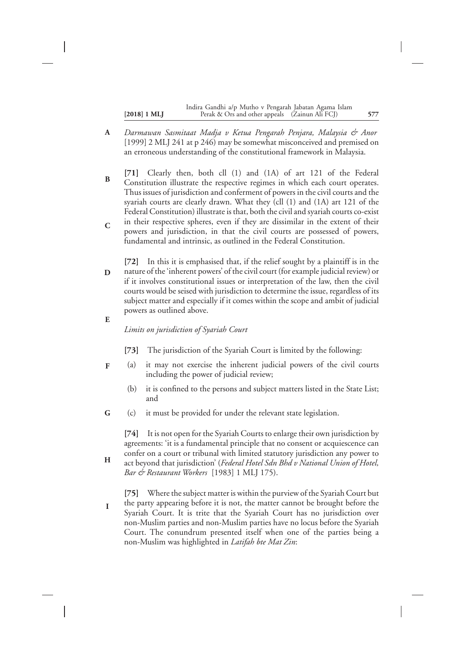|                       | Indira Gandhi a/p Mutho v Pengarah Jabatan Agama Islam |     |
|-----------------------|--------------------------------------------------------|-----|
| $[2018] 1 \text{ ML}$ | Perak & Ors and other appeals (Zainun Ali FCJ)         | 577 |

- *Darmawan Sasmitaat Madja v Ketua Pengarah Penjara, Malaysia & Anor* [1999] 2 MLJ 241 at p 246) may be somewhat misconceived and premised on an erroneous understanding of the constitutional framework in Malaysia. **A**
- **[71]** Clearly then, both cll (1) and (1A) of art 121 of the Federal Constitution illustrate the respective regimes in which each court operates. Thus issues of jurisdiction and conferment of powers in the civil courts and the syariah courts are clearly drawn. What they (cll (1) and (1A) art 121 of the Federal Constitution) illustrate is that, both the civil and syariah courts co-exist in their respective spheres, even if they are dissimilar in the extent of their powers and jurisdiction, in that the civil courts are possessed of powers, **B C**

fundamental and intrinsic, as outlined in the Federal Constitution.

- **[72]** In this it is emphasised that, if the relief sought by a plaintiff is in the nature of the 'inherent powers' of the civil court (for example judicial review) or if it involves constitutional issues or interpretation of the law, then the civil courts would be seised with jurisdiction to determine the issue, regardless of its subject matter and especially if it comes within the scope and ambit of judicial powers as outlined above. **D**
- **E**

*Limits on jurisdiction of Syariah Court*

- **[73]** The jurisdiction of the Syariah Court is limited by the following:
- (a) it may not exercise the inherent judicial powers of the civil courts including the power of judicial review; **F**
	- (b) it is confined to the persons and subject matters listed in the State List; and
- (c) it must be provided for under the relevant state legislation. **G**

**[74]** It is not open for the Syariah Courts to enlarge their own jurisdiction by agreements: 'it is a fundamental principle that no consent or acquiescence can confer on a court or tribunal with limited statutory jurisdiction any power to

- act beyond that jurisdiction' (*Federal Hotel Sdn Bhd v National Union of Hotel, Bar & Restaurant Workers* [1983] 1 MLJ 175). **H**
- **[75]** Where the subject matter is within the purview of the Syariah Court but the party appearing before it is not, the matter cannot be brought before the Syariah Court. It is trite that the Syariah Court has no jurisdiction over non-Muslim parties and non-Muslim parties have no locus before the Syariah Court. The conundrum presented itself when one of the parties being a non-Muslim was highlighted in *Latifah bte Mat Zin*: **I**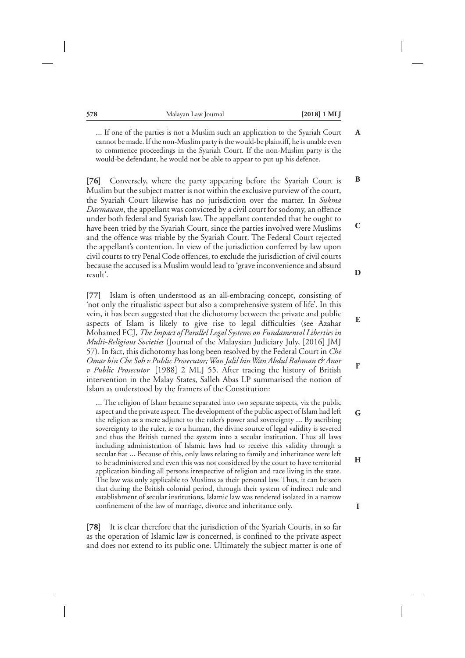**B**

**C**

**D**

**E**

**F**

**G**

**H**

**I**

… If one of the parties is not a Muslim such an application to the Syariah Court cannot be made. If the non-Muslim party is the would-be plaintiff, he is unable even to commence proceedings in the Syariah Court. If the non-Muslim party is the would-be defendant, he would not be able to appear to put up his defence.

**[76]** Conversely, where the party appearing before the Syariah Court is Muslim but the subject matter is not within the exclusive purview of the court, the Syariah Court likewise has no jurisdiction over the matter. In *Sukma Darmawan*, the appellant was convicted by a civil court for sodomy, an offence under both federal and Syariah law. The appellant contended that he ought to have been tried by the Syariah Court, since the parties involved were Muslims and the offence was triable by the Syariah Court. The Federal Court rejected the appellant's contention. In view of the jurisdiction conferred by law upon civil courts to try Penal Code offences, to exclude the jurisdiction of civil courts because the accused is a Muslim would lead to 'grave inconvenience and absurd result'.

**[77]** Islam is often understood as an all-embracing concept, consisting of 'not only the ritualistic aspect but also a comprehensive system of life'. In this vein, it has been suggested that the dichotomy between the private and public aspects of Islam is likely to give rise to legal difficulties (see Azahar Mohamed FCJ, *The Impact of Parallel Legal Systems on Fundamental Liberties in Multi-Religious Societies* (Journal of the Malaysian Judiciary July, [2016] JMJ 57). In fact, this dichotomy has long been resolved by the Federal Court in *Che Omar bin Che Soh v Public Prosecutor;Wan Jalil binWan Abdul Rahman & Anor v Public Prosecutor* [1988] 2 MLJ 55. After tracing the history of British intervention in the Malay States, Salleh Abas LP summarised the notion of Islam as understood by the framers of the Constitution:

… The religion of Islam became separated into two separate aspects, viz the public aspect and the private aspect. The development of the public aspect of Islam had left the religion as a mere adjunct to the ruler's power and sovereignty … By ascribing sovereignty to the ruler, ie to a human, the divine source of legal validity is severed and thus the British turned the system into a secular institution. Thus all laws including administration of Islamic laws had to receive this validity through a secular fiat … Because of this, only laws relating to family and inheritance were left to be administered and even this was not considered by the court to have territorial application binding all persons irrespective of religion and race living in the state. The law was only applicable to Muslims as their personal law. Thus, it can be seen that during the British colonial period, through their system of indirect rule and establishment of secular institutions, Islamic law was rendered isolated in a narrow confinement of the law of marriage, divorce and inheritance only.

**[78]** It is clear therefore that the jurisdiction of the Syariah Courts, in so far as the operation of Islamic law is concerned, is confined to the private aspect and does not extend to its public one. Ultimately the subject matter is one of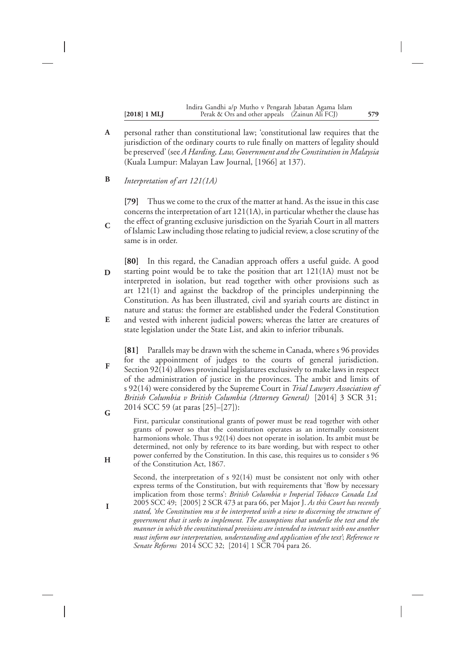| $[2018] 1 \text{ ML}$ | Indira Gandhi a/p Mutho v Pengarah Jabatan Agama Islam<br>Perak & Ors and other appeals (Zainun Ali FCJ) | 579 |
|-----------------------|----------------------------------------------------------------------------------------------------------|-----|
|                       |                                                                                                          |     |

personal rather than constitutional law; 'constitutional law requires that the jurisdiction of the ordinary courts to rule finally on matters of legality should be preserved' (see *A Harding, Law, Government and the Constitution in Malaysia* (Kuala Lumpur: Malayan Law Journal, [1966] at 137). **A**

*Interpretation of art 121(1A)* **B**

**C**

**F**

**H**

**I**

**[79]** Thus we come to the crux of the matter at hand. As the issue in this case concerns the interpretation of art 121(1A), in particular whether the clause has the effect of granting exclusive jurisdiction on the Syariah Court in all matters of Islamic Law including those relating to judicial review, a close scrutiny of the same is in order.

**[80]** In this regard, the Canadian approach offers a useful guide. A good starting point would be to take the position that art 121(1A) must not be interpreted in isolation, but read together with other provisions such as art 121(1) and against the backdrop of the principles underpinning the Constitution. As has been illustrated, civil and syariah courts are distinct in nature and status: the former are established under the Federal Constitution and vested with inherent judicial powers; whereas the latter are creatures of **D E**

state legislation under the State List, and akin to inferior tribunals.

**[81]** Parallels may be drawn with the scheme in Canada, where s 96 provides for the appointment of judges to the courts of general jurisdiction. Section 92(14) allows provincial legislatures exclusively to make laws in respect of the administration of justice in the provinces. The ambit and limits of s 92(14) were considered by the Supreme Court in *Trial Lawyers Association of British Columbia v British Columbia (Attorney General)* [2014] 3 SCR 31; 2014 SCC 59 (at paras [25]–[27]): **G**

First, particular constitutional grants of power must be read together with other grants of power so that the constitution operates as an internally consistent harmonions whole. Thus s 92(14) does not operate in isolation. Its ambit must be determined, not only by reference to its bare wording, but with respect to other power conferred by the Constitution. In this case, this requires us to consider s 96 of the Constitution Act, 1867.

Second, the interpretation of s 92(14) must be consistent not only with other express terms of the Constitution, but with requirements that 'flow by necessary implication from those terms': *British Columbia v Imperial Tobacco Canada Ltd* 2005 SCC 49; [2005] 2 SCR 473 at para 66, per Major J. *As this Court has recently stated, 'the Constitution mu st be interpreted with a view to discerning the structure of government that it seeks to implement. The assumptions that underlie the text and the manner in which the constitutional provisions are intended to interact with one another must inform our interpretation, understanding and application of the text'*; *Reference re Senate Reforms* 2014 SCC 32; [2014] 1 SCR 704 para 26.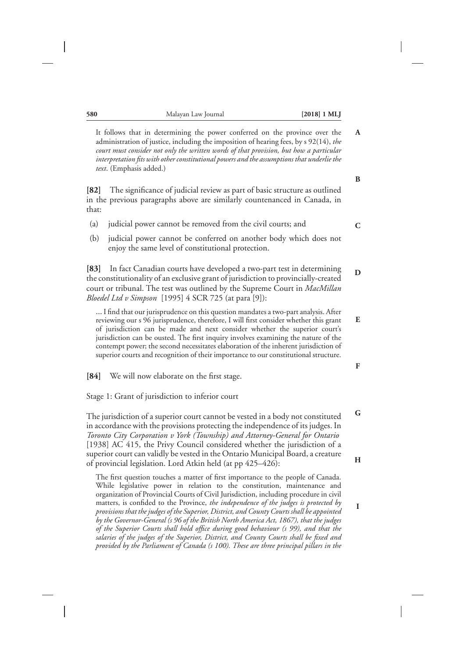It follows that in determining the power conferred on the province over the administration of justice, including the imposition of hearing fees, by s 92(14), *the court must consider not only the written words of that provision, but how a particular interpretation fits with other constitutional powers and the assumptions that underlie the text*. (Emphasis added.)

**[82]** The significance of judicial review as part of basic structure as outlined in the previous paragraphs above are similarly countenanced in Canada, in that:

- (a) judicial power cannot be removed from the civil courts; and
- (b) judicial power cannot be conferred on another body which does not enjoy the same level of constitutional protection.

**[83]** In fact Canadian courts have developed a two-part test in determining the constitutionality of an exclusive grant of jurisdiction to provincially-created court or tribunal. The test was outlined by the Supreme Court in *MacMillan Bloedel Ltd v Simpson* [1995] 4 SCR 725 (at para [9]):

… I find that our jurisprudence on this question mandates a two-part analysis. After reviewing our s 96 jurisprudence, therefore, I will first consider whether this grant of jurisdiction can be made and next consider whether the superior court's jurisdiction can be ousted. The first inquiry involves examining the nature of the contempt power; the second necessitates elaboration of the inherent jurisdiction of superior courts and recognition of their importance to our constitutional structure.

**[84]** We will now elaborate on the first stage.

Stage 1: Grant of jurisdiction to inferior court

The jurisdiction of a superior court cannot be vested in a body not constituted in accordance with the provisions protecting the independence of its judges. In *Toronto City Corporation v York (Township) and Attorney-General for Ontario* [1938] AC 415, the Privy Council considered whether the jurisdiction of a superior court can validly be vested in the Ontario Municipal Board, a creature of provincial legislation. Lord Atkin held (at pp 425–426):

The first question touches a matter of first importance to the people of Canada. While legislative power in relation to the constitution, maintenance and organization of Provincial Courts of Civil Jurisdiction, including procedure in civil matters, is confided to the Province, *the independence of the judges is protected by provisions that the judges of the Superior, District, and County Courts shall be appointed by the Governor-General (s 96 of the British North America Act, 1867), that the judges of the Superior Courts shall hold office during good behaviour (s 99), and that the salaries of the judges of the Superior, District, and County Courts shall be fixed and provided by the Parliament of Canada (s 100). These are three principal pillars in the* **B**

**A**

**C**

**D**

**E**

**F**

**G**

**H**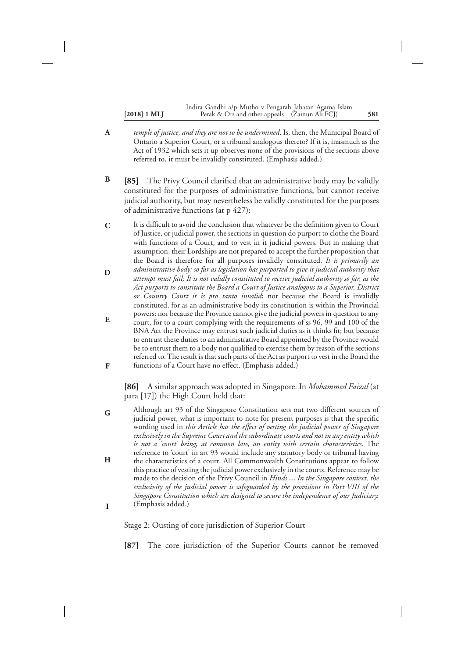|                       | Indira Gandhi a/p Mutho v Pengarah Jabatan Agama Islam |     |
|-----------------------|--------------------------------------------------------|-----|
| $[2018] 1 \text{ ML}$ | Perak & Ors and other appeals (Zainun Ali FCJ)         | 581 |

- *temple of justice, and they are not to be undermined*. Is, then, the Municipal Board of Ontario a Superior Court, or a tribunal analogous thereto? If it is, inasmuch as the Act of 1932 which sets it up observes none of the provisions of the sections above referred to, it must be invalidly constituted. (Emphasis added.) **A**
- **[85]** The Privy Council clarified that an administrative body may be validly constituted for the purposes of administrative functions, but cannot receive judicial authority, but may nevertheless be validly constituted for the purposes of administrative functions (at p 427): **B**
- It is difficult to avoid the conclusion that whatever be the definition given to Court of Justice, or judicial power, the sections in question do purport to clothe the Board with functions of a Court, and to vest in it judicial powers. But in making that assumption, their Lordships are not prepared to accept the further proposition that the Board is therefore for all purposes invalidly constituted. *It is primarily an administrative body; so far as legislation has purported to give it judicial authority that attempt must fail; It is not validly constituted to receive judicial authority so far, as the Act purports to constitute the Board a Court of Justice analogous to a Superior, District or Country Court it is pro tanto invalid*; not because the Board is invalidly constituted, for as an administrative body its constitution is within the Provincial powers: nor because the Province cannot give the judicial powers in question to any court, for to a court complying with the requirements of ss 96, 99 and 100 of the BNA Act the Province may entrust such judicial duties as it thinks fit; but because to entrust these duties to an administrative Board appointed by the Province would be to entrust them to a body not qualified to exercise them by reason of the sections referred to. The result is that such parts of the Act as purport to vest in the Board the functions of a Court have no effect. (Emphasis added.) **C D E F**

**[86]** A similar approach was adopted in Singapore. In *Mohammed Faizal* (at para [17]) the High Court held that:

Although art 93 of the Singapore Constitution sets out two different sources of judicial power, what is important to note for present purposes is that the specific wording used in *this Article has the effect of vesting the judicial power of Singapore exclusively in the Supreme Court and the subordinate courts and not in any entity which is not a 'court' being, at common law, an entity with certain characteristics*. The reference to 'court' in art 93 would include any statutory body or tribunal having the characteristics of a court. All Commonwealth Constitutions appear to follow this practice of vesting the judicial power exclusively in the courts. Reference may be made to the decision of the Privy Council in *Hinds* … *In the Singapore context, the exclusivity of the judicial power is safeguarded by the provisions in Part VIII of the Singapore Constitution which are designed to secure the independence of our Judiciary.* (Emphasis added.) **G H I**

Stage 2: Ousting of core jurisdiction of Superior Court

**[87]** The core jurisdiction of the Superior Courts cannot be removed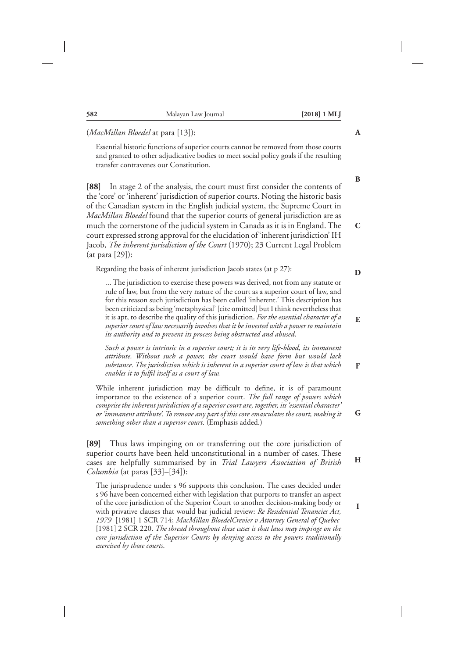| Essential historic functions of superior courts cannot be removed from those courts<br>and granted to other adjudicative bodies to meet social policy goals if the resulting<br>transfer contravenes our Constitution.                                                                                                                                                                                                                                                                                                                                                                                                                             |                  |
|----------------------------------------------------------------------------------------------------------------------------------------------------------------------------------------------------------------------------------------------------------------------------------------------------------------------------------------------------------------------------------------------------------------------------------------------------------------------------------------------------------------------------------------------------------------------------------------------------------------------------------------------------|------------------|
| In stage 2 of the analysis, the court must first consider the contents of<br>[88]<br>the 'core' or 'inherent' jurisdiction of superior courts. Noting the historic basis<br>of the Canadian system in the English judicial system, the Supreme Court in<br>MacMillan Bloedel found that the superior courts of general jurisdiction are as<br>much the cornerstone of the judicial system in Canada as it is in England. The<br>court expressed strong approval for the elucidation of 'inherent jurisdiction' IH<br>Jacob, The inherent jurisdiction of the Court (1970); 23 Current Legal Problem<br>(at para [29]):                             | B<br>$\mathbf C$ |
| Regarding the basis of inherent jurisdiction Jacob states (at p 27):                                                                                                                                                                                                                                                                                                                                                                                                                                                                                                                                                                               | D                |
| The jurisdiction to exercise these powers was derived, not from any statute or<br>rule of law, but from the very nature of the court as a superior court of law, and<br>for this reason such jurisdiction has been called 'inherent.' This description has<br>been criticized as being 'metaphysical' [cite omitted] but I think nevertheless that<br>it is apt, to describe the quality of this jurisdiction. For the essential character of a<br>superior court of law necessarily involves that it be invested with a power to maintain<br>its authority and to prevent its process being obstructed and abused.                                | E                |
| Such a power is intrinsic in a superior court; it is its very life-blood, its immanent<br>attribute. Without such a power, the court would have form but would lack<br>substance. The jurisdiction which is inherent in a superior court of law is that which<br>enables it to fulfil itself as a court of law.                                                                                                                                                                                                                                                                                                                                    | F                |
| While inherent jurisdiction may be difficult to define, it is of paramount<br>importance to the existence of a superior court. The full range of powers which<br>comprise the inherent jurisdiction of a superior court are, together, its 'essential character'<br>or 'immanent attribute'. To remove any part of this core emasculates the court, making it<br>something other than a superior court. (Emphasis added.)                                                                                                                                                                                                                          | G                |
| [89] Thus laws impinging on or transferring out the core jurisdiction of<br>superior courts have been held unconstitutional in a number of cases. These<br>cases are helpfully summarised by in Trial Lawyers Association of British<br>Columbia (at paras [33]-[34]):                                                                                                                                                                                                                                                                                                                                                                             | H                |
| The jurisprudence under s 96 supports this conclusion. The cases decided under<br>s 96 have been concerned either with legislation that purports to transfer an aspect<br>of the core jurisdiction of the Superior Court to another decision-making body or<br>with privative clauses that would bar judicial review: Re Residential Tenancies Act,<br>1979 [1981] 1 SCR 714; MacMillan BloedelCrevier v Attorney General of Quebec<br>[1981] 2 SCR 220. The thread throughout these cases is that laws may impinge on the<br>core jurisdiction of the Superior Courts by denying access to the powers traditionally<br>exercised by those courts. | L                |

**582** Malayan Law Journal **[2018] 1 MLJ**

(*MacMillan Bloedel* at para [13]):

**A**

 $\overline{\phantom{a}}$ 

**G**

**H**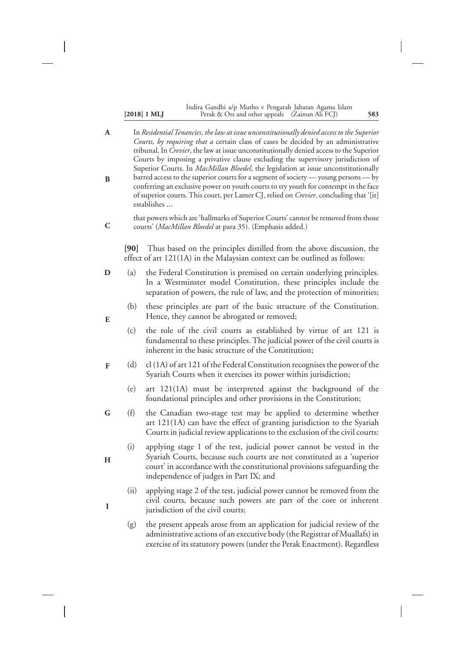| $[2018]$ 1 ML |  |  |
|---------------|--|--|
|---------------|--|--|

#### **[2018] 1 MLJ 583** Perak & Ors and other appeals (Zainun Ali FCJ) Indira Gandhi a/p Mutho v Pengarah Jabatan Agama Islam

In *Residential Tenancies, the law at issue unconstitutionally denied access to the Superior Courts, by requiring that a* certain class of cases be decided by an administrative tribunal. In *Crevier*, the law at issue unconstitutionally denied access to the Superior Courts by imposing a privative clause excluding the supervisory jurisdiction of Superior Courts. In *MacMillan Bloedel*, the legislation at issue unconstitutionally barred access to the superior courts for a segment of society — young persons — by conferring an exclusive power on youth courts to try youth for contempt in the face of superior courts. This court, per Lamer CJ, relied on *Crevier*, concluding that '[it] establishes … that powers which are 'hallmarks of Superior Courts' cannot be removed from those courts' (*MacMillan Bloedel* at para 35). (Emphasis added.) **[90]** Thus based on the principles distilled from the above discussion, the effect of art 121(1A) in the Malaysian context can be outlined as follows: (a) the Federal Constitution is premised on certain underlying principles. In a Westminster model Constitution, these principles include the separation of powers, the rule of law, and the protection of minorities; (b) these principles are part of the basic structure of the Constitution. Hence, they cannot be abrogated or removed; (c) the role of the civil courts as established by virtue of art 121 is fundamental to these principles. The judicial power of the civil courts is inherent in the basic structure of the Constitution; (d) cl (1A) of art 121 of the Federal Constitution recognises the power of the Syariah Courts when it exercises its power within jurisdiction; (e) art 121(1A) must be interpreted against the background of the foundational principles and other provisions in the Constitution; (f) the Canadian two-stage test may be applied to determine whether art 121(1A) can have the effect of granting jurisdiction to the Syariah Courts in judicial review applications to the exclusion of the civil courts: (i) applying stage 1 of the test, judicial power cannot be vested in the Syariah Courts, because such courts are not constituted as a 'superior court' in accordance with the constitutional provisions safeguarding the independence of judges in Part IX; and (ii) applying stage 2 of the test, judicial power cannot be removed from the civil courts, because such powers are part of the core or inherent jurisdiction of the civil courts; (g) the present appeals arose from an application for judicial review of the administrative actions of an executive body (the Registrar of Muallafs) in exercise of its statutory powers (under the Perak Enactment). Regardless **A B C D E F G H I**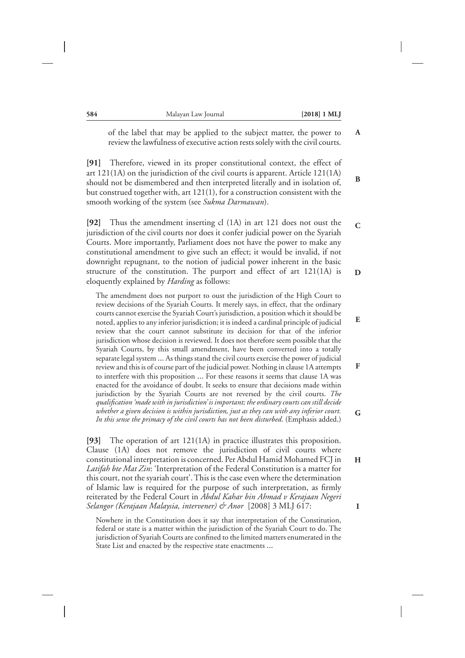**B**

**C**

**E**

**F**

**G**

**H**

**I**

of the label that may be applied to the subject matter, the power to review the lawfulness of executive action rests solely with the civil courts. **A**

**[91]** Therefore, viewed in its proper constitutional context, the effect of art 121(1A) on the jurisdiction of the civil courts is apparent. Article 121(1A) should not be dismembered and then interpreted literally and in isolation of, but construed together with, art 121(1), for a construction consistent with the smooth working of the system (see *Sukma Darmawan*).

**[92]** Thus the amendment inserting cl (1A) in art 121 does not oust the jurisdiction of the civil courts nor does it confer judicial power on the Syariah Courts. More importantly, Parliament does not have the power to make any constitutional amendment to give such an effect; it would be invalid, if not downright repugnant, to the notion of judicial power inherent in the basic structure of the constitution. The purport and effect of art 121(1A) is eloquently explained by *Harding* as follows: **D**

The amendment does not purport to oust the jurisdiction of the High Court to review decisions of the Syariah Courts. It merely says, in effect, that the ordinary courts cannot exercise the Syariah Court's jurisdiction, a position which it should be noted, applies to any inferior jurisdiction; it is indeed a cardinal principle of judicial review that the court cannot substitute its decision for that of the inferior jurisdiction whose decision is reviewed. It does not therefore seem possible that the Syariah Courts, by this small amendment, have been converted into a totally separate legal system … As things stand the civil courts exercise the power of judicial review and this is of course part of the judicial power. Nothing in clause 1A attempts to interfere with this proposition … For these reasons it seems that clause 1A was enacted for the avoidance of doubt. It seeks to ensure that decisions made within jurisdiction by the Syariah Courts are not reversed by the civil courts. *The qualification 'made with in jurisdiction' is important; the ordinary courts can still decide whether a given decision is within jurisdiction, just as they can with any inferior court. In this sense the primacy of the civil courts has not been disturbed*. (Emphasis added.)

**[93]** The operation of art 121(1A) in practice illustrates this proposition. Clause (1A) does not remove the jurisdiction of civil courts where constitutional interpretation is concerned. Per Abdul Hamid Mohamed FCJ in *Latifah bte Mat Zin*: 'Interpretation of the Federal Constitution is a matter for this court, not the syariah court'. This is the case even where the determination of Islamic law is required for the purpose of such interpretation, as firmly reiterated by the Federal Court in *Abdul Kahar bin Ahmad v Kerajaan Negeri Selangor (Kerajaan Malaysia, intervener) & Anor* [2008] 3 MLJ 617:

Nowhere in the Constitution does it say that interpretation of the Constitution, federal or state is a matter within the jurisdiction of the Syariah Court to do. The jurisdiction of Syariah Courts are confined to the limited matters enumerated in the State List and enacted by the respective state enactments …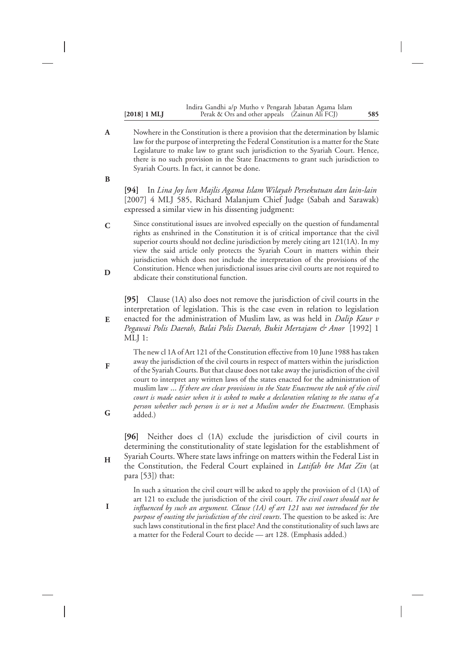|                       | Indira Gandhi a/p Mutho v Pengarah Jabatan Agama Islam |     |
|-----------------------|--------------------------------------------------------|-----|
| $[2018] 1 \text{ ML}$ | Perak & Ors and other appeals (Zainun Ali FCJ)         | 585 |

Nowhere in the Constitution is there a provision that the determination by Islamic law for the purpose of interpreting the Federal Constitution is a matter for the State Legislature to make law to grant such jurisdiction to the Syariah Court. Hence, there is no such provision in the State Enactments to grant such jurisdiction to Syariah Courts. In fact, it cannot be done. **A**

**B**

**F**

**G**

**H**

**I**

**[94]** In *Lina Joy lwn Majlis Agama Islam Wilayah Persekutuan dan lain-lain* [2007] 4 MLJ 585, Richard Malanjum Chief Judge (Sabah and Sarawak) expressed a similar view in his dissenting judgment:

Since constitutional issues are involved especially on the question of fundamental rights as enshrined in the Constitution it is of critical importance that the civil superior courts should not decline jurisdiction by merely citing art 121(1A). In my view the said article only protects the Syariah Court in matters within their jurisdiction which does not include the interpretation of the provisions of the Constitution. Hence when jurisdictional issues arise civil courts are not required to abdicate their constitutional function. **C D**

**[95]** Clause (1A) also does not remove the jurisdiction of civil courts in the interpretation of legislation. This is the case even in relation to legislation

enacted for the administration of Muslim law, as was held in *Dalip Kaur v Pegawai Polis Daerah, Balai Polis Daerah, Bukit Mertajam & Anor* [1992] 1 MLJ 1: **E**

The new cl 1A of Art 121 of the Constitution effective from 10 June 1988 has taken away the jurisdiction of the civil courts in respect of matters within the jurisdiction of the Syariah Courts. But that clause does not take away the jurisdiction of the civil court to interpret any written laws of the states enacted for the administration of muslim law … *If there are clear provisions in the State Enactment the task of the civil court is made easier when it is asked to make a declaration relating to the status of a person whether such person is or is not a Muslim under the Enactment*. (Emphasis added.)

**[96]** Neither does cl (1A) exclude the jurisdiction of civil courts in determining the constitutionality of state legislation for the establishment of Syariah Courts. Where state laws infringe on matters within the Federal List in

- the Constitution, the Federal Court explained in *Latifah bte Mat Zin* (at para [53]) that:
	- In such a situation the civil court will be asked to apply the provision of cl (1A) of art 121 to exclude the jurisdiction of the civil court. *The civil court should not be influenced by such an argument. Clause (1A) of art 121 was not introduced for the purpose of ousting the jurisdiction of the civil courts*. The question to be asked is: Are such laws constitutional in the first place? And the constitutionality of such laws are a matter for the Federal Court to decide — art 128. (Emphasis added.)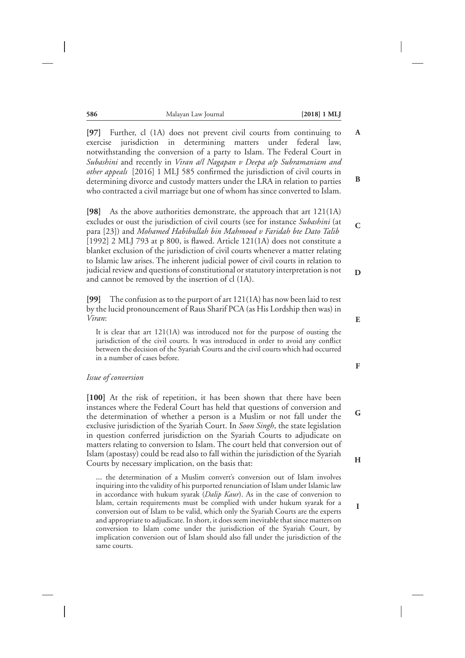**[97]** Further, cl (1A) does not prevent civil courts from continuing to exercise jurisdiction in determining matters under federal law, notwithstanding the conversion of a party to Islam. The Federal Court in *Subashini* and recently in *Viran a/l Nagapan v Deepa a/p Subramaniam and other appeals* [2016] 1 MLJ 585 confirmed the jurisdiction of civil courts in determining divorce and custody matters under the LRA in relation to parties who contracted a civil marriage but one of whom has since converted to Islam. **A B**

**[98]** As the above authorities demonstrate, the approach that art 121(1A) excludes or oust the jurisdiction of civil courts (see for instance *Subashini* (at para [23]) and *Mohamed Habibullah bin Mahmood v Faridah bte Dato Talib* [1992] 2 MLJ 793 at p 800, is flawed. Article 121(1A) does not constitute a blanket exclusion of the jurisdiction of civil courts whenever a matter relating to Islamic law arises. The inherent judicial power of civil courts in relation to judicial review and questions of constitutional or statutory interpretation is not and cannot be removed by the insertion of cl (1A).

**[99]** The confusion as to the purport of art 121(1A) has now been laid to rest by the lucid pronouncement of Raus Sharif PCA (as His Lordship then was) in *Viran*:

It is clear that art 121(1A) was introduced not for the purpose of ousting the jurisdiction of the civil courts. It was introduced in order to avoid any conflict between the decision of the Syariah Courts and the civil courts which had occurred in a number of cases before.

#### *Issue of conversion*

[100] At the risk of repetition, it has been shown that there have been instances where the Federal Court has held that questions of conversion and the determination of whether a person is a Muslim or not fall under the exclusive jurisdiction of the Syariah Court. In *Soon Singh*, the state legislation in question conferred jurisdiction on the Syariah Courts to adjudicate on matters relating to conversion to Islam. The court held that conversion out of Islam (apostasy) could be read also to fall within the jurisdiction of the Syariah Courts by necessary implication, on the basis that:

… the determination of a Muslim convert's conversion out of Islam involves inquiring into the validity of his purported renunciation of Islam under Islamic law in accordance with hukum syarak (*Dalip Kaur*). As in the case of conversion to Islam, certain requirements must be complied with under hukum syarak for a conversion out of Islam to be valid, which only the Syariah Courts are the experts and appropriate to adjudicate. In short, it does seem inevitable that since matters on conversion to Islam come under the jurisdiction of the Syariah Court, by implication conversion out of Islam should also fall under the jurisdiction of the same courts.

**E**

**C**

**D**

**F**

**G**

**H**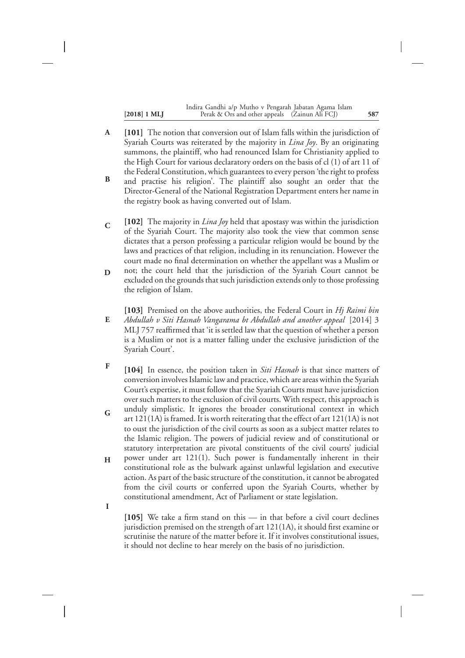| $[2018]$ 1 MLJ | Indira Gandhi a/p Mutho v Pengarah Jabatan Agama Islam<br>Perak & Ors and other appeals (Zainun Ali FCJ) | 587 |
|----------------|----------------------------------------------------------------------------------------------------------|-----|
|                |                                                                                                          |     |

- **[101]** The notion that conversion out of Islam falls within the jurisdiction of Syariah Courts was reiterated by the majority in *Lina Joy*. By an originating summons, the plaintiff, who had renounced Islam for Christianity applied to the High Court for various declaratory orders on the basis of cl (1) of art 11 of the Federal Constitution, which guarantees to every person 'the right to profess **A**
- and practise his religion'. The plaintiff also sought an order that the Director-General of the National Registration Department enters her name in the registry book as having converted out of Islam. **B**
- **[102]** The majority in *Lina Joy* held that apostasy was within the jurisdiction of the Syariah Court. The majority also took the view that common sense dictates that a person professing a particular religion would be bound by the laws and practices of that religion, including in its renunciation. However the court made no final determination on whether the appellant was a Muslim or **C**
- not; the court held that the jurisdiction of the Syariah Court cannot be excluded on the grounds that such jurisdiction extends only to those professing the religion of Islam. **D**
- **[103]** Premised on the above authorities, the Federal Court in *Hj Raimi bin Abdullah v Siti Hasnah Vangarama bt Abdullah and another appeal* [2014] 3 MLJ 757 reaffirmed that 'it is settled law that the question of whether a person is a Muslim or not is a matter falling under the exclusive jurisdiction of the Syariah Court'. **E**
- **[104]** In essence, the position taken in *Siti Hasnah* is that since matters of conversion involves Islamic law and practice, which are areas within the Syariah Court's expertise, it must follow that the Syariah Courts must have jurisdiction over such matters to the exclusion of civil courts. With respect, this approach is **F**
- unduly simplistic. It ignores the broader constitutional context in which art 121(1A) is framed. It is worth reiterating that the effect of art 121(1A) is not to oust the jurisdiction of the civil courts as soon as a subject matter relates to the Islamic religion. The powers of judicial review and of constitutional or statutory interpretation are pivotal constituents of the civil courts' judicial **G**
- power under art 121(1). Such power is fundamentally inherent in their constitutional role as the bulwark against unlawful legislation and executive action. As part of the basic structure of the constitution, it cannot be abrogated from the civil courts or conferred upon the Syariah Courts, whether by constitutional amendment, Act of Parliament or state legislation. **H**

**I**

**[105]** We take a firm stand on this — in that before a civil court declines jurisdiction premised on the strength of art 121(1A), it should first examine or scrutinise the nature of the matter before it. If it involves constitutional issues, it should not decline to hear merely on the basis of no jurisdiction.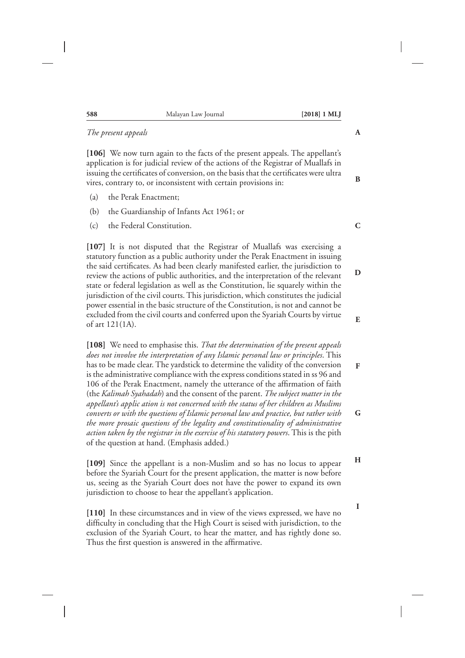| 588 | Malayan Law Journal | $[2018]$ 1 MLJ |
|-----|---------------------|----------------|
|     |                     |                |

#### *The present appeals*

**[106]** We now turn again to the facts of the present appeals. The appellant's application is for judicial review of the actions of the Registrar of Muallafs in issuing the certificates of conversion, on the basis that the certificates were ultra vires, contrary to, or inconsistent with certain provisions in:

- (a) the Perak Enactment;
- (b) the Guardianship of Infants Act 1961; or
- (c) the Federal Constitution.

**[107]** It is not disputed that the Registrar of Muallafs was exercising a statutory function as a public authority under the Perak Enactment in issuing the said certificates. As had been clearly manifested earlier, the jurisdiction to review the actions of public authorities, and the interpretation of the relevant state or federal legislation as well as the Constitution, lie squarely within the jurisdiction of the civil courts. This jurisdiction, which constitutes the judicial power essential in the basic structure of the Constitution, is not and cannot be excluded from the civil courts and conferred upon the Syariah Courts by virtue of art 121(1A).

**[108]** We need to emphasise this. *That the determination of the present appeals does not involve the interpretation of any Islamic personal law or principles*. This has to be made clear. The yardstick to determine the validity of the conversion is the administrative compliance with the express conditions stated in ss 96 and 106 of the Perak Enactment, namely the utterance of the affirmation of faith (the *Kalimah Syahadah*) and the consent of the parent. *The subject matter in the appellant's applic ation is not concerned with the status of her children as Muslims converts or with the questions of Islamic personal law and practice, but rather with the more prosaic questions of the legality and constitutionality of administrative action taken by the registrar in the exercise of his statutory powers*. This is the pith of the question at hand. (Emphasis added.)

**[109]** Since the appellant is a non-Muslim and so has no locus to appear before the Syariah Court for the present application, the matter is now before us, seeing as the Syariah Court does not have the power to expand its own jurisdiction to choose to hear the appellant's application. **H**

**[110]** In these circumstances and in view of the views expressed, we have no difficulty in concluding that the High Court is seised with jurisdiction, to the exclusion of the Syariah Court, to hear the matter, and has rightly done so. Thus the first question is answered in the affirmative.

**A**

**B**

**C**

**D**

**E**

**F**

**G**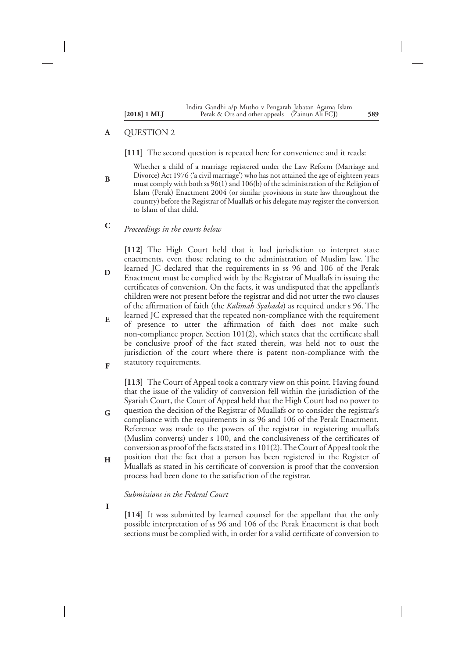#### QUESTION 2 **A**

**B**

#### **[111]** The second question is repeated here for convenience and it reads:

- Whether a child of a marriage registered under the Law Reform (Marriage and Divorce) Act 1976 ('a civil marriage') who has not attained the age of eighteen years must comply with both ss 96(1) and 106(b) of the administration of the Religion of Islam (Perak) Enactment 2004 (or similar provisions in state law throughout the country) before the Registrar of Muallafs or his delegate may register the conversion to Islam of that child.
- *Proceedings in the courts below* **C**

**[112]** The High Court held that it had jurisdiction to interpret state enactments, even those relating to the administration of Muslim law. The learned JC declared that the requirements in ss 96 and 106 of the Perak Enactment must be complied with by the Registrar of Muallafs in issuing the certificates of conversion. On the facts, it was undisputed that the appellant's children were not present before the registrar and did not utter the two clauses of the affirmation of faith (the *Kalimah Syahada*) as required under s 96. The **D**

learned JC expressed that the repeated non-compliance with the requirement of presence to utter the affirmation of faith does not make such non-compliance proper. Section 101(2), which states that the certificate shall be conclusive proof of the fact stated therein, was held not to oust the jurisdiction of the court where there is patent non-compliance with the statutory requirements. **E F**

**[113]** The Court of Appeal took a contrary view on this point. Having found that the issue of the validity of conversion fell within the jurisdiction of the Syariah Court, the Court of Appeal held that the High Court had no power to question the decision of the Registrar of Muallafs or to consider the registrar's compliance with the requirements in ss 96 and 106 of the Perak Enactment. Reference was made to the powers of the registrar in registering muallafs (Muslim converts) under s 100, and the conclusiveness of the certificates of

conversion as proof of the facts stated in s 101(2).The Court of Appeal took the position that the fact that a person has been registered in the Register of Muallafs as stated in his certificate of conversion is proof that the conversion process had been done to the satisfaction of the registrar. **H**

#### *Submissions in the Federal Court*

**I**

**G**

**[114]** It was submitted by learned counsel for the appellant that the only possible interpretation of ss 96 and 106 of the Perak Enactment is that both sections must be complied with, in order for a valid certificate of conversion to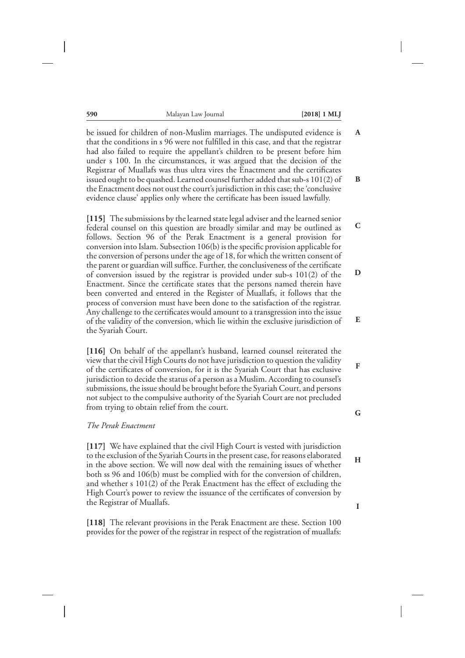**B**

**C**

**D**

**E**

**F**

be issued for children of non-Muslim marriages. The undisputed evidence is that the conditions in s 96 were not fulfilled in this case, and that the registrar had also failed to require the appellant's children to be present before him under s 100. In the circumstances, it was argued that the decision of the Registrar of Muallafs was thus ultra vires the Enactment and the certificates issued ought to be quashed. Learned counsel further added that sub-s 101(2) of the Enactment does not oust the court's jurisdiction in this case; the 'conclusive evidence clause' applies only where the certificate has been issued lawfully. **A**

**[115]** The submissions by the learned state legal adviser and the learned senior federal counsel on this question are broadly similar and may be outlined as follows. Section 96 of the Perak Enactment is a general provision for conversion into Islam. Subsection 106(b) is the specific provision applicable for the conversion of persons under the age of 18, for which the written consent of the parent or guardian will suffice. Further, the conclusiveness of the certificate of conversion issued by the registrar is provided under sub-s 101(2) of the Enactment. Since the certificate states that the persons named therein have been converted and entered in the Register of Muallafs, it follows that the process of conversion must have been done to the satisfaction of the registrar. Any challenge to the certificates would amount to a transgression into the issue of the validity of the conversion, which lie within the exclusive jurisdiction of the Syariah Court.

**[116]** On behalf of the appellant's husband, learned counsel reiterated the view that the civil High Courts do not have jurisdiction to question the validity of the certificates of conversion, for it is the Syariah Court that has exclusive jurisdiction to decide the status of a person as a Muslim. According to counsel's submissions, the issue should be brought before the Syariah Court, and persons not subject to the compulsive authority of the Syariah Court are not precluded from trying to obtain relief from the court.

#### *The Perak Enactment*

**[117]** We have explained that the civil High Court is vested with jurisdiction to the exclusion of the Syariah Courts in the present case, for reasons elaborated in the above section. We will now deal with the remaining issues of whether both ss 96 and 106(b) must be complied with for the conversion of children, and whether s 101(2) of the Perak Enactment has the effect of excluding the High Court's power to review the issuance of the certificates of conversion by the Registrar of Muallafs.

**[118]** The relevant provisions in the Perak Enactment are these. Section 100 provides for the power of the registrar in respect of the registration of muallafs:

**G**

**H**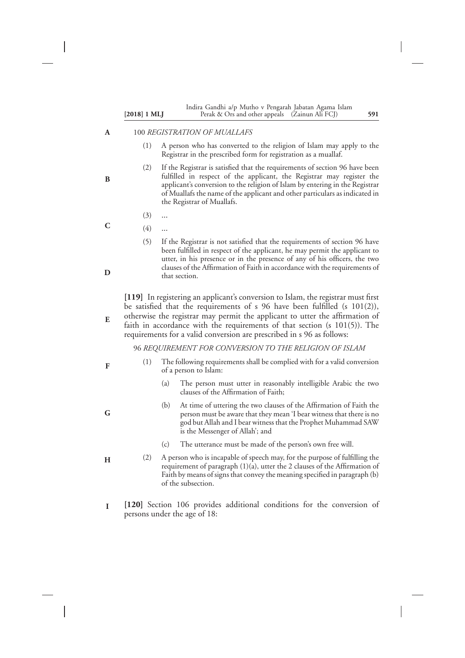| $[2018]$ 1 MLJ | Indira Gandhi a/p Mutho v Pengarah Jabatan Agama Islam<br>Perak & Ors and other appeals (Zainun Ali FCJ)<br>591                                                                                                                                                                                                                                                                                                |
|----------------|----------------------------------------------------------------------------------------------------------------------------------------------------------------------------------------------------------------------------------------------------------------------------------------------------------------------------------------------------------------------------------------------------------------|
|                | 100 REGISTRATION OF MUALLAFS                                                                                                                                                                                                                                                                                                                                                                                   |
| (1)            | A person who has converted to the religion of Islam may apply to the<br>Registrar in the prescribed form for registration as a muallaf.                                                                                                                                                                                                                                                                        |
| (2)            | If the Registrar is satisfied that the requirements of section 96 have been<br>fulfilled in respect of the applicant, the Registrar may register the<br>applicant's conversion to the religion of Islam by entering in the Registrar<br>of Muallafs the name of the applicant and other particulars as indicated in<br>the Registrar of Muallafs.                                                              |
| (3)            |                                                                                                                                                                                                                                                                                                                                                                                                                |
| (4)            |                                                                                                                                                                                                                                                                                                                                                                                                                |
| (5)            | If the Registrar is not satisfied that the requirements of section 96 have<br>been fulfilled in respect of the applicant, he may permit the applicant to<br>utter, in his presence or in the presence of any of his officers, the two<br>clauses of the Affirmation of Faith in accordance with the requirements of<br>that section.                                                                           |
|                | [119] In registering an applicant's conversion to Islam, the registrar must first<br>be satisfied that the requirements of $s$ 96 have been fulfilled ( $s$ 101(2)),<br>otherwise the registrar may permit the applicant to utter the affirmation of<br>faith in accordance with the requirements of that section ( $s$ 101(5)). The<br>requirements for a valid conversion are prescribed in s 96 as follows: |
|                | 96 REQUIREMENT FOR CONVERSION TO THE RELIGION OF ISLAM                                                                                                                                                                                                                                                                                                                                                         |
| (1)            | The following requirements shall be complied with for a valid conversion<br>of a person to Islam:                                                                                                                                                                                                                                                                                                              |
|                | The person must utter in reasonably intelligible Arabic the two<br>(a)<br>clauses of the Affirmation of Faith;                                                                                                                                                                                                                                                                                                 |
|                | (b)<br>At time of uttering the two clauses of the Affirmation of Faith the<br>person must be aware that they mean 'I bear witness that there is no<br>god but Allah and I bear witness that the Prophet Muhammad SAW<br>is the Messenger of Allah'; and                                                                                                                                                        |
|                | (c)<br>The utterance must be made of the person's own free will.                                                                                                                                                                                                                                                                                                                                               |
| (2)            | A person who is incapable of speech may, for the purpose of fulfilling the<br>requirement of paragraph (1)(a), utter the 2 clauses of the Affirmation of<br>Faith by means of signs that convey the meaning specified in paragraph (b)<br>of the subsection.                                                                                                                                                   |
|                | [120] Section 106 provides additional conditions for the conversion of<br>persons under the age of 18:                                                                                                                                                                                                                                                                                                         |

 $\overline{\phantom{a}}$ 

 $\overline{\phantom{a}}$ 

 $\overline{\phantom{a}}$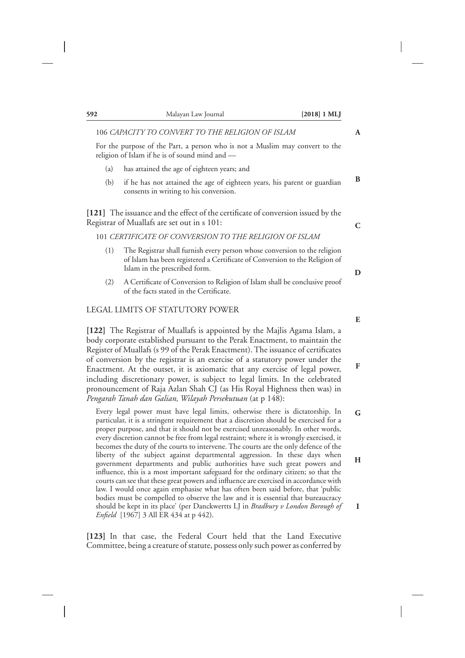|     | 106 CAPACITY TO CONVERT TO THE RELIGION OF ISLAM                                                                                                                                                                                                                                                                                                                                                                                                                                                                                                                                                                                     | A           |
|-----|--------------------------------------------------------------------------------------------------------------------------------------------------------------------------------------------------------------------------------------------------------------------------------------------------------------------------------------------------------------------------------------------------------------------------------------------------------------------------------------------------------------------------------------------------------------------------------------------------------------------------------------|-------------|
|     | For the purpose of the Part, a person who is not a Muslim may convert to the<br>religion of Islam if he is of sound mind and -                                                                                                                                                                                                                                                                                                                                                                                                                                                                                                       |             |
| (a) | has attained the age of eighteen years; and                                                                                                                                                                                                                                                                                                                                                                                                                                                                                                                                                                                          |             |
| (b) | if he has not attained the age of eighteen years, his parent or guardian<br>consents in writing to his conversion.                                                                                                                                                                                                                                                                                                                                                                                                                                                                                                                   | B           |
|     | [121] The issuance and the effect of the certificate of conversion issued by the<br>Registrar of Muallafs are set out in s 101:                                                                                                                                                                                                                                                                                                                                                                                                                                                                                                      | $\mathbf C$ |
|     | 101 CERTIFICATE OF CONVERSION TO THE RELIGION OF ISLAM                                                                                                                                                                                                                                                                                                                                                                                                                                                                                                                                                                               |             |
| (1) | The Registrar shall furnish every person whose conversion to the religion<br>of Islam has been registered a Certificate of Conversion to the Religion of<br>Islam in the prescribed form.                                                                                                                                                                                                                                                                                                                                                                                                                                            | D           |
| (2) | A Certificate of Conversion to Religion of Islam shall be conclusive proof<br>of the facts stated in the Certificate.                                                                                                                                                                                                                                                                                                                                                                                                                                                                                                                |             |
|     | LEGAL LIMITS OF STATUTORY POWER                                                                                                                                                                                                                                                                                                                                                                                                                                                                                                                                                                                                      |             |
|     |                                                                                                                                                                                                                                                                                                                                                                                                                                                                                                                                                                                                                                      | ${\bf E}$   |
|     | [122] The Registrar of Muallafs is appointed by the Majlis Agama Islam, a<br>body corporate established pursuant to the Perak Enactment, to maintain the<br>Register of Muallafs (s 99 of the Perak Enactment). The issuance of certificates<br>of conversion by the registrar is an exercise of a statutory power under the<br>Enactment. At the outset, it is axiomatic that any exercise of legal power,<br>including discretionary power, is subject to legal limits. In the celebrated<br>pronouncement of Raja Azlan Shah CJ (as His Royal Highness then was) in<br>Pengarah Tanah dan Galian, Wilayah Persekutuan (at p 148): | F           |
|     | Every legal power must have legal limits, otherwise there is dictatorship. In<br>particular, it is a stringent requirement that a discretion should be exercised for a<br>proper purpose, and that it should not be exercised unreasonably. In other words,<br>every discretion cannot be free from legal restraint; where it is wrongly exercised, it                                                                                                                                                                                                                                                                               | $\mathbf G$ |
|     | becomes the duty of the courts to intervene. The courts are the only defence of the<br>liberty of the subject against departmental aggression. In these days when<br>government departments and public authorities have such great powers and<br>influence, this is a most important safeguard for the ordinary citizen; so that the<br>courts can see that these great powers and influence are exercised in accordance with<br>law. I would once again emphasise what has often been said before, that 'public                                                                                                                     | Н           |
|     | bodies must be compelled to observe the law and it is essential that bureaucracy<br>should be kept in its place' (per Danckwertts LJ in Bradbury v London Borough of                                                                                                                                                                                                                                                                                                                                                                                                                                                                 | $\mathbf I$ |

**[123]** In that case, the Federal Court held that the Land Executive Committee, being a creature of statute, possess only such power as conferred by

*Enfield* [1967] 3 All ER 434 at p 442).

 $\overline{\phantom{a}}$ 

# **592** Malayan Law Journal **[2018] 1 MLJ**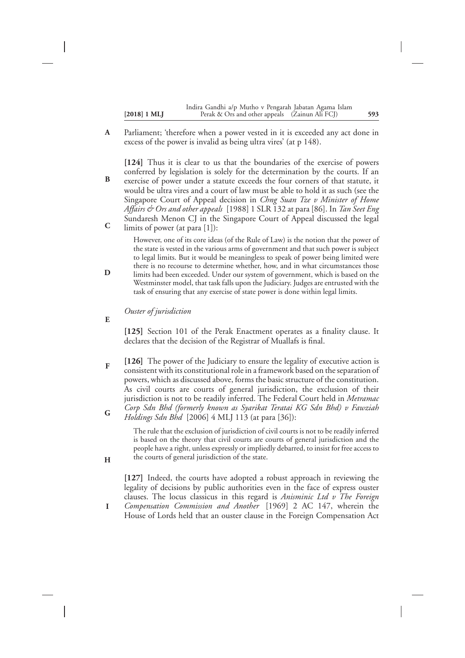Parliament; 'therefore when a power vested in it is exceeded any act done in excess of the power is invalid as being ultra vires' (at p 148). **A**

**[124]** Thus it is clear to us that the boundaries of the exercise of powers conferred by legislation is solely for the determination by the courts. If an exercise of power under a statute exceeds the four corners of that statute, it would be ultra vires and a court of law must be able to hold it as such (see the Singapore Court of Appeal decision in *Chng Suan Tze v Minister of Home Affairs & Ors and other appeals* [1988] 1 SLR 132 at para [86]. In *Tan Seet Eng* Sundaresh Menon CJ in the Singapore Court of Appeal discussed the legal limits of power (at para [1]): **B C**

However, one of its core ideas (of the Rule of Law) is the notion that the power of the state is vested in the various arms of government and that such power is subject to legal limits. But it would be meaningless to speak of power being limited were there is no recourse to determine whether, how, and in what circumstances those limits had been exceeded. Under our system of government, which is based on the Westminster model, that task falls upon the Judiciary. Judges are entrusted with the task of ensuring that any exercise of state power is done within legal limits.

*Ouster of jurisdiction*

**E**

**H**

**D**

**[125]** Section 101 of the Perak Enactment operates as a finality clause. It declares that the decision of the Registrar of Muallafs is final.

**[126]** The power of the Judiciary to ensure the legality of executive action is consistent with its constitutional role in a framework based on the separation of powers, which as discussed above, forms the basic structure of the constitution. As civil courts are courts of general jurisdiction, the exclusion of their jurisdiction is not to be readily inferred. The Federal Court held in *Metramac Corp Sdn Bhd (formerly known as Syarikat Teratai KG Sdn Bhd) v Fawziah Holdings Sdn Bhd* [2006] 4 MLJ 113 (at para [36]): **F G**

> The rule that the exclusion of jurisdiction of civil courts is not to be readily inferred is based on the theory that civil courts are courts of general jurisdiction and the people have a right, unless expressly or impliedly debarred, to insist for free access to the courts of general jurisdiction of the state.

**[127]** Indeed, the courts have adopted a robust approach in reviewing the legality of decisions by public authorities even in the face of express ouster clauses. The locus classicus in this regard is *Anisminic Ltd v The Foreign Compensation Commission and Another* [1969] 2 AC 147, wherein the House of Lords held that an ouster clause in the Foreign Compensation Act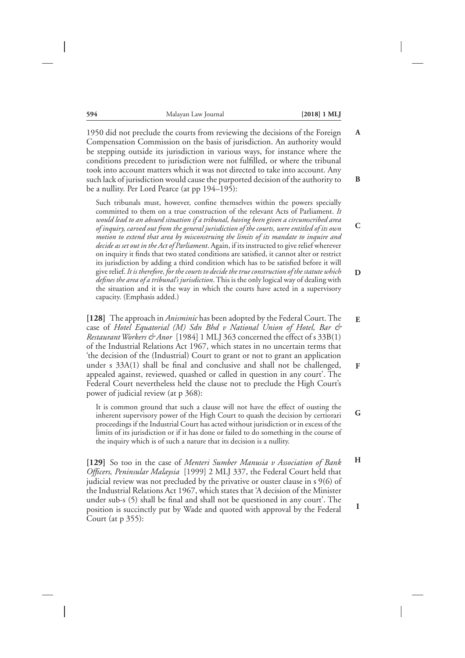**C**

**D**

**E**

**F**

**G**

1950 did not preclude the courts from reviewing the decisions of the Foreign Compensation Commission on the basis of jurisdiction. An authority would be stepping outside its jurisdiction in various ways, for instance where the conditions precedent to jurisdiction were not fulfilled, or where the tribunal took into account matters which it was not directed to take into account. Any such lack of jurisdiction would cause the purported decision of the authority to be a nullity. Per Lord Pearce (at pp 194–195): **A B**

Such tribunals must, however, confine themselves within the powers specially committed to them on a true construction of the relevant Acts of Parliament. *It would lead to an absurd situation if a tribunal, having been given a circumscribed area of inquiry, carved out from the general jurisdiction of the courts, were entitled of its own motion to extend that area by misconstruing the limits of its mandate to inquire and decide as set out in the Act of Parliament*. Again, if its instructed to give relief wherever on inquiry it finds that two stated conditions are satisfied, it cannot alter or restrict its jurisdiction by adding a third condition which has to be satisfied before it will give relief.*It is therefore, for the courts to decide the true construction of the statute which defines the area of a tribunal's jurisdiction*. This is the only logical way of dealing with the situation and it is the way in which the courts have acted in a supervisory capacity. (Emphasis added.)

**[128]** The approach in *Anisminic* has been adopted by the Federal Court. The case of *Hotel Equatorial (M) Sdn Bhd v National Union of Hotel, Bar & Restaurant Workers & Anor* [1984] 1 MLJ 363 concerned the effect of s 33B(1) of the Industrial Relations Act 1967, which states in no uncertain terms that 'the decision of the (Industrial) Court to grant or not to grant an application under s 33A(1) shall be final and conclusive and shall not be challenged, appealed against, reviewed, quashed or called in question in any court'. The Federal Court nevertheless held the clause not to preclude the High Court's power of judicial review (at p 368):

It is common ground that such a clause will not have the effect of ousting the inherent supervisory power of the High Court to quash the decision by certiorari proceedings if the Industrial Court has acted without jurisdiction or in excess of the limits of its jurisdiction or if it has done or failed to do something in the course of the inquiry which is of such a nature that its decision is a nullity.

**[129]** So too in the case of *Menteri Sumber Manusia v Association of Bank Officers, Peninsular Malaysia* [1999] 2 MLJ 337, the Federal Court held that judicial review was not precluded by the privative or ouster clause in s 9(6) of the Industrial Relations Act 1967, which states that 'A decision of the Minister under sub-s (5) shall be final and shall not be questioned in any court'. The position is succinctly put by Wade and quoted with approval by the Federal Court (at p 355): **H I**

| ×<br>۰. | i<br>I   |     |
|---------|----------|-----|
| ٧<br>٠  | ۰,<br>۰. | - - |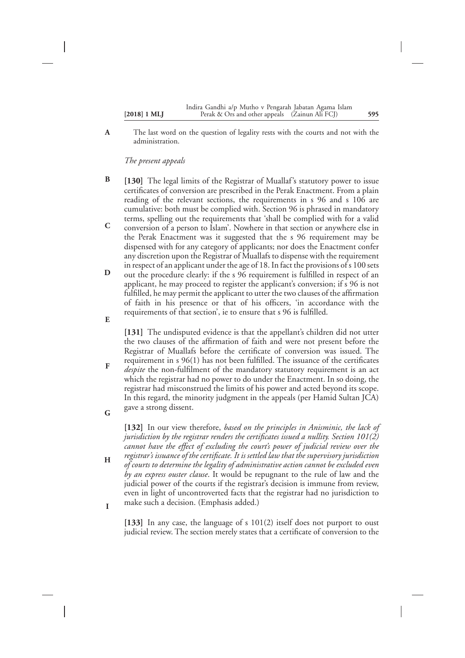| $[2018]$ 1 MLJ | Indira Gandhi a/p Mutho v Pengarah Jabatan Agama Islam<br>Perak & Ors and other appeals (Zainun Ali FCJ) | 595 |
|----------------|----------------------------------------------------------------------------------------------------------|-----|
|                |                                                                                                          |     |

The last word on the question of legality rests with the courts and not with the administration. **A**

*The present appeals*

**F**

**H**

**I**

- **[130]** The legal limits of the Registrar of Muallaf's statutory power to issue certificates of conversion are prescribed in the Perak Enactment. From a plain reading of the relevant sections, the requirements in s 96 and s 106 are cumulative: both must be complied with. Section 96 is phrased in mandatory terms, spelling out the requirements that 'shall be complied with for a valid conversion of a person to Islam'. Nowhere in that section or anywhere else in **B C**
- the Perak Enactment was it suggested that the s 96 requirement may be dispensed with for any category of applicants; nor does the Enactment confer any discretion upon the Registrar of Muallafs to dispense with the requirement in respect of an applicant under the age of 18. In fact the provisions of s 100 sets
- out the procedure clearly: if the s 96 requirement is fulfilled in respect of an applicant, he may proceed to register the applicant's conversion; if s 96 is not fulfilled, he may permit the applicant to utter the two clauses of the affirmation of faith in his presence or that of his officers, 'in accordance with the requirements of that section', ie to ensure that s 96 is fulfilled. **D E**
	- **[131]** The undisputed evidence is that the appellant's children did not utter the two clauses of the affirmation of faith and were not present before the Registrar of Muallafs before the certificate of conversion was issued. The requirement in s 96(1) has not been fulfilled. The issuance of the certificates *despite* the non-fulfilment of the mandatory statutory requirement is an act which the registrar had no power to do under the Enactment. In so doing, the
- registrar had misconstrued the limits of his power and acted beyond its scope. In this regard, the minority judgment in the appeals (per Hamid Sultan JCA) gave a strong dissent. **G**

**[132]** In our view therefore, *based on the principles in Anisminic, the lack of jurisdiction by the registrar renders the certificates issued a nullity. Section 101(2) cannot have the effect of excluding the court's power of judicial review over the registrar's issuance of the certificate. It is settled law that the supervisory jurisdiction of courts to determine the legality of administrative action cannot be excluded even*

*by an express ouster clause*. It would be repugnant to the rule of law and the judicial power of the courts if the registrar's decision is immune from review, even in light of uncontroverted facts that the registrar had no jurisdiction to make such a decision. (Emphasis added.)

**[133]** In any case, the language of s 101(2) itself does not purport to oust judicial review. The section merely states that a certificate of conversion to the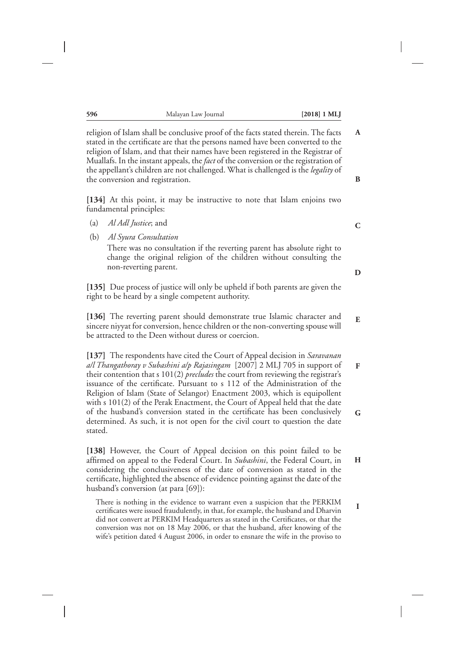religion of Islam shall be conclusive proof of the facts stated therein. The facts stated in the certificate are that the persons named have been converted to the religion of Islam, and that their names have been registered in the Registrar of Muallafs. In the instant appeals, the*fact* of the conversion or the registration of the appellant's children are not challenged. What is challenged is the *legality* of the conversion and registration.

**[134]** At this point, it may be instructive to note that Islam enjoins two fundamental principles:

- (a) *Al Adl Justice*; and
- (b) *Al Syura Consultation*

There was no consultation if the reverting parent has absolute right to change the original religion of the children without consulting the non-reverting parent.

**[135]** Due process of justice will only be upheld if both parents are given the right to be heard by a single competent authority.

**[136]** The reverting parent should demonstrate true Islamic character and sincere niyyat for conversion, hence children or the non-converting spouse will be attracted to the Deen without duress or coercion.

**[137]** The respondents have cited the Court of Appeal decision in *Saravanan a/l Thangathoray v Subashini a/p Rajasingam* [2007] 2 MLJ 705 in support of their contention that s 101(2) *precludes* the court from reviewing the registrar's issuance of the certificate. Pursuant to s 112 of the Administration of the Religion of Islam (State of Selangor) Enactment 2003, which is equipollent with s 101(2) of the Perak Enactment, the Court of Appeal held that the date of the husband's conversion stated in the certificate has been conclusively determined. As such, it is not open for the civil court to question the date stated.

**[138]** However, the Court of Appeal decision on this point failed to be affirmed on appeal to the Federal Court. In *Subashini*, the Federal Court, in considering the conclusiveness of the date of conversion as stated in the certificate, highlighted the absence of evidence pointing against the date of the husband's conversion (at para [69]):

There is nothing in the evidence to warrant even a suspicion that the PERKIM certificates were issued fraudulently, in that, for example, the husband and Dharvin did not convert at PERKIM Headquarters as stated in the Certificates, or that the conversion was not on 18 May 2006, or that the husband, after knowing of the wife's petition dated 4 August 2006, in order to ensnare the wife in the proviso to

**C**

**A**

**B**

**D**

**E**

**F**

**H**

**I**

**G**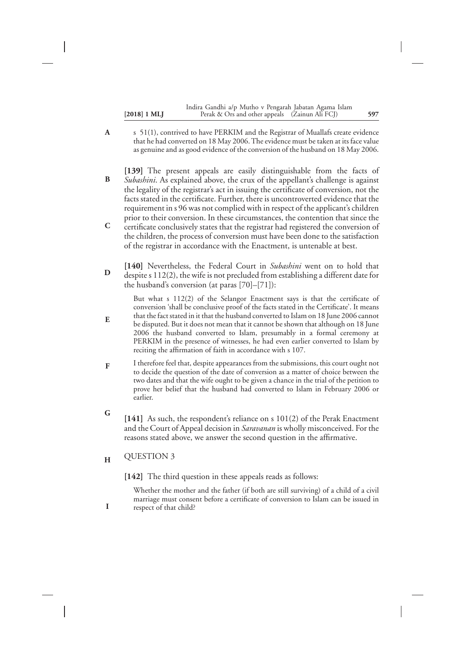|                | Indira Gandhi a/p Mutho v Pengarah Jabatan Agama Islam |     |
|----------------|--------------------------------------------------------|-----|
| $[2018]$ 1 MLJ | Perak & Ors and other appeals (Zainun Ali FCJ)         | 597 |

- s 51(1), contrived to have PERKIM and the Registrar of Muallafs create evidence that he had converted on 18 May 2006. The evidence must be taken at its face value as genuine and as good evidence of the conversion of the husband on 18 May 2006. **A**
- **[139]** The present appeals are easily distinguishable from the facts of *Subashini*. As explained above, the crux of the appellant's challenge is against the legality of the registrar's act in issuing the certificate of conversion, not the facts stated in the certificate. Further, there is uncontroverted evidence that the requirement in s 96 was not complied with in respect of the applicant's children prior to their conversion. In these circumstances, the contention that since the certificate conclusively states that the registrar had registered the conversion of the children, the process of conversion must have been done to the satisfaction **B C**
- **[140]** Nevertheless, the Federal Court in *Subashini* went on to hold that despite s 112(2), the wife is not precluded from establishing a different date for the husband's conversion (at paras [70]–[71]): **D**

of the registrar in accordance with the Enactment, is untenable at best.

But what s 112(2) of the Selangor Enactment says is that the certificate of conversion 'shall be conclusive proof of the facts stated in the Certificate'. It means that the fact stated in it that the husband converted to Islam on 18 June 2006 cannot be disputed. But it does not mean that it cannot be shown that although on 18 June 2006 the husband converted to Islam, presumably in a formal ceremony at PERKIM in the presence of witnesses, he had even earlier converted to Islam by reciting the affirmation of faith in accordance with s 107.

- I therefore feel that, despite appearances from the submissions, this court ought not to decide the question of the date of conversion as a matter of choice between the two dates and that the wife ought to be given a chance in the trial of the petition to prove her belief that the husband had converted to Islam in February 2006 or earlier. **F**
- **[141]** As such, the respondent's reliance on s 101(2) of the Perak Enactment and the Court of Appeal decision in *Saravanan* is wholly misconceived. For the reasons stated above, we answer the second question in the affirmative. **G**
- QUESTION 3 **H**

**E**

**I**

**[142]** The third question in these appeals reads as follows:

Whether the mother and the father (if both are still surviving) of a child of a civil marriage must consent before a certificate of conversion to Islam can be issued in respect of that child?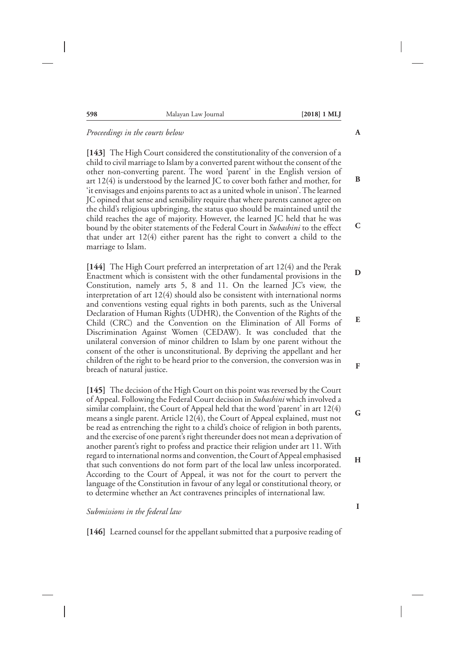| 598 | Malayan Law Journal | $[2018]$ 1 MLJ |
|-----|---------------------|----------------|
|     |                     |                |

#### *Proceedings in the courts below*

**[143]** The High Court considered the constitutionality of the conversion of a child to civil marriage to Islam by a converted parent without the consent of the other non-converting parent. The word 'parent' in the English version of art 12(4) is understood by the learned JC to cover both father and mother, for 'it envisages and enjoins parents to act as a united whole in unison'. The learned JC opined that sense and sensibility require that where parents cannot agree on the child's religious upbringing, the status quo should be maintained until the child reaches the age of majority. However, the learned JC held that he was bound by the obiter statements of the Federal Court in *Subashini* to the effect that under art 12(4) either parent has the right to convert a child to the marriage to Islam.

**[144]** The High Court preferred an interpretation of art 12(4) and the Perak Enactment which is consistent with the other fundamental provisions in the Constitution, namely arts 5, 8 and 11. On the learned JC's view, the interpretation of art 12(4) should also be consistent with international norms and conventions vesting equal rights in both parents, such as the Universal Declaration of Human Rights (UDHR), the Convention of the Rights of the Child (CRC) and the Convention on the Elimination of All Forms of Discrimination Against Women (CEDAW). It was concluded that the unilateral conversion of minor children to Islam by one parent without the consent of the other is unconstitutional. By depriving the appellant and her children of the right to be heard prior to the conversion, the conversion was in breach of natural justice.

**[145]** The decision of the High Court on this point was reversed by the Court of Appeal. Following the Federal Court decision in *Subashini* which involved a similar complaint, the Court of Appeal held that the word 'parent' in art 12(4) means a single parent. Article 12(4), the Court of Appeal explained, must not be read as entrenching the right to a child's choice of religion in both parents, and the exercise of one parent's right thereunder does not mean a deprivation of another parent's right to profess and practice their religion under art 11. With regard to international norms and convention, the Court of Appeal emphasised that such conventions do not form part of the local law unless incorporated. According to the Court of Appeal, it was not for the court to pervert the language of the Constitution in favour of any legal or constitutional theory, or to determine whether an Act contravenes principles of international law.

*Submissions in the federal law*

**[146]** Learned counsel for the appellant submitted that a purposive reading of

**A**

**B**

**D**

**C**

**E**

**F**

**G**

**H**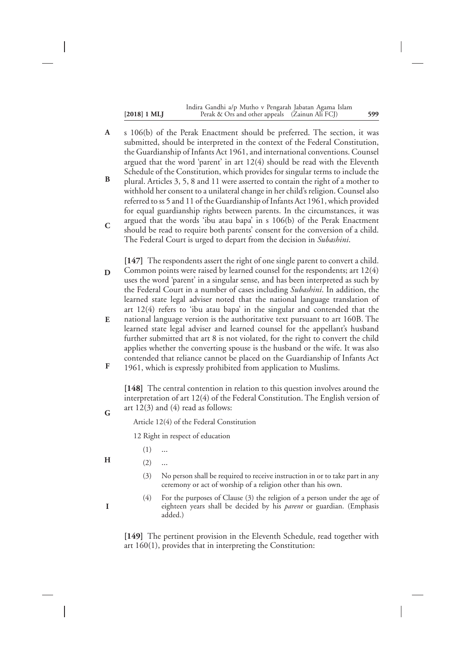|                | Indira Gandhi a/p Mutho v Pengarah Jabatan Agama Islam |     |
|----------------|--------------------------------------------------------|-----|
| $[2018]$ 1 MLJ | Perak & Ors and other appeals (Zainun Ali FCJ)         | 599 |

s 106(b) of the Perak Enactment should be preferred. The section, it was submitted, should be interpreted in the context of the Federal Constitution, the Guardianship of Infants Act 1961, and international conventions. Counsel argued that the word 'parent' in art 12(4) should be read with the Eleventh Schedule of the Constitution, which provides for singular terms to include the plural. Articles 3, 5, 8 and 11 were asserted to contain the right of a mother to withhold her consent to a unilateral change in her child's religion. Counsel also referred to ss 5 and 11 of the Guardianship of Infants Act 1961, which provided for equal guardianship rights between parents. In the circumstances, it was argued that the words 'ibu atau bapa' in s 106(b) of the Perak Enactment should be read to require both parents' consent for the conversion of a child. The Federal Court is urged to depart from the decision in *Subashini*. **A B C**

**[147]** The respondents assert the right of one single parent to convert a child. Common points were raised by learned counsel for the respondents; art 12(4) uses the word 'parent' in a singular sense, and has been interpreted as such by the Federal Court in a number of cases including *Subashini*. In addition, the learned state legal adviser noted that the national language translation of art 12(4) refers to 'ibu atau bapa' in the singular and contended that the national language version is the authoritative text pursuant to art 160B. The **D E**

- learned state legal adviser and learned counsel for the appellant's husband further submitted that art 8 is not violated, for the right to convert the child applies whether the converting spouse is the husband or the wife. It was also contended that reliance cannot be placed on the Guardianship of Infants Act
- 1961, which is expressly prohibited from application to Muslims. **F**

**[148]** The central contention in relation to this question involves around the interpretation of art 12(4) of the Federal Constitution. The English version of art 12(3) and (4) read as follows:

Article 12(4) of the Federal Constitution

12 Right in respect of education

- $(1)$  ... **H**
	- $(2)$  ...
		- (3) No person shall be required to receive instruction in or to take part in any ceremony or act of worship of a religion other than his own.
		- (4) For the purposes of Clause (3) the religion of a person under the age of eighteen years shall be decided by his *parent* or guardian. (Emphasis added.)

**[149]** The pertinent provision in the Eleventh Schedule, read together with art 160(1), provides that in interpreting the Constitution:

**I**

**G**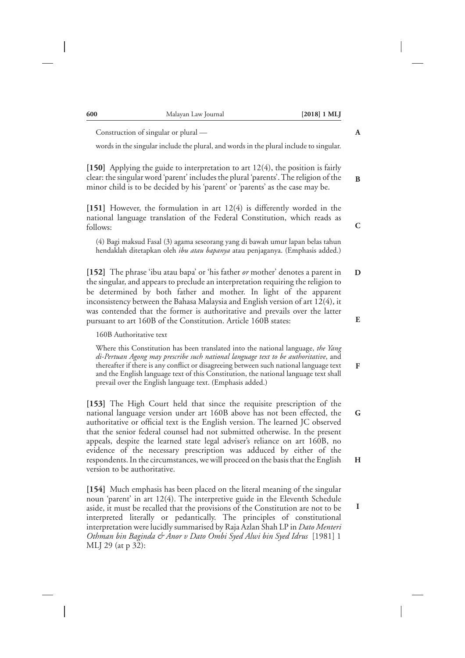| Construction of singular or plural -                                                                                                                                                                                                                                                                                                                                                                                                                                        | A           |
|-----------------------------------------------------------------------------------------------------------------------------------------------------------------------------------------------------------------------------------------------------------------------------------------------------------------------------------------------------------------------------------------------------------------------------------------------------------------------------|-------------|
| words in the singular include the plural, and words in the plural include to singular.                                                                                                                                                                                                                                                                                                                                                                                      |             |
| [150] Applying the guide to interpretation to art $12(4)$ , the position is fairly<br>clear: the singular word 'parent' includes the plural 'parents'. The religion of the<br>minor child is to be decided by his 'parent' or 'parents' as the case may be.                                                                                                                                                                                                                 | B           |
| [151] However, the formulation in art $12(4)$ is differently worded in the<br>national language translation of the Federal Constitution, which reads as<br>follows:                                                                                                                                                                                                                                                                                                         | $\mathbf C$ |
| (4) Bagi maksud Fasal (3) agama seseorang yang di bawah umur lapan belas tahun<br>hendaklah ditetapkan oleh ibu atau bapanya atau penjaganya. (Emphasis added.)                                                                                                                                                                                                                                                                                                             |             |
| [152] The phrase 'ibu atau bapa' or 'his father or mother' denotes a parent in<br>the singular, and appears to preclude an interpretation requiring the religion to<br>be determined by both father and mother. In light of the apparent<br>inconsistency between the Bahasa Malaysia and English version of art 12(4), it<br>was contended that the former is authoritative and prevails over the latter<br>pursuant to art 160B of the Constitution. Article 160B states: | D<br>E      |
| 160B Authoritative text                                                                                                                                                                                                                                                                                                                                                                                                                                                     |             |
| Where this Constitution has been translated into the national language, the Yang<br>di-Pertuan Agong may prescribe such national language text to be authoritative, and<br>thereafter if there is any conflict or disagreeing between such national language text<br>and the English language text of this Constitution, the national language text shall<br>prevail over the English language text. (Emphasis added.)                                                      | F           |
| [153] The High Court held that since the requisite prescription of the<br>national language version under art 160B above has not been effected, the<br>authoritative or official text is the English version. The learned JC observed<br>that the senior federal counsel had not submitted otherwise. In the present<br>appeals, despite the learned state legal adviser's reliance on art 160B, no                                                                         | G.          |
| evidence of the necessary prescription was adduced by either of the<br>respondents. In the circumstances, we will proceed on the basis that the English<br>version to be authoritative.                                                                                                                                                                                                                                                                                     | H           |
| [154] Much emphasis has been placed on the literal meaning of the singular                                                                                                                                                                                                                                                                                                                                                                                                  |             |

noun 'parent' in art 12(4). The interpretive guide in the Eleventh Schedule aside, it must be recalled that the provisions of the Constitution are not to be interpreted literally or pedantically. The principles of constitutional interpretation were lucidly summarised by Raja Azlan Shah LP in *Dato Menteri Othman bin Baginda & Anor v Dato Ombi Syed Alwi bin Syed Idrus* [1981] 1 MLJ 29 (at p 32):

**I**

**600** Malayan Law Journal **[2018] 1 MLJ**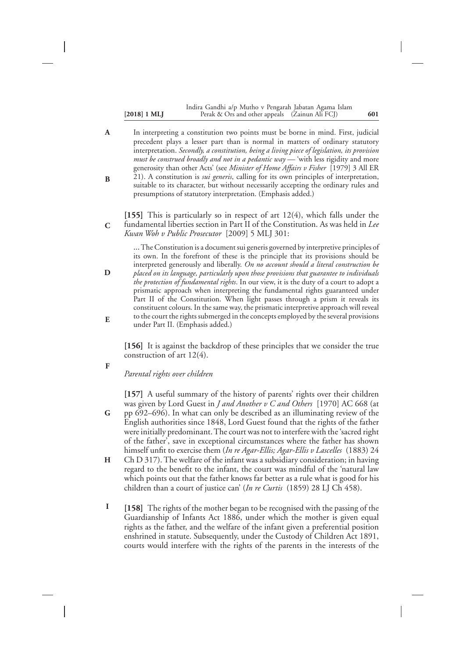#### **[2018] 1 MLJ 601** Perak & Ors and other appeals (Zainun Ali FCJ) Indira Gandhi a/p Mutho v Pengarah Jabatan Agama Islam

In interpreting a constitution two points must be borne in mind. First, judicial precedent plays a lesser part than is normal in matters of ordinary statutory interpretation. *Secondly, a constitution, being a living piece of legislation, its provision must be construed broadly and not in a pedantic way* — 'with less rigidity and more generosity than other Acts' (see *Minister of Home Affairs v Fisher* [1979] 3 All ER 21). A constitution is *sui generis*, calling for its own principles of interpretation, suitable to its character, but without necessarily accepting the ordinary rules and presumptions of statutory interpretation. (Emphasis added.) **A B**

**[155]** This is particularly so in respect of art 12(4), which falls under the fundamental liberties section in Part II of the Constitution. As was held in *Lee Kwan Woh v Public Prosecutor* [2009] 5 MLJ 301: **C**

…The Constitution is a document sui generis governed by interpretive principles of its own. In the forefront of these is the principle that its provisions should be interpreted generously and liberally. *On no account should a literal construction be placed on its language, particularly upon those provisions that guarantee to individuals the protection of fundamental rights*. In our view, it is the duty of a court to adopt a prismatic approach when interpreting the fundamental rights guaranteed under Part II of the Constitution. When light passes through a prism it reveals its constituent colours. In the same way, the prismatic interpretive approach will reveal to the court the rights submerged in the concepts employed by the several provisions under Part II. (Emphasis added.) **D E**

**[156]** It is against the backdrop of these principles that we consider the true construction of art 12(4).

## *Parental rights over children*

**F**

**[157]** A useful summary of the history of parents' rights over their children was given by Lord Guest in *J and Another v C and Others* [1970] AC 668 (at pp 692–696). In what can only be described as an illuminating review of the English authorities since 1848, Lord Guest found that the rights of the father were initially predominant. The court was not to interfere with the 'sacred right of the father', save in exceptional circumstances where the father has shown himself unfit to exercise them (*In re Agar-Ellis; Agar-Ellis v Lascelles* (1883) 24 **G**

- Ch D 317). The welfare of the infant was a subsidiary consideration; in having regard to the benefit to the infant, the court was mindful of the 'natural law which points out that the father knows far better as a rule what is good for his children than a court of justice can' (*In re Curtis* (1859) 28 LJ Ch 458). **H**
- **[158]** The rights of the mother began to be recognised with the passing of the Guardianship of Infants Act 1886, under which the mother is given equal rights as the father, and the welfare of the infant given a preferential position enshrined in statute. Subsequently, under the Custody of Children Act 1891, courts would interfere with the rights of the parents in the interests of the **I**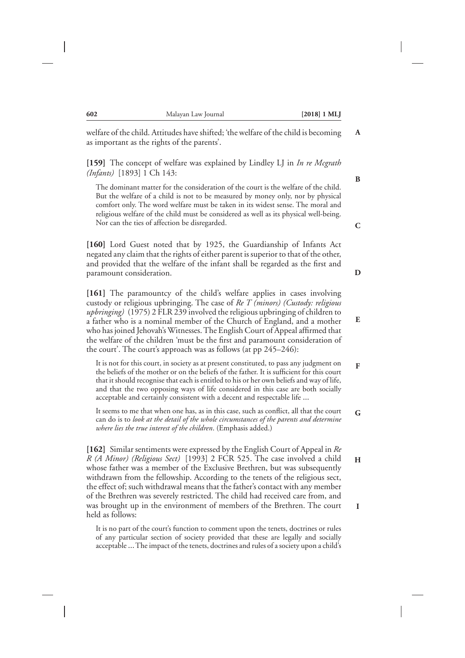welfare of the child. Attitudes have shifted; 'the welfare of the child is becoming as important as the rights of the parents'.

**[159]** The concept of welfare was explained by Lindley LJ in *In re Mcgrath (Infants)* [1893] 1 Ch 143:

The dominant matter for the consideration of the court is the welfare of the child. But the welfare of a child is not to be measured by money only, nor by physical comfort only. The word welfare must be taken in its widest sense. The moral and religious welfare of the child must be considered as well as its physical well-being. Nor can the ties of affection be disregarded.

**[160]** Lord Guest noted that by 1925, the Guardianship of Infants Act negated any claim that the rights of either parent is superior to that of the other, and provided that the welfare of the infant shall be regarded as the first and paramount consideration.

**[161]** The paramountcy of the child's welfare applies in cases involving custody or religious upbringing. The case of *Re T (minors) (Custody: religious upbringing)* (1975) 2 FLR 239 involved the religious upbringing of children to a father who is a nominal member of the Church of England, and a mother who has joined Jehovah's Witnesses. The English Court of Appeal affirmed that the welfare of the children 'must be the first and paramount consideration of the court'. The court's approach was as follows (at pp 245–246):

It is not for this court, in society as at present constituted, to pass any judgment on the beliefs of the mother or on the beliefs of the father. It is sufficient for this court that it should recognise that each is entitled to his or her own beliefs and way of life, and that the two opposing ways of life considered in this case are both socially acceptable and certainly consistent with a decent and respectable life …

It seems to me that when one has, as in this case, such as conflict, all that the court can do is to *look at the detail of the whole circumstances of the parents and determine where lies the true interest of the children*. (Emphasis added.) **G**

**[162]** Similar sentiments were expressed by the English Court of Appeal in *Re R (A Minor) (Religious Sect)* [1993] 2 FCR 525. The case involved a child whose father was a member of the Exclusive Brethren, but was subsequently withdrawn from the fellowship. According to the tenets of the religious sect, the effect of; such withdrawal means that the father's contact with any member of the Brethren was severely restricted. The child had received care from, and was brought up in the environment of members of the Brethren. The court held as follows:

It is no part of the court's function to comment upon the tenets, doctrines or rules of any particular section of society provided that these are legally and socially acceptable …The impact of the tenets, doctrines and rules of a society upon a child's **C**

**A**

**B**

**D**

**E**

**F**

**H**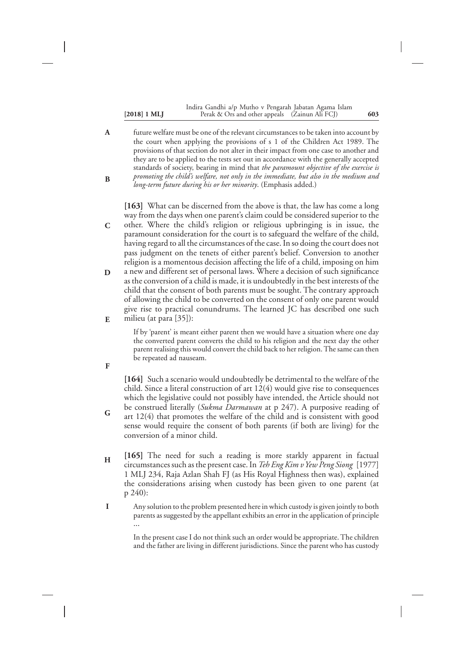#### **[2018] 1 MLJ 603** Perak & Ors and other appeals (Zainun Ali FCJ) Indira Gandhi a/p Mutho v Pengarah Jabatan Agama Islam

future welfare must be one of the relevant circumstances to be taken into account by the court when applying the provisions of s 1 of the Children Act 1989. The provisions of that section do not alter in their impact from one case to another and they are to be applied to the tests set out in accordance with the generally accepted standards of society, bearing in mind that *the paramount objective of the exercise is promoting the child's welfare, not only in the immediate, but also in the medium and long-term future during his or her minority*. (Emphasis added.) **A B**

**[163]** What can be discerned from the above is that, the law has come a long way from the days when one parent's claim could be considered superior to the other. Where the child's religion or religious upbringing is in issue, the paramount consideration for the court is to safeguard the welfare of the child, having regard to all the circumstances of the case. In so doing the court does not pass judgment on the tenets of either parent's belief. Conversion to another religion is a momentous decision affecting the life of a child, imposing on him a new and different set of personal laws. Where a decision of such significance as the conversion of a child is made, it is undoubtedly in the best interests of the child that the consent of both parents must be sought. The contrary approach

of allowing the child to be converted on the consent of only one parent would give rise to practical conundrums. The learned JC has described one such milieu (at para [35]):

If by 'parent' is meant either parent then we would have a situation where one day the converted parent converts the child to his religion and the next day the other parent realising this would convert the child back to her religion. The same can then be repeated ad nauseam.

**F**

**G**

**E**

**C**

**D**

**[164]** Such a scenario would undoubtedly be detrimental to the welfare of the child. Since a literal construction of art 12(4) would give rise to consequences which the legislative could not possibly have intended, the Article should not be construed literally (*Sukma Darmawan* at p 247). A purposive reading of art 12(4) that promotes the welfare of the child and is consistent with good sense would require the consent of both parents (if both are living) for the conversion of a minor child.

- **[165]** The need for such a reading is more starkly apparent in factual circumstances such as the present case. In *Teh Eng Kim vYew Peng Siong* [1977] 1 MLJ 234, Raja Azlan Shah FJ (as His Royal Highness then was), explained the considerations arising when custody has been given to one parent (at p 240): **H**
- Any solution to the problem presented here in which custody is given jointly to both parents as suggested by the appellant exhibits an error in the application of principle …<br>… **I**

In the present case I do not think such an order would be appropriate. The children and the father are living in different jurisdictions. Since the parent who has custody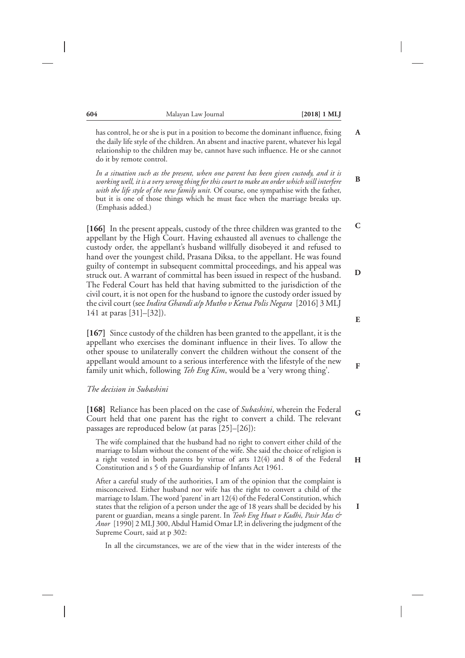**B**

**C**

**D**

has control, he or she is put in a position to become the dominant influence, fixing the daily life style of the children. An absent and inactive parent, whatever his legal relationship to the children may be, cannot have such influence. He or she cannot do it by remote control.

*In a situation such as the present, when one parent has been given custody, and it is working well, it is a very wrong thing for this court to make an order which will interfere with the life style of the new family unit.* Of course, one sympathise with the father, but it is one of those things which he must face when the marriage breaks up. (Emphasis added.)

**[166]** In the present appeals, custody of the three children was granted to the appellant by the High Court. Having exhausted all avenues to challenge the custody order, the appellant's husband willfully disobeyed it and refused to hand over the youngest child, Prasana Diksa, to the appellant. He was found guilty of contempt in subsequent committal proceedings, and his appeal was struck out. A warrant of committal has been issued in respect of the husband. The Federal Court has held that having submitted to the jurisdiction of the civil court, it is not open for the husband to ignore the custody order issued by the civil court (see*Indira Ghandi a/p Mutho v Ketua Polis Negara* [2016] 3 MLJ 141 at paras [31]–[32]).

**[167]** Since custody of the children has been granted to the appellant, it is the appellant who exercises the dominant influence in their lives. To allow the other spouse to unilaterally convert the children without the consent of the appellant would amount to a serious interference with the lifestyle of the new family unit which, following *Teh Eng Kim*, would be a 'very wrong thing'.

#### *The decision in Subashini*

**[168]** Reliance has been placed on the case of *Subashini*, wherein the Federal Court held that one parent has the right to convert a child. The relevant passages are reproduced below (at paras [25]–[26]):

The wife complained that the husband had no right to convert either child of the marriage to Islam without the consent of the wife. She said the choice of religion is a right vested in both parents by virtue of arts 12(4) and 8 of the Federal Constitution and s 5 of the Guardianship of Infants Act 1961.

After a careful study of the authorities, I am of the opinion that the complaint is misconceived. Either husband nor wife has the right to convert a child of the marriage to Islam. The word 'parent' in art 12(4) of the Federal Constitution, which states that the religion of a person under the age of 18 years shall be decided by his parent or guardian, means a single parent. In *Teoh Eng Huat v Kadhi, Pasir Mas & Anor* [1990] 2 MLJ 300, Abdul Hamid Omar LP, in delivering the judgment of the Supreme Court, said at p 302:

In all the circumstances, we are of the view that in the wider interests of the

**E**

**F**

**G**

**H**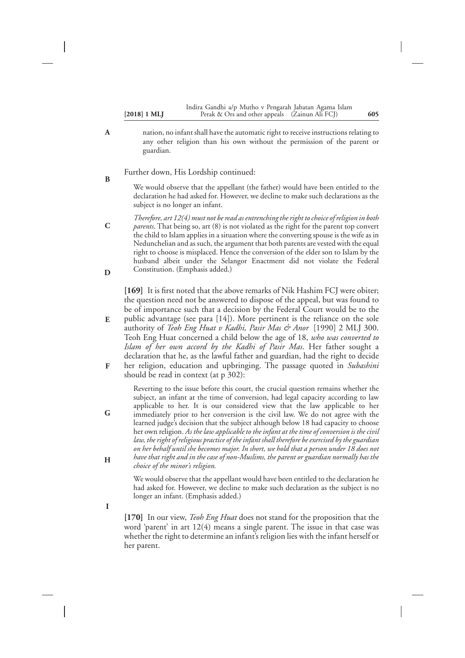|                       | Indira Gandhi a/p Mutho v Pengarah Jabatan Agama Islam |     |
|-----------------------|--------------------------------------------------------|-----|
| $[2018] 1 \text{ ML}$ | Perak & Ors and other appeals (Zainun Ali FCJ)         | 605 |

- nation, no infant shall have the automatic right to receive instructions relating to any other religion than his own without the permission of the parent or guardian.
- Further down, His Lordship continued: **B**

**G**

**H**

**I**

We would observe that the appellant (the father) would have been entitled to the declaration he had asked for. However, we decline to make such declarations as the subject is no longer an infant.

*Therefore, art 12(4) must not be read as entrenching the right to choice of religion in both parents*. That being so, art (8) is not violated as the right for the parent top convert the child to Islam applies in a situation where the converting spouse is the wife as in Nedunchelian and as such, the argument that both parents are vested with the equal right to choose is misplaced. Hence the conversion of the elder son to Islam by the husband albeit under the Selangor Enactment did not violate the Federal Constitution. (Emphasis added.) **C D**

**[169]** It is first noted that the above remarks of Nik Hashim FCJ were obiter; the question need not be answered to dispose of the appeal, but was found to be of importance such that a decision by the Federal Court would be to the

- public advantage (see para [14]). More pertinent is the reliance on the sole authority of *Teoh Eng Huat v Kadhi, Pasir Mas & Anor* [1990] 2 MLJ 300. Teoh Eng Huat concerned a child below the age of 18, *who was converted to Islam of her own accord by the Kadhi of Pasir Mas*. Her father sought a declaration that he, as the lawful father and guardian, had the right to decide **E**
- her religion, education and upbringing. The passage quoted in *Subashini* should be read in context (at p 302): **F**

Reverting to the issue before this court, the crucial question remains whether the subject, an infant at the time of conversion, had legal capacity according to law applicable to her. It is our considered view that the law applicable to her immediately prior to her conversion is the civil law. We do not agree with the learned judge's decision that the subject although below 18 had capacity to choose her own religion. *As the law applicable to the infant at the time of conversion is the civil law, the right of religious practice of the infant shall therefore be exercised by the guardian on her behalf until she becomes major. In short, we hold that a person under 18 does not have that right and in the case of non-Muslims, the parent or guardian normally has the choice of the minor's religion.*

We would observe that the appellant would have been entitled to the declaration he had asked for. However, we decline to make such declaration as the subject is no longer an infant. (Emphasis added.)

**[170]** In our view, *Teoh Eng Huat* does not stand for the proposition that the word 'parent' in art 12(4) means a single parent. The issue in that case was whether the right to determine an infant's religion lies with the infant herself or her parent.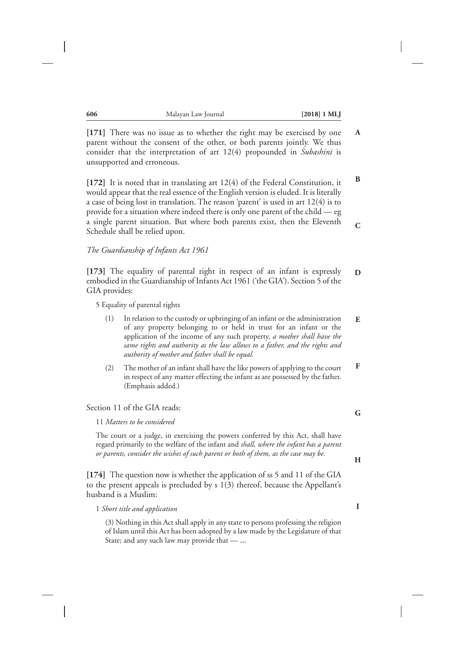**B**

**C**

**[171]** There was no issue as to whether the right may be exercised by one parent without the consent of the other, or both parents jointly. We thus consider that the interpretation of art 12(4) propounded in *Subashini* is unsupported and erroneous.

**[172]** It is noted that in translating art 12(4) of the Federal Constitution, it would appear that the real essence of the English version is eluded. It is literally a case of being lost in translation. The reason 'parent' is used in art 12(4) is to provide for a situation where indeed there is only one parent of the child — eg a single parent situation. But where both parents exist, then the Eleventh Schedule shall be relied upon.

#### *The Guardianship of Infants Act 1961*

**[173]** The equality of parental right in respect of an infant is expressly embodied in the Guardianship of Infants Act 1961 ('the GIA'). Section 5 of the GIA provides: **D**

5 Equality of parental rights

- (1) In relation to the custody or upbringing of an infant or the administration of any property belonging to or held in trust for an infant or the application of the income of any such property, *a mother shall have the same rights and authority as the law allows to a father, and the rights and authority of mother and father shall be equal.* **E**
- (2) The mother of an infant shall have the like powers of applying to the court in respect of any matter effecting the infant as are possessed by the father. (Emphasis added.) **F**

#### Section 11 of the GIA reads:

11 *Matters to be considered*

The court or a judge, in exercising the powers conferred by this Act, shall have regard primarily to the welfare of the infant and *shall, where the infant has a parent or parents, consider the wishes of such parent or both of them, as the case may be.*

**[174]** The question now is whether the application of ss 5 and 11 of the GIA to the present appeals is precluded by s 1(3) thereof, because the Appellant's husband is a Muslim:

1 *Short title and application*

(3) Nothing in this Act shall apply in any state to persons professing the religion of Islam until this Act has been adopted by a law made by the Legislature of that State; and any such law may provide that — …

**H**

**G**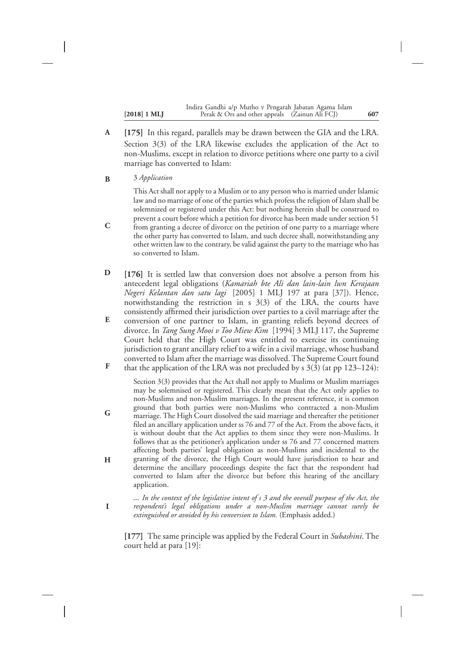|                       | Indira Gandhi a/p Mutho v Pengarah Jabatan Agama Islam |     |
|-----------------------|--------------------------------------------------------|-----|
| $[2018] 1 \text{ ML}$ | Perak & Ors and other appeals (Zainun Ali FCJ)         | 607 |

- **[175]** In this regard, parallels may be drawn between the GIA and the LRA. Section 3(3) of the LRA likewise excludes the application of the Act to non-Muslims, except in relation to divorce petitions where one party to a civil marriage has converted to Islam: **A**
- 3 *Application* **B**

**C**

**I**

This Act shall not apply to a Muslim or to any person who is married under Islamic law and no marriage of one of the parties which profess the religion of Islam shall be solemnized or registered under this Act: but nothing herein shall be construed to prevent a court before which a petition for divorce has been made under section 51 from granting a decree of divorce on the petition of one party to a marriage where the other party has converted to Islam, and such decree shall, notwithstanding any other written law to the contrary, be valid against the party to the marriage who has so converted to Islam.

- **[176]** It is settled law that conversion does not absolve a person from his antecedent legal obligations (*Kamariah bte Ali dan lain-lain lwn Kerajaan Negeri Kelantan dan satu lagi* [2005] 1 MLJ 197 at para [37]). Hence, notwithstanding the restriction in s 3(3) of the LRA, the courts have consistently affirmed their jurisdiction over parties to a civil marriage after the **D**
- conversion of one partner to Islam, in granting reliefs beyond decrees of divorce. In *Tang Sung Mooi v Too Miew Kim* [1994] 3 MLJ 117, the Supreme Court held that the High Court was entitled to exercise its continuing jurisdiction to grant ancillary relief to a wife in a civil marriage, whose husband converted to Islam after the marriage was dissolved. The Supreme Court found **E**
- that the application of the LRA was not precluded by s  $3(3)$  (at pp  $123-124$ ): **F**

Section 3(3) provides that the Act shall not apply to Muslims or Muslim marriages may be solemnised or registered. This clearly mean that the Act only applies to non-Muslims and non-Muslim marriages. In the present reference, it is common ground that both parties were non-Muslims who contracted a non-Muslim marriage. The High Court dissolved the said marriage and thereafter the petitioner filed an ancillary application under ss 76 and 77 of the Act. From the above facts, it is without doubt that the Act applies to them since they were non-Muslims. It follows that as the petitioner's application under ss 76 and 77 concerned matters affecting both parties' legal obligation as non-Muslims and incidental to the granting of the divorce, the High Court would have jurisdiction to hear and determine the ancillary proceedings despite the fact that the respondent had converted to Islam after the divorce but before this hearing of the ancillary application. **G H**

*… In the context of the legislative intent of s 3 and the overall purpose of the Act, the respondent's legal obligations under a non-Muslim marriage cannot surely be extinguished or avoided by his conversion to Islam.* (Emphasis added.)

**[177]** The same principle was applied by the Federal Court in *Subashini*. The court held at para [19]: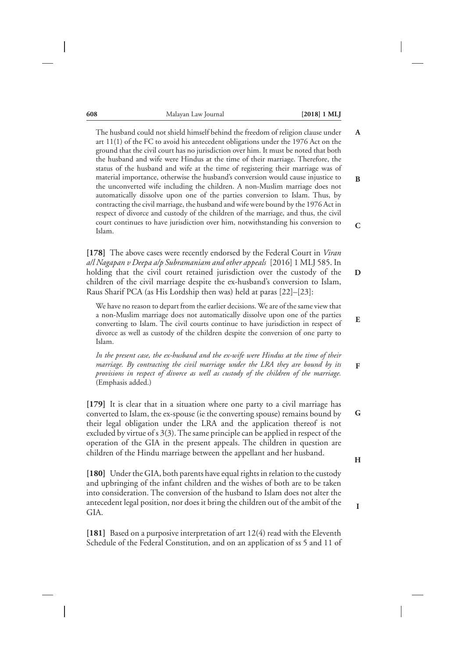| 608 | Malayan Law Journal | $[2018] 1 \text{ ML}$ |
|-----|---------------------|-----------------------|
|-----|---------------------|-----------------------|

**B**

**C**

**D**

**E**

**F**

The husband could not shield himself behind the freedom of religion clause under art 11(1) of the FC to avoid his antecedent obligations under the 1976 Act on the ground that the civil court has no jurisdiction over him. It must be noted that both the husband and wife were Hindus at the time of their marriage. Therefore, the status of the husband and wife at the time of registering their marriage was of material importance, otherwise the husband's conversion would cause injustice to the unconverted wife including the children. A non-Muslim marriage does not automatically dissolve upon one of the parties conversion to Islam. Thus, by contracting the civil marriage, the husband and wife were bound by the 1976 Act in respect of divorce and custody of the children of the marriage, and thus, the civil court continues to have jurisdiction over him, notwithstanding his conversion to Islam.

**[178]** The above cases were recently endorsed by the Federal Court in *Viran a/l Nagapan v Deepa a/p Subramaniam and other appeals* [2016] 1 MLJ 585. In holding that the civil court retained jurisdiction over the custody of the children of the civil marriage despite the ex-husband's conversion to Islam, Raus Sharif PCA (as His Lordship then was) held at paras [22]–[23]:

We have no reason to depart from the earlier decisions. We are of the same view that a non-Muslim marriage does not automatically dissolve upon one of the parties converting to Islam. The civil courts continue to have jurisdiction in respect of divorce as well as custody of the children despite the conversion of one party to Islam.

*In the present case, the ex-husband and the ex-wife were Hindus at the time of their marriage. By contracting the civil marriage under the LRA they are bound by its provisions in respect of divorce as well as custody of the children of the marriage.* (Emphasis added.)

**[179]** It is clear that in a situation where one party to a civil marriage has converted to Islam, the ex-spouse (ie the converting spouse) remains bound by their legal obligation under the LRA and the application thereof is not excluded by virtue of s 3(3). The same principle can be applied in respect of the operation of the GIA in the present appeals. The children in question are children of the Hindu marriage between the appellant and her husband.

**[180]** Under the GIA, both parents have equal rights in relation to the custody and upbringing of the infant children and the wishes of both are to be taken into consideration. The conversion of the husband to Islam does not alter the antecedent legal position, nor does it bring the children out of the ambit of the GIA.

**[181]** Based on a purposive interpretation of art 12(4) read with the Eleventh Schedule of the Federal Constitution, and on an application of ss 5 and 11 of

**G**

**H**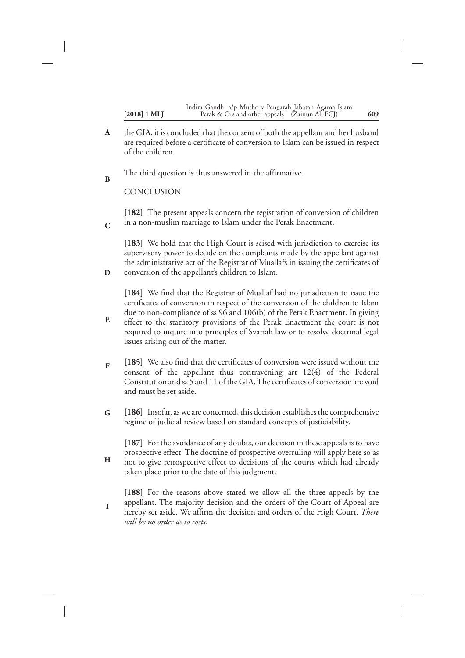|                | Indira Gandhi a/p Mutho v Pengarah Jabatan Agama Islam |     |
|----------------|--------------------------------------------------------|-----|
| $[2018]$ 1 MLJ | Perak & Ors and other appeals (Zainun Ali FCJ)         | 609 |

- the GIA, it is concluded that the consent of both the appellant and her husband are required before a certificate of conversion to Islam can be issued in respect of the children. **A**
- The third question is thus answered in the affirmative. **B**

**CONCLUSION** 

**D**

**H**

**[182]** The present appeals concern the registration of conversion of children in a non-muslim marriage to Islam under the Perak Enactment. **C**

**[183]** We hold that the High Court is seised with jurisdiction to exercise its supervisory power to decide on the complaints made by the appellant against the administrative act of the Registrar of Muallafs in issuing the certificates of conversion of the appellant's children to Islam.

**[184]** We find that the Registrar of Muallaf had no jurisdiction to issue the certificates of conversion in respect of the conversion of the children to Islam due to non-compliance of ss 96 and 106(b) of the Perak Enactment. In giving effect to the statutory provisions of the Perak Enactment the court is not

- required to inquire into principles of Syariah law or to resolve doctrinal legal issues arising out of the matter. **E**
- **[185]** We also find that the certificates of conversion were issued without the consent of the appellant thus contravening art 12(4) of the Federal Constitution and ss 5 and 11 of the GIA. The certificates of conversion are void and must be set aside. **F**
- **[186]** Insofar, as we are concerned, this decision establishes the comprehensive regime of judicial review based on standard concepts of justiciability. **G**

**[187]** For the avoidance of any doubts, our decision in these appeals is to have prospective effect. The doctrine of prospective overruling will apply here so as not to give retrospective effect to decisions of the courts which had already taken place prior to the date of this judgment.

**[188]** For the reasons above stated we allow all the three appeals by the appellant. The majority decision and the orders of the Court of Appeal are hereby set aside. We affirm the decision and orders of the High Court. *There will be no order as to costs.* **I**